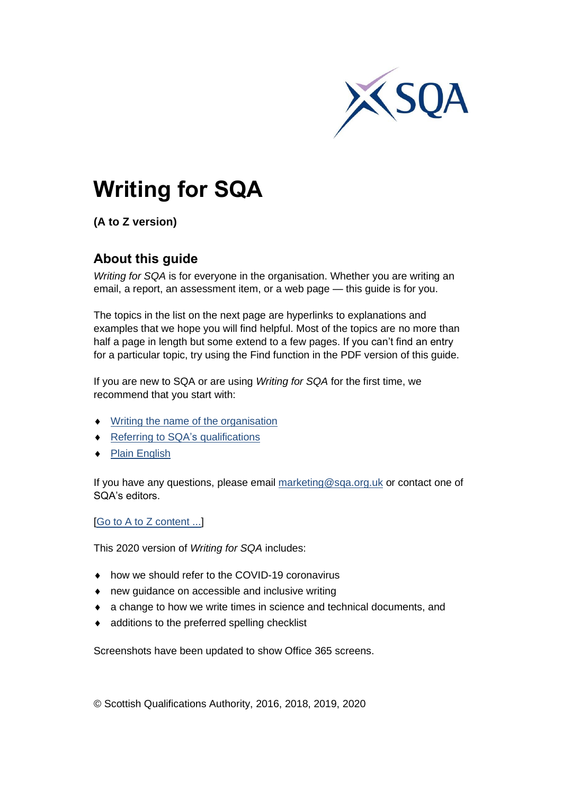

# **Writing for SQA**

**(A to Z version)**

## **About this guide**

*Writing for SQA* is for everyone in the organisation. Whether you are writing an email, a report, an assessment item, or a web page — this guide is for you.

The topics in the list on the next page are hyperlinks to explanations and examples that we hope you will find helpful. Most of the topics are no more than half a page in length but some extend to a few pages. If you can't find an entry for a particular topic, try using the Find function in the PDF version of this guide.

If you are new to SQA or are using *Writing for SQA* for the first time, we recommend that you start with:

- ◆ Writing the name [of the organisation](#page-91-0)
- ◆ [Referring to SQA's](#page-65-0) qualifications
- ◆ [Plain English](#page-56-0)

If you have any questions, please email [marketing@sqa.org.uk](mailto:marketing@sqa.org.uk) or contact one of SQA's editors.

[\[Go to A to Z content ...\]](#page-1-0)

This 2020 version of *Writing for SQA* includes:

- how we should refer to the COVID-19 coronavirus
- new guidance on accessible and inclusive writing
- a change to how we write times in science and technical documents, and
- additions to the preferred spelling checklist

Screenshots have been updated to show Office 365 screens.

© Scottish Qualifications Authority, 2016, 2018, 2019, 2020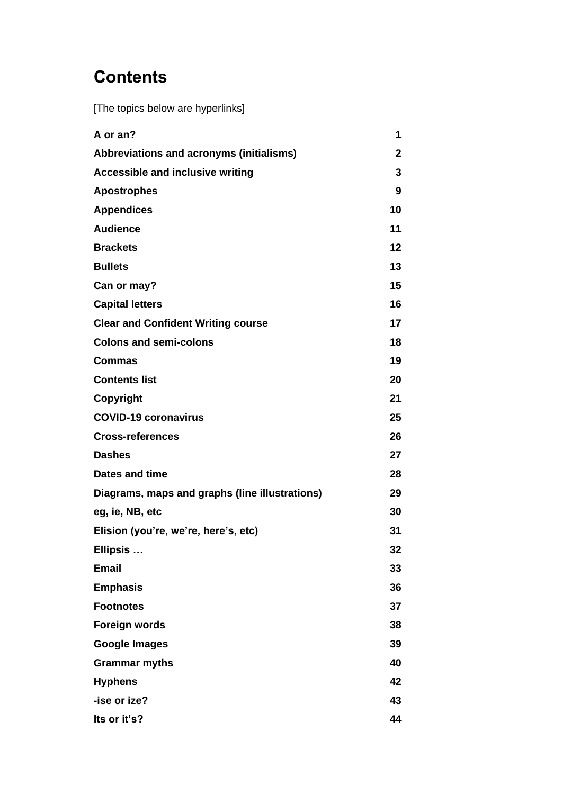# <span id="page-1-0"></span>**Contents**

<span id="page-1-1"></span>[The topics below are hyperlinks]

| A or an?                                       | 1            |
|------------------------------------------------|--------------|
| Abbreviations and acronyms (initialisms)       | $\mathbf{2}$ |
| <b>Accessible and inclusive writing</b>        | 3            |
| <b>Apostrophes</b>                             | 9            |
| <b>Appendices</b>                              | 10           |
| <b>Audience</b>                                | 11           |
| <b>Brackets</b>                                | 12           |
| <b>Bullets</b>                                 | 13           |
| Can or may?                                    | 15           |
| <b>Capital letters</b>                         | 16           |
| <b>Clear and Confident Writing course</b>      | 17           |
| <b>Colons and semi-colons</b>                  | 18           |
| <b>Commas</b>                                  | 19           |
| <b>Contents list</b>                           | 20           |
| Copyright                                      | 21           |
| <b>COVID-19 coronavirus</b>                    | 25           |
| <b>Cross-references</b>                        | 26           |
| <b>Dashes</b>                                  | 27           |
| Dates and time                                 | 28           |
| Diagrams, maps and graphs (line illustrations) | 29           |
| eg, ie, NB, etc                                | 30           |
| Elision (you're, we're, here's, etc)           | 31           |
| Ellipsis                                       | 32           |
| <b>Email</b>                                   | 33           |
| <b>Emphasis</b>                                | 36           |
| <b>Footnotes</b>                               | 37           |
| <b>Foreign words</b>                           | 38           |
| <b>Google Images</b>                           | 39           |
| <b>Grammar myths</b>                           | 40           |
| <b>Hyphens</b>                                 | 42           |
| -ise or ize?                                   | 43           |
| Its or it's?                                   | 44           |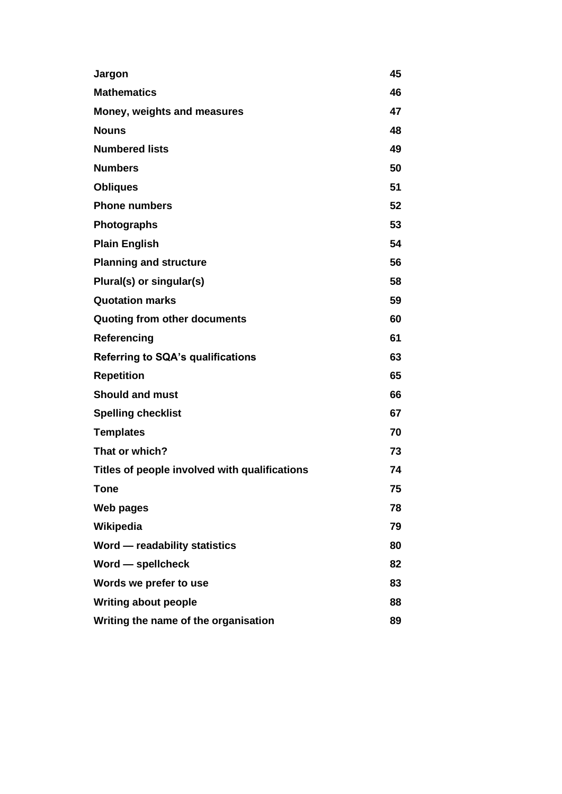| Jargon                                        | 45 |
|-----------------------------------------------|----|
| <b>Mathematics</b>                            | 46 |
| Money, weights and measures                   | 47 |
| <b>Nouns</b>                                  | 48 |
| <b>Numbered lists</b>                         | 49 |
| <b>Numbers</b>                                | 50 |
| <b>Obliques</b>                               | 51 |
| <b>Phone numbers</b>                          | 52 |
| <b>Photographs</b>                            | 53 |
| <b>Plain English</b>                          | 54 |
| <b>Planning and structure</b>                 | 56 |
| Plural(s) or singular(s)                      | 58 |
| <b>Quotation marks</b>                        | 59 |
| Quoting from other documents                  | 60 |
| Referencing                                   | 61 |
| <b>Referring to SQA's qualifications</b>      | 63 |
| <b>Repetition</b>                             | 65 |
| <b>Should and must</b>                        | 66 |
| <b>Spelling checklist</b>                     | 67 |
| <b>Templates</b>                              | 70 |
| That or which?                                | 73 |
| Titles of people involved with qualifications | 74 |
| Tone                                          | 75 |
| Web pages                                     | 78 |
| Wikipedia                                     | 79 |
| Word - readability statistics                 | 80 |
| Word — spellcheck                             | 82 |
| Words we prefer to use                        | 83 |
| <b>Writing about people</b>                   | 88 |
| Writing the name of the organisation          | 89 |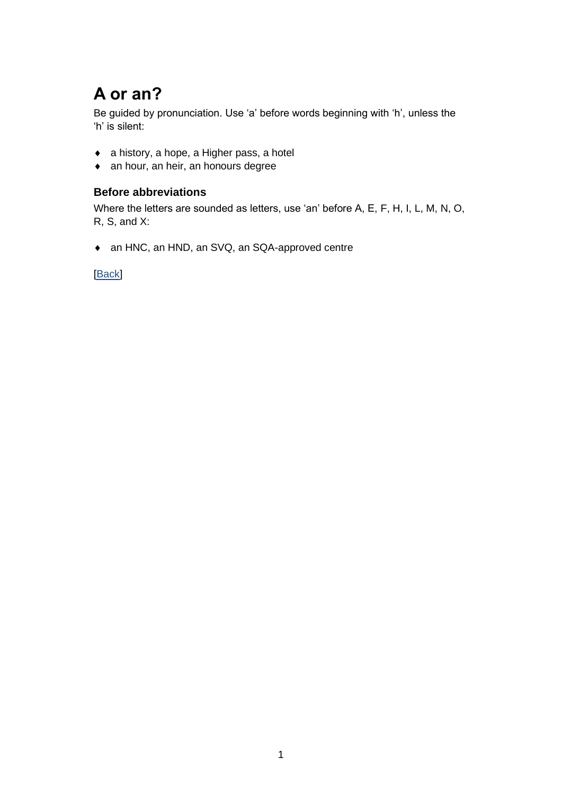# <span id="page-3-0"></span>**A or an?**

Be guided by pronunciation. Use 'a' before words beginning with 'h', unless the 'h' is silent:

- a history, a hope, a Higher pass, a hotel
- an hour, an heir, an honours degree

### **Before abbreviations**

Where the letters are sounded as letters, use 'an' before A, E, F, H, I, L, M, N, O, R, S, and X:

an HNC, an HND, an SVQ, an SQA-approved centre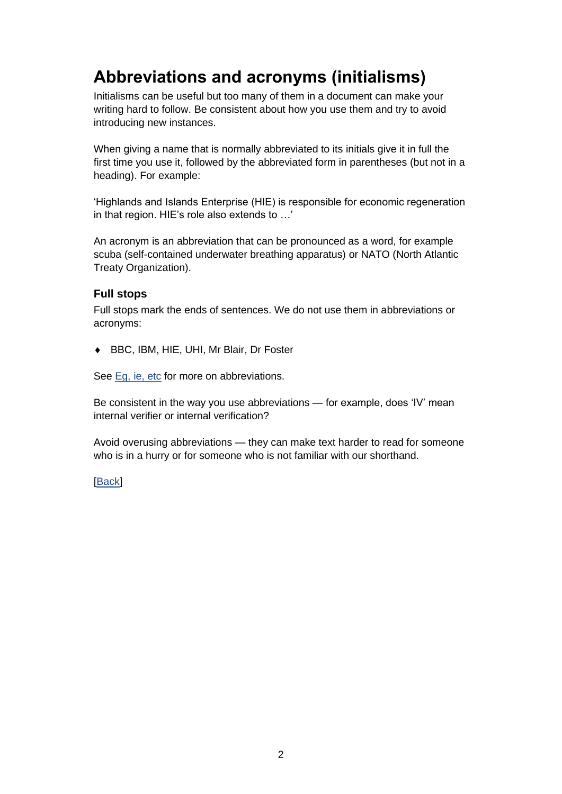# <span id="page-4-0"></span>**Abbreviations and acronyms (initialisms)**

Initialisms can be useful but too many of them in a document can make your writing hard to follow. Be consistent about how you use them and try to avoid introducing new instances.

When giving a name that is normally abbreviated to its initials give it in full the first time you use it, followed by the abbreviated form in parentheses (but not in a heading). For example:

'Highlands and Islands Enterprise (HIE) is responsible for economic regeneration in that region. HIE's role also extends to …'

An acronym is an abbreviation that can be pronounced as a word, for example scuba (self-contained underwater breathing apparatus) or NATO (North Atlantic Treaty Organization).

### **Full stops**

Full stops mark the ends of sentences. We do not use them in abbreviations or acronyms:

BBC, IBM, HIE, UHI, Mr Blair, Dr Foster

See [Eg, ie, etc](#page-32-0) for more on abbreviations.

Be consistent in the way you use abbreviations — for example, does 'IV' mean internal verifier or internal verification?

Avoid overusing abbreviations — they can make text harder to read for someone who is in a hurry or for someone who is not familiar with our shorthand.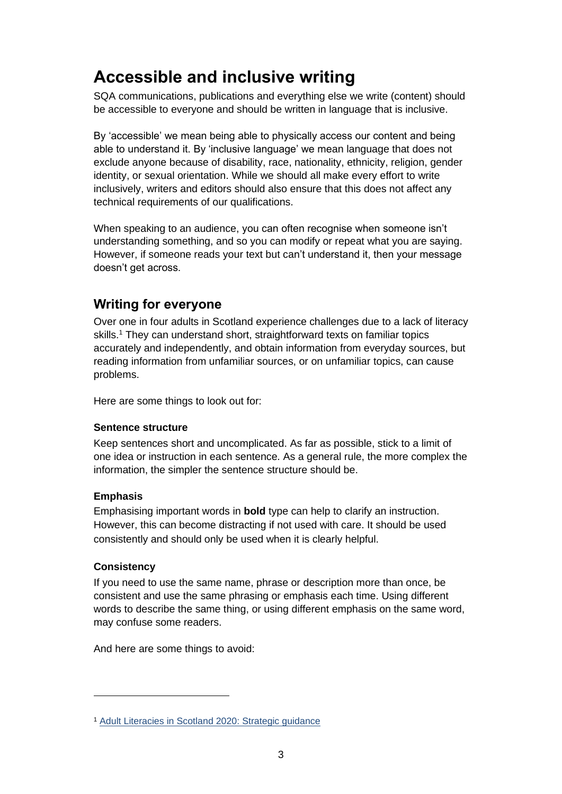# <span id="page-5-0"></span>**Accessible and inclusive writing**

SQA communications, publications and everything else we write (content) should be accessible to everyone and should be written in language that is inclusive.

By 'accessible' we mean being able to physically access our content and being able to understand it. By 'inclusive language' we mean language that does not exclude anyone because of disability, race, nationality, ethnicity, religion, gender identity, or sexual orientation. While we should all make every effort to write inclusively, writers and editors should also ensure that this does not affect any technical requirements of our qualifications.

When speaking to an audience, you can often recognise when someone isn't understanding something, and so you can modify or repeat what you are saying. However, if someone reads your text but can't understand it, then your message doesn't get across.

## **Writing for everyone**

Over one in four adults in Scotland experience challenges due to a lack of literacy skills.<sup>1</sup> They can understand short, straightforward texts on familiar topics accurately and independently, and obtain information from everyday sources, but reading information from unfamiliar sources, or on unfamiliar topics, can cause problems.

Here are some things to look out for:

### **Sentence structure**

Keep sentences short and uncomplicated. As far as possible, stick to a limit of one idea or instruction in each sentence. As a general rule, the more complex the information, the simpler the sentence structure should be.

### **Emphasis**

Emphasising important words in **bold** type can help to clarify an instruction. However, this can become distracting if not used with care. It should be used consistently and should only be used when it is clearly helpful.

### **Consistency**

If you need to use the same name, phrase or description more than once, be consistent and use the same phrasing or emphasis each time. Using different words to describe the same thing, or using different emphasis on the same word, may confuse some readers.

And here are some things to avoid:

<sup>1</sup> [Adult Literacies in Scotland 2020: Strategic guidance](https://www.gov.scot/publications/adult-literacies-scotland-2020-strategic-guidance/pages/3/)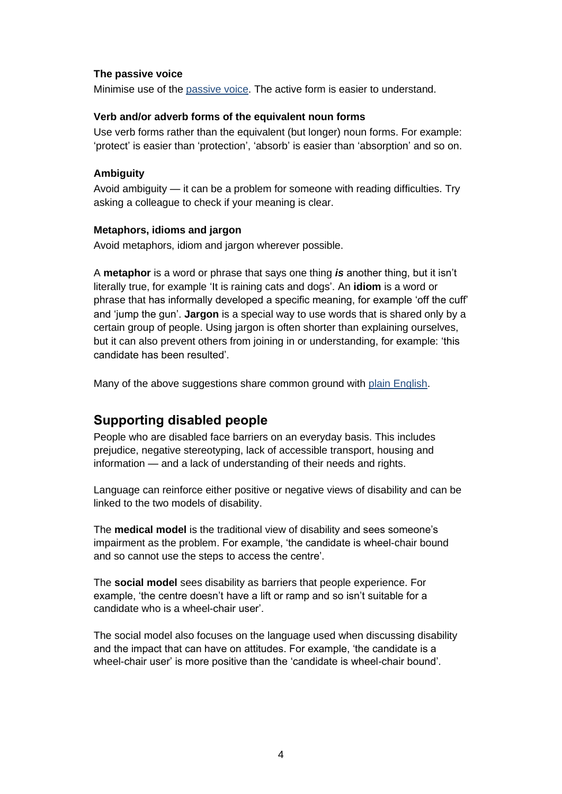#### **The passive voice**

Minimise use of the passive voice. The active form is easier to understand.

#### **Verb and/or adverb forms of the equivalent noun forms**

Use verb forms rather than the equivalent (but longer) noun forms. For example: 'protect' is easier than 'protection', 'absorb' is easier than 'absorption' and so on.

#### **Ambiguity**

Avoid ambiguity — it can be a problem for someone with reading difficulties. Try asking a colleague to check if your meaning is clear.

#### **Metaphors, idioms and jargon**

Avoid metaphors, idiom and jargon wherever possible.

A **metaphor** is a word or phrase that says one thing *is* another thing, but it isn't literally true, for example 'It is raining cats and dogs'. An **idiom** is a word or phrase that has informally developed a specific meaning, for example 'off the cuff' and 'jump the gun'. **Jargon** is a special way to use words that is shared only by a certain group of people. Using jargon is often shorter than explaining ourselves, but it can also prevent others from joining in or understanding, for example: 'this candidate has been resulted'.

Many of the above suggestions share common ground with plain English.

### **Supporting disabled people**

People who are disabled face barriers on an everyday basis. This includes prejudice, negative stereotyping, lack of accessible transport, housing and information — and a lack of understanding of their needs and rights.

Language can reinforce either positive or negative views of disability and can be linked to the two models of disability.

The **medical model** is the traditional view of disability and sees someone's impairment as the problem. For example, 'the candidate is wheel-chair bound and so cannot use the steps to access the centre'.

The **social model** sees disability as barriers that people experience. For example, 'the centre doesn't have a lift or ramp and so isn't suitable for a candidate who is a wheel-chair user'.

The social model also focuses on the language used when discussing disability and the impact that can have on attitudes. For example, 'the candidate is a wheel-chair user' is more positive than the 'candidate is wheel-chair bound'.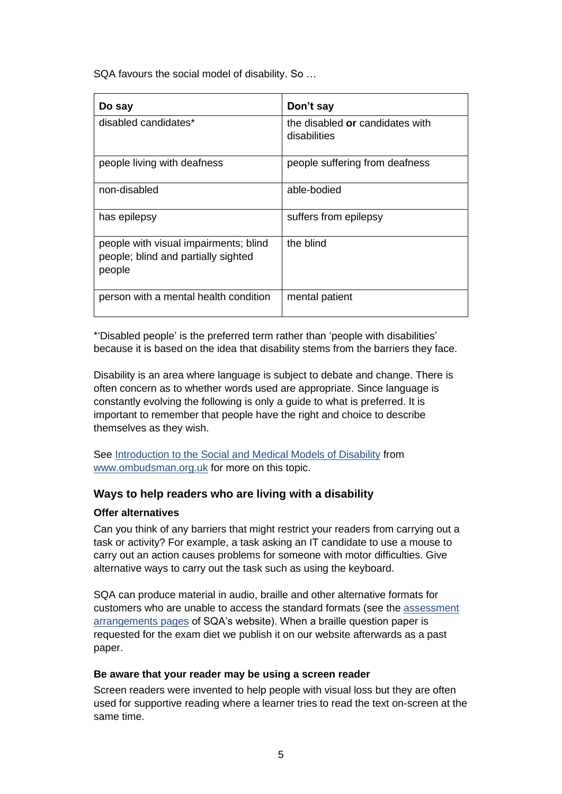SQA favours the social model of disability. So …

| Do say                                                                                 | Don't say                                       |
|----------------------------------------------------------------------------------------|-------------------------------------------------|
| disabled candidates*                                                                   | the disabled or candidates with<br>disabilities |
| people living with deafness                                                            | people suffering from deafness                  |
| non-disabled                                                                           | able-bodied                                     |
| has epilepsy                                                                           | suffers from epilepsy                           |
| people with visual impairments; blind<br>people; blind and partially sighted<br>people | the blind                                       |
| person with a mental health condition                                                  | mental patient                                  |

\*'Disabled people' is the preferred term rather than 'people with disabilities' because it is based on the idea that disability stems from the barriers they face.

Disability is an area where language is subject to debate and change. There is often concern as to whether words used are appropriate. Since language is constantly evolving the following is only a guide to what is preferred. It is important to remember that people have the right and choice to describe themselves as they wish.

See [Introduction to the Social and Medical Models of Disability](https://www.ombudsman.org.uk/sites/default/files/FDN-218144_Introduction_to_the_Social_and_Medical_Models_of_Disability.pdf) from [www.ombudsman.org.uk](http://www.ombudsman.org.uk/) for more on this topic.

### **Ways to help readers who are living with a disability**

#### **Offer alternatives**

Can you think of any barriers that might restrict your readers from carrying out a task or activity? For example, a task asking an IT candidate to use a mouse to carry out an action causes problems for someone with motor difficulties. Give alternative ways to carry out the task such as using the keyboard.

SQA can produce material in audio, braille and other alternative formats for customers who are unable to access the standard formats (see the [assessment](https://www.sqa.org.uk/sqa/14976.779.html)  [arrangements pages](https://www.sqa.org.uk/sqa/14976.779.html) of SQA's website). When a braille question paper is requested for the exam diet we publish it on our website afterwards as a past paper.

#### **Be aware that your reader may be using a screen reader**

Screen readers were invented to help people with visual loss but they are often used for supportive reading where a learner tries to read the text on-screen at the same time.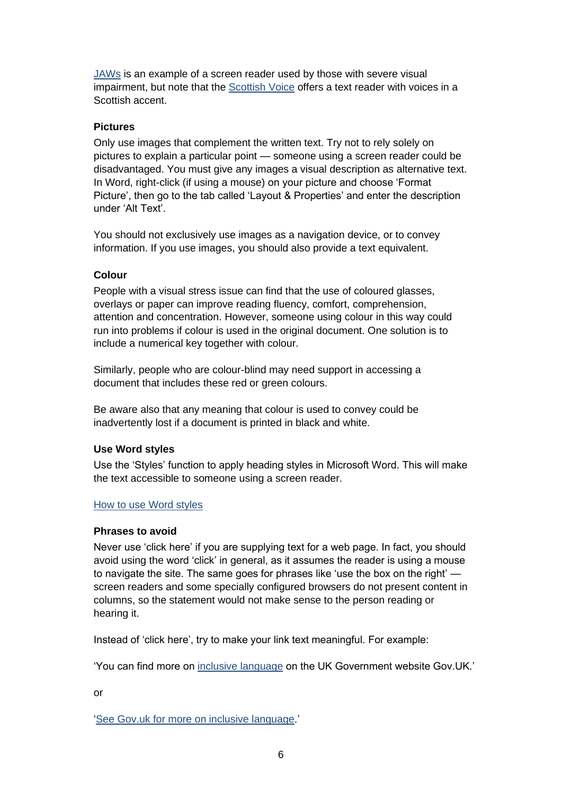[JAWs](http://www.freedomscientific.com/Products/software/JAWS/) is an example of a screen reader used by those with severe visual impairment, but note that the [Scottish Voice](https://www.thescottishvoice.org.uk/home/) offers a text reader with voices in a Scottish accent.

### **Pictures**

Only use images that complement the written text. Try not to rely solely on pictures to explain a particular point — someone using a screen reader could be disadvantaged. You must give any images a visual description as alternative text. In Word, right-click (if using a mouse) on your picture and choose 'Format Picture', then go to the tab called 'Layout & Properties' and enter the description under 'Alt Text'.

You should not exclusively use images as a navigation device, or to convey information. If you use images, you should also provide a text equivalent.

### **Colour**

People with a visual stress issue can find that the use of coloured glasses, overlays or paper can improve reading fluency, comfort, comprehension, attention and concentration. However, someone using colour in this way could run into problems if colour is used in the original document. One solution is to include a numerical key together with colour.

Similarly, people who are colour-blind may need support in accessing a document that includes these red or green colours.

Be aware also that any meaning that colour is used to convey could be inadvertently lost if a document is printed in black and white.

#### **Use Word styles**

Use the 'Styles' function to apply heading styles in Microsoft Word. This will make the text accessible to someone using a screen reader.

#### [How to use Word styles](http://www.docs.is.ed.ac.uk/skills/documents/3812/3812.pdf)

#### **Phrases to avoid**

Never use 'click here' if you are supplying text for a web page. In fact, you should avoid using the word 'click' in general, as it assumes the reader is using a mouse to navigate the site. The same goes for phrases like 'use the box on the right' screen readers and some specially configured browsers do not present content in columns, so the statement would not make sense to the person reading or hearing it.

Instead of 'click here', try to make your link text meaningful. For example:

'You can find more on [inclusive language](https://www.gov.uk/government/publications/inclusive-communication/inclusive-language-words-to-use-and-avoid-when-writing-about-disability) on the UK Government website Gov.UK.'

or

['See Gov.uk for more on inclusive language.](https://www.gov.uk/government/publications/inclusive-communication/inclusive-language-words-to-use-and-avoid-when-writing-about-disability)'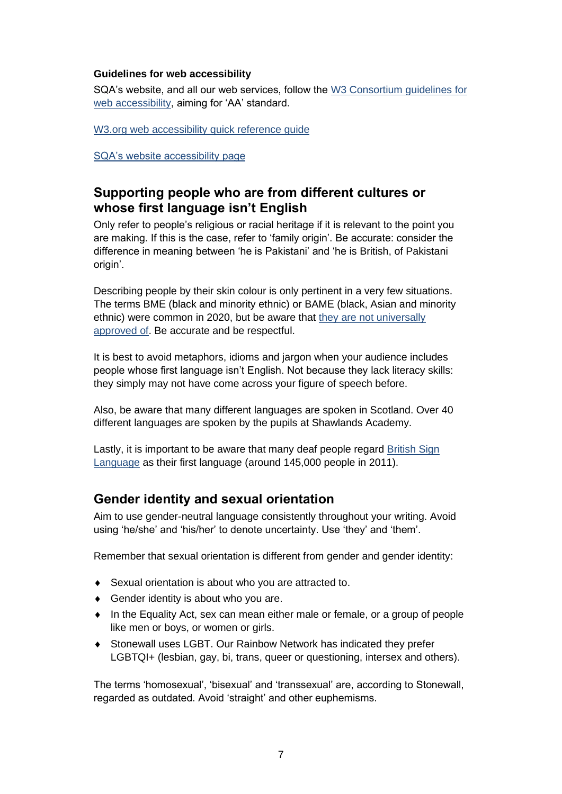#### **Guidelines for web accessibility**

SQA's website, and all our web services, follow the [W3 Consortium guidelines for](http://www.w3.org/)  [web accessibility,](http://www.w3.org/) aiming for 'AA' standard.

W3.org web accessibility quick reference quide

[SQA's website accessibility page](https://www.sqa.org.uk/sqa/4380.html)

### **Supporting people who are from different cultures or whose first language isn't English**

Only refer to people's religious or racial heritage if it is relevant to the point you are making. If this is the case, refer to 'family origin'. Be accurate: consider the difference in meaning between 'he is Pakistani' and 'he is British, of Pakistani origin'.

Describing people by their skin colour is only pertinent in a very few situations. The terms BME (black and minority ethnic) or BAME (black, Asian and minority ethnic) were common in 2020, but be aware that [they are not universally](https://www.bbc.co.uk/news/uk-politics-43831279)  [approved of.](https://www.bbc.co.uk/news/uk-politics-43831279) Be accurate and be respectful.

It is best to avoid metaphors, idioms and jargon when your audience includes people whose first language isn't English. Not because they lack literacy skills: they simply may not have come across your figure of speech before.

Also, be aware that many different languages are spoken in Scotland. Over 40 different languages are spoken by the pupils at Shawlands Academy.

Lastly, it is important to be aware that many deaf people regard [British Sign](https://www.british-sign.co.uk/what-is-british-sign-language/)  [Language](https://www.british-sign.co.uk/what-is-british-sign-language/) as their first language (around 145,000 people in 2011).

### **Gender identity and sexual orientation**

Aim to use gender-neutral language consistently throughout your writing. Avoid using 'he/she' and 'his/her' to denote uncertainty. Use 'they' and 'them'.

Remember that sexual orientation is different from gender and gender identity:

- Sexual orientation is about who you are attracted to.
- ◆ Gender identity is about who you are.
- In the Equality Act, sex can mean either male or female, or a group of people like men or boys, or women or girls.
- Stonewall uses LGBT. Our Rainbow Network has indicated they prefer LGBTQI+ (lesbian, gay, bi, trans, queer or questioning, intersex and others).

The terms 'homosexual', 'bisexual' and 'transsexual' are, according to Stonewall, regarded as outdated. Avoid 'straight' and other euphemisms.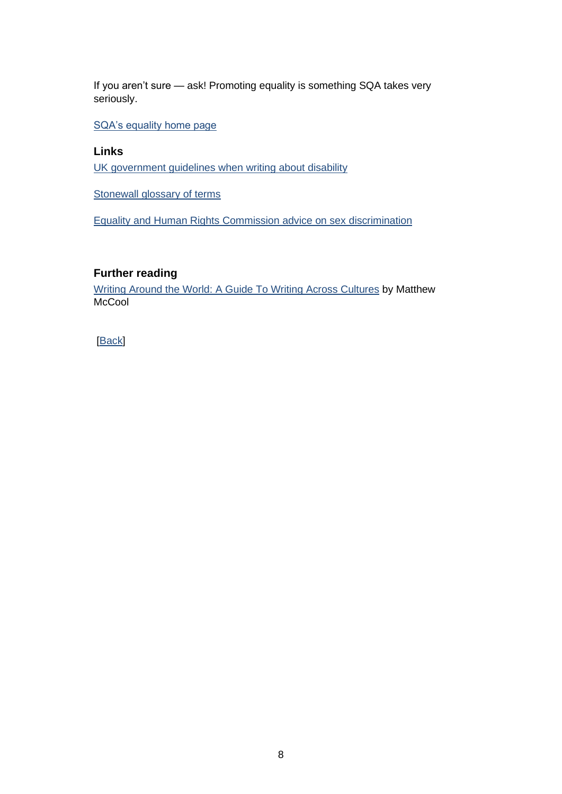If you aren't sure — ask! Promoting equality is something SQA takes very seriously.

[SQA's equality home page](https://www.sqa.org.uk/sqa/25339.html)

### **Links**

[UK government guidelines when writing about disability](https://www.gov.uk/government/publications/inclusive-communication/inclusive-language-words-to-use-and-avoid-when-writing-about-disability)

[Stonewall glossary of terms](https://www.stonewall.org.uk/help-advice/glossary-terms)

[Equality and Human Rights Commission advice on sex discrimination](https://www.equalityhumanrights.com/en/advice-and-guidance/sex-discrimination)

### **Further reading**

[Writing Around the World: A Guide To Writing Across Cultures](https://www.amazon.co.uk/Writing-Around-World-Across-Cultures/dp/082644072X/ref=sr_1_1?dchild=1&keywords=%22Writing+Around+the+World%22+McCool&qid=1588152264&s=books&sr=1-1) by Matthew **McCool**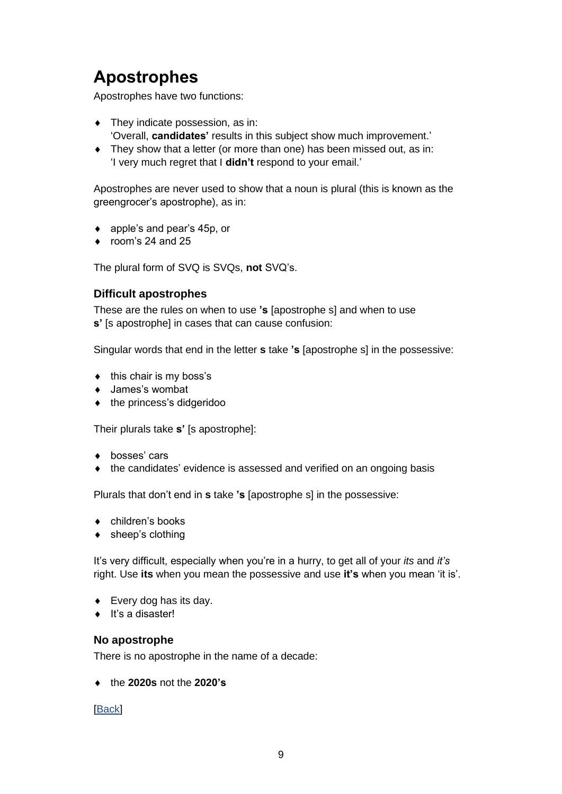# <span id="page-11-0"></span>**Apostrophes**

Apostrophes have two functions:

- They indicate possession, as in: 'Overall, **candidates'** results in this subject show much improvement.'
- They show that a letter (or more than one) has been missed out, as in: 'I very much regret that I **didn't** respond to your email.'

Apostrophes are never used to show that a noun is plural (this is known as the greengrocer's apostrophe), as in:

- ◆ apple's and pear's 45p, or
- $\bullet$  room's 24 and 25

The plural form of SVQ is SVQs, **not** SVQ's.

### **Difficult apostrophes**

These are the rules on when to use **'s** [apostrophe s] and when to use **s'** [s apostrophe] in cases that can cause confusion:

Singular words that end in the letter **s** take **'s** [apostrophe s] in the possessive:

- $\bullet$  this chair is my boss's
- James's wombat
- $\bullet$  the princess's didgeridoo

Their plurals take **s'** [s apostrophe]:

- ◆ bosses' cars
- the candidates' evidence is assessed and verified on an ongoing basis

Plurals that don't end in **s** take **'s** [apostrophe s] in the possessive:

- ◆ children's books
- $\bullet$  sheep's clothing

It's very difficult, especially when you're in a hurry, to get all of your *its* and *it's* right. Use **its** when you mean the possessive and use **it's** when you mean 'it is'.

- ◆ Every dog has its day.
- $\bullet$  It's a disaster!

#### **No apostrophe**

There is no apostrophe in the name of a decade:

the **2020s** not the **2020's**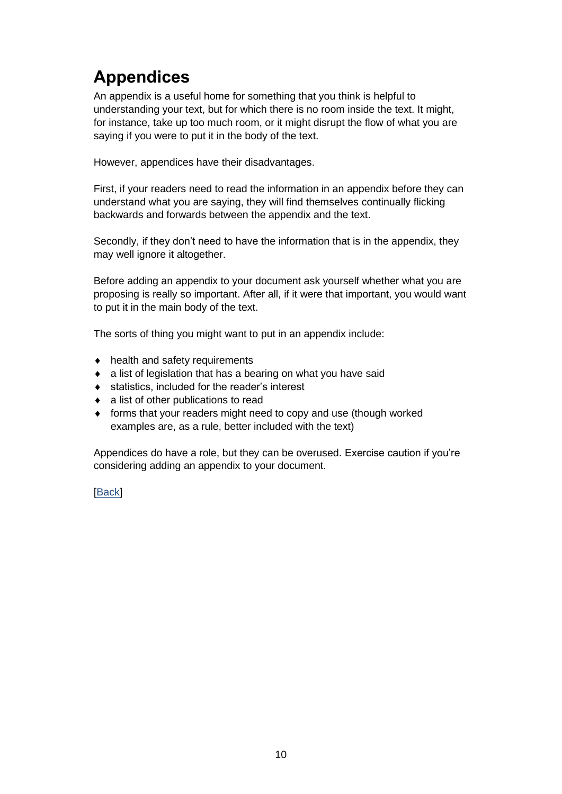# <span id="page-12-0"></span>**Appendices**

An appendix is a useful home for something that you think is helpful to understanding your text, but for which there is no room inside the text. It might, for instance, take up too much room, or it might disrupt the flow of what you are saying if you were to put it in the body of the text.

However, appendices have their disadvantages.

First, if your readers need to read the information in an appendix before they can understand what you are saying, they will find themselves continually flicking backwards and forwards between the appendix and the text.

Secondly, if they don't need to have the information that is in the appendix, they may well ignore it altogether.

Before adding an appendix to your document ask yourself whether what you are proposing is really so important. After all, if it were that important, you would want to put it in the main body of the text.

The sorts of thing you might want to put in an appendix include:

- $\bullet$  health and safety requirements
- $\bullet$  a list of legislation that has a bearing on what you have said
- statistics, included for the reader's interest
- a list of other publications to read
- forms that your readers might need to copy and use (though worked examples are, as a rule, better included with the text)

Appendices do have a role, but they can be overused. Exercise caution if you're considering adding an appendix to your document.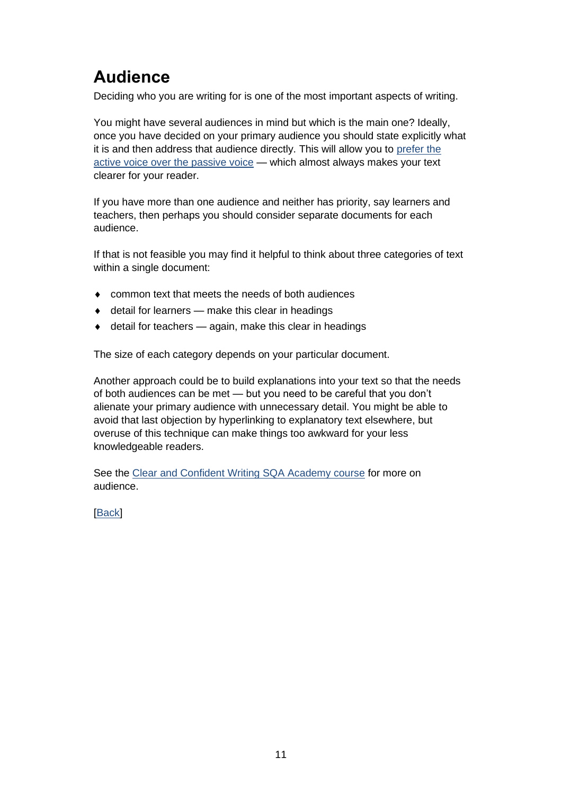# <span id="page-13-0"></span>**Audience**

Deciding who you are writing for is one of the most important aspects of writing.

You might have several audiences in mind but which is the main one? Ideally, once you have decided on your primary audience you should state explicitly what it is and then address that audience directly. This will allow you to prefer the [active voice over the](#page-56-1) passive voice — which almost always makes your text clearer for your reader.

If you have more than one audience and neither has priority, say learners and teachers, then perhaps you should consider separate documents for each audience.

If that is not feasible you may find it helpful to think about three categories of text within a single document:

- common text that meets the needs of both audiences
- $\bullet$  detail for learners make this clear in headings
- $\bullet$  detail for teachers again, make this clear in headings

The size of each category depends on your particular document.

Another approach could be to build explanations into your text so that the needs of both audiences can be met — but you need to be careful that you don't alienate your primary audience with unnecessary detail. You might be able to avoid that last objection by hyperlinking to explanatory text elsewhere, but overuse of this technique can make things too awkward for your less knowledgeable readers.

See the [Clear and Confident Writing SQA Academy course](https://www.sqaacademy.org.uk/course/view.php?id=703) for more on audience.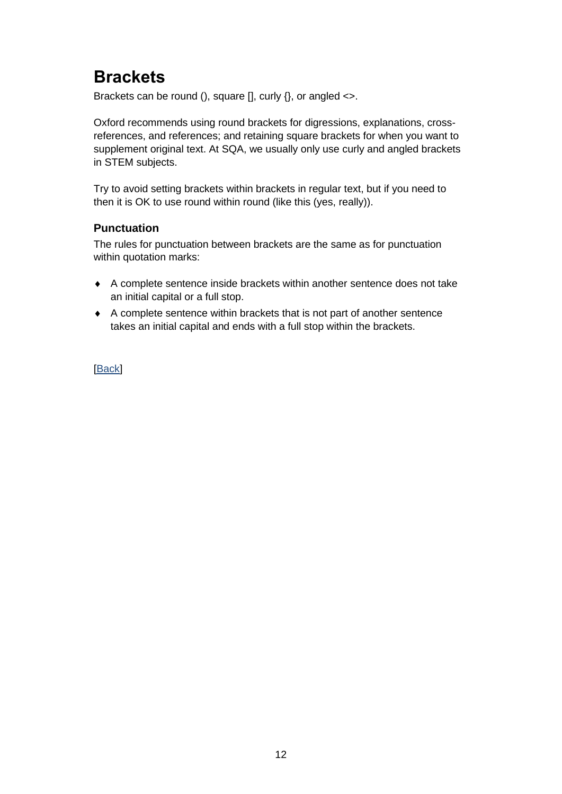# <span id="page-14-0"></span>**Brackets**

Brackets can be round (), square [], curly {}, or angled <>.

Oxford recommends using round brackets for digressions, explanations, crossreferences, and references; and retaining square brackets for when you want to supplement original text. At SQA, we usually only use curly and angled brackets in STEM subjects.

Try to avoid setting brackets within brackets in regular text, but if you need to then it is OK to use round within round (like this (yes, really)).

### **Punctuation**

The rules for punctuation between brackets are the same as for punctuation within quotation marks:

- A complete sentence inside brackets within another sentence does not take an initial capital or a full stop.
- A complete sentence within brackets that is not part of another sentence takes an initial capital and ends with a full stop within the brackets.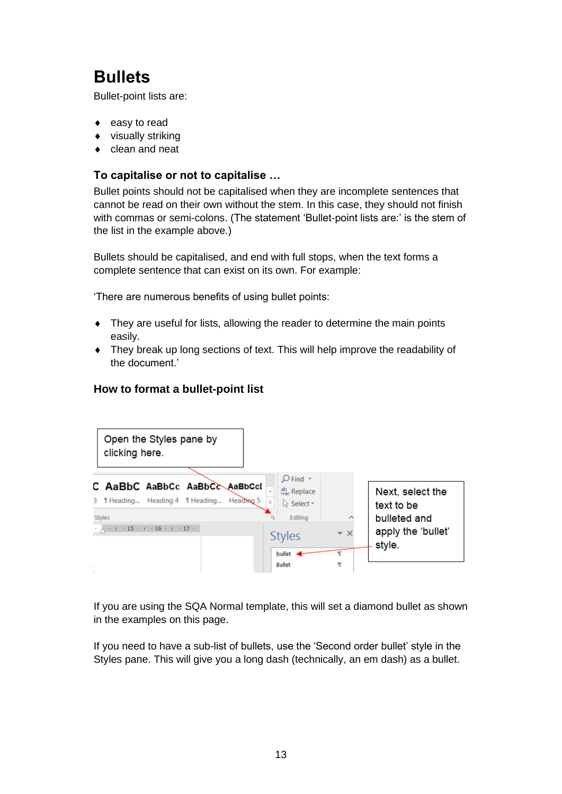# <span id="page-15-0"></span>**Bullets**

Bullet-point lists are:

- easy to read
- visually striking
- clean and neat

### **To capitalise or not to capitalise …**

Bullet points should not be capitalised when they are incomplete sentences that cannot be read on their own without the stem. In this case, they should not finish with commas or semi-colons. (The statement 'Bullet-point lists are:' is the stem of the list in the example above.)

Bullets should be capitalised, and end with full stops, when the text forms a complete sentence that can exist on its own. For example:

'There are numerous benefits of using bullet points:

- They are useful for lists, allowing the reader to determine the main points easily.
- They break up long sections of text. This will help improve the readability of the document.'

### **How to format a bullet-point list**



If you are using the SQA Normal template, this will set a diamond bullet as shown in the examples on this page.

If you need to have a sub-list of bullets, use the 'Second order bullet' style in the Styles pane. This will give you a long dash (technically, an em dash) as a bullet.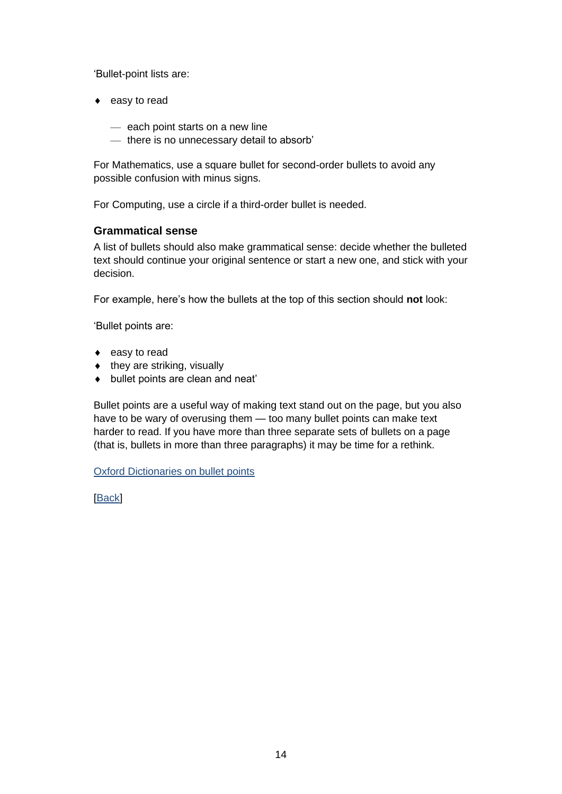'Bullet-point lists are:

- $\bullet$  easy to read
	- each point starts on a new line
	- there is no unnecessary detail to absorb'

For Mathematics, use a square bullet for second-order bullets to avoid any possible confusion with minus signs.

For Computing, use a circle if a third-order bullet is needed.

### **Grammatical sense**

A list of bullets should also make grammatical sense: decide whether the bulleted text should continue your original sentence or start a new one, and stick with your decision.

For example, here's how the bullets at the top of this section should **not** look:

'Bullet points are:

- $\bullet$  easy to read
- $\bullet$  they are striking, visually
- bullet points are clean and neat'

Bullet points are a useful way of making text stand out on the page, but you also have to be wary of overusing them — too many bullet points can make text harder to read. If you have more than three separate sets of bullets on a page (that is, bullets in more than three paragraphs) it may be time for a rethink.

#### [Oxford Dictionaries on bullet points](https://en.oxforddictionaries.com/punctuation/bullet-points)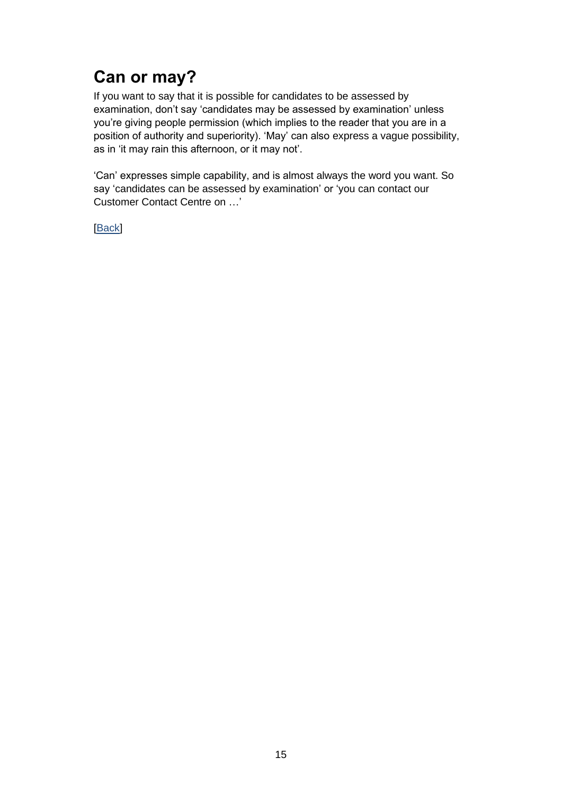# <span id="page-17-0"></span>**Can or may?**

If you want to say that it is possible for candidates to be assessed by examination, don't say 'candidates may be assessed by examination' unless you're giving people permission (which implies to the reader that you are in a position of authority and superiority). 'May' can also express a vague possibility, as in 'it may rain this afternoon, or it may not'.

'Can' expresses simple capability, and is almost always the word you want. So say 'candidates can be assessed by examination' or 'you can contact our Customer Contact Centre on …'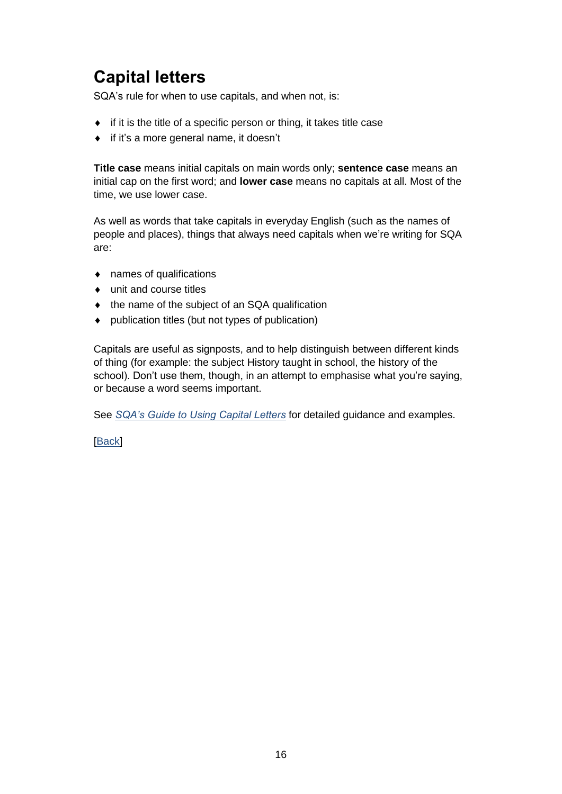# <span id="page-18-0"></span>**Capital letters**

SQA's rule for when to use capitals, and when not, is:

- $\bullet$  if it is the title of a specific person or thing, it takes title case
- if it's a more general name, it doesn't

**Title case** means initial capitals on main words only; **sentence case** means an initial cap on the first word; and **lower case** means no capitals at all. Most of the time, we use lower case.

As well as words that take capitals in everyday English (such as the names of people and places), things that always need capitals when we're writing for SQA are:

- names of qualifications
- unit and course titles
- ◆ the name of the subject of an SQA qualification
- publication titles (but not types of publication)

Capitals are useful as signposts, and to help distinguish between different kinds of thing (for example: the subject History taught in school, the history of the school). Don't use them, though, in an attempt to emphasise what you're saying, or because a word seems important.

See *[SQA's Guide to Using Capital Letters](https://sqanow.sharepoint.com/sites/connections/Publishing%20and%20writing/Documents/SQA_Guide_to_Using_Capital_Letters.pdf)* for detailed guidance and examples.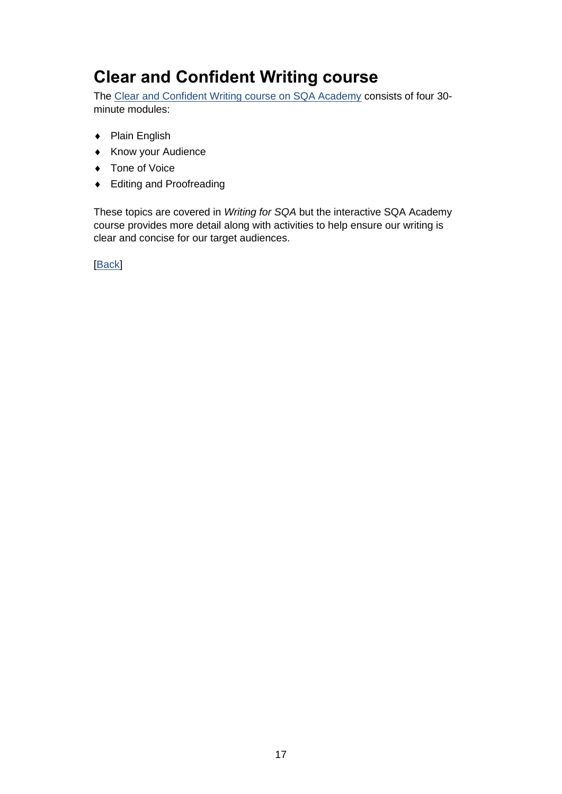# <span id="page-19-0"></span>**Clear and Confident Writing course**

The [Clear and Confident Writing course on SQA Academy](https://www.sqaacademy.org.uk/course/view.php?id=703) consists of four 30 minute modules:

- ◆ Plain English
- ◆ Know your Audience
- ◆ Tone of Voice
- ◆ Editing and Proofreading

These topics are covered in *Writing for SQA* but the interactive SQA Academy course provides more detail along with activities to help ensure our writing is clear and concise for our target audiences.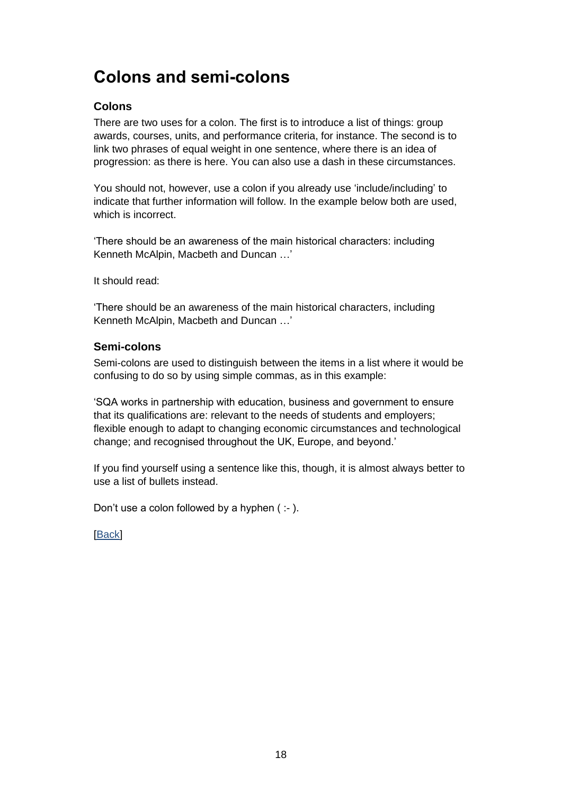## <span id="page-20-0"></span>**Colons and semi-colons**

### **Colons**

There are two uses for a colon. The first is to introduce a list of things: group awards, courses, units, and performance criteria, for instance. The second is to link two phrases of equal weight in one sentence, where there is an idea of progression: as there is here. You can also use a dash in these circumstances.

You should not, however, use a colon if you already use 'include/including' to indicate that further information will follow. In the example below both are used, which is incorrect.

'There should be an awareness of the main historical characters: including Kenneth McAlpin, Macbeth and Duncan …'

It should read:

'There should be an awareness of the main historical characters, including Kenneth McAlpin, Macbeth and Duncan …'

### **Semi-colons**

Semi-colons are used to distinguish between the items in a list where it would be confusing to do so by using simple commas, as in this example:

'SQA works in partnership with education, business and government to ensure that its qualifications are: relevant to the needs of students and employers; flexible enough to adapt to changing economic circumstances and technological change; and recognised throughout the UK, Europe, and beyond.'

If you find yourself using a sentence like this, though, it is almost always better to use a list of bullets instead.

Don't use a colon followed by a hyphen ( :- ).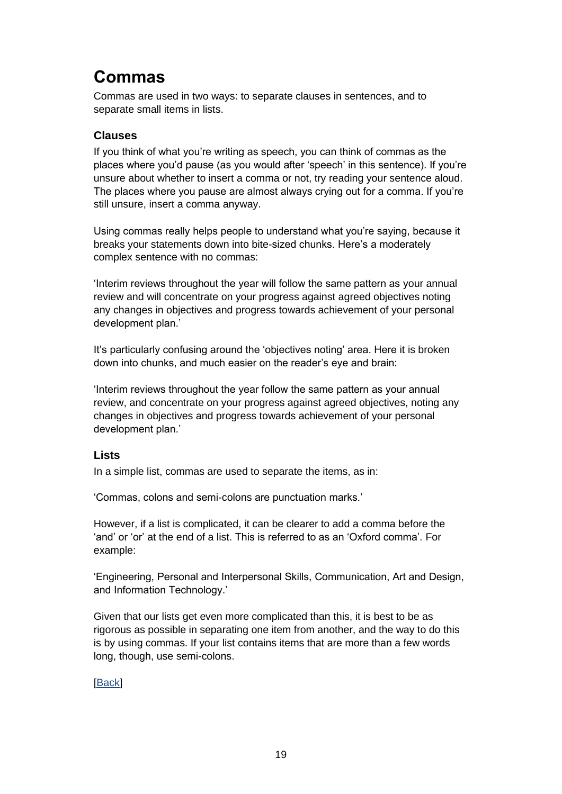## <span id="page-21-0"></span>**Commas**

Commas are used in two ways: to separate clauses in sentences, and to separate small items in lists.

### **Clauses**

If you think of what you're writing as speech, you can think of commas as the places where you'd pause (as you would after 'speech' in this sentence). If you're unsure about whether to insert a comma or not, try reading your sentence aloud. The places where you pause are almost always crying out for a comma. If you're still unsure, insert a comma anyway.

Using commas really helps people to understand what you're saying, because it breaks your statements down into bite-sized chunks. Here's a moderately complex sentence with no commas:

'Interim reviews throughout the year will follow the same pattern as your annual review and will concentrate on your progress against agreed objectives noting any changes in objectives and progress towards achievement of your personal development plan.'

It's particularly confusing around the 'objectives noting' area. Here it is broken down into chunks, and much easier on the reader's eye and brain:

'Interim reviews throughout the year follow the same pattern as your annual review, and concentrate on your progress against agreed objectives, noting any changes in objectives and progress towards achievement of your personal development plan.'

### **Lists**

In a simple list, commas are used to separate the items, as in:

'Commas, colons and semi-colons are punctuation marks.'

However, if a list is complicated, it can be clearer to add a comma before the 'and' or 'or' at the end of a list. This is referred to as an 'Oxford comma'. For example:

'Engineering, Personal and Interpersonal Skills, Communication, Art and Design, and Information Technology.'

Given that our lists get even more complicated than this, it is best to be as rigorous as possible in separating one item from another, and the way to do this is by using commas. If your list contains items that are more than a few words long, though, use semi-colons.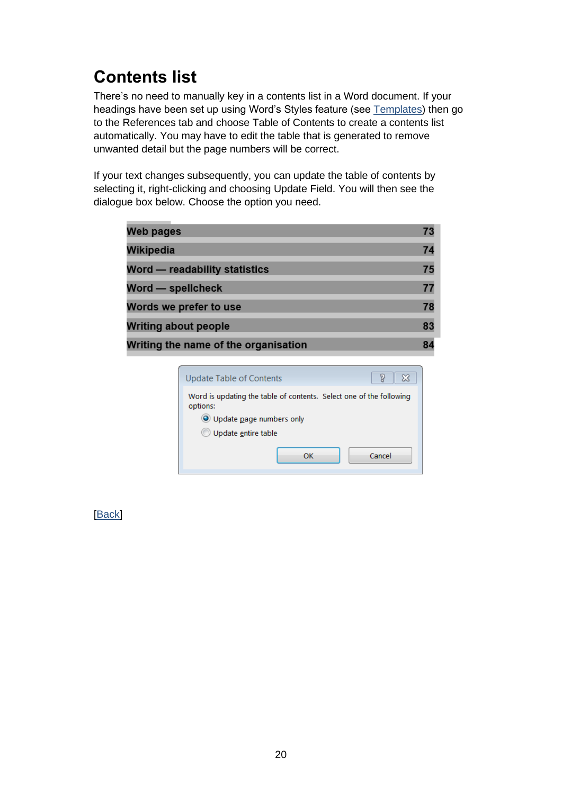# <span id="page-22-0"></span>**Contents list**

There's no need to manually key in a contents list in a Word document. If your headings have been set up using Word's Styles feature (see [Templates\)](#page-72-0) then go to the References tab and choose Table of Contents to create a contents list automatically. You may have to edit the table that is generated to remove unwanted detail but the page numbers will be correct.

If your text changes subsequently, you can update the table of contents by selecting it, right-clicking and choosing Update Field. You will then see the dialogue box below. Choose the option you need.

| <b>Web pages</b>                     | 73 |
|--------------------------------------|----|
| Wikipedia                            | 74 |
| <b>Word - readability statistics</b> | 75 |
| Word - spellcheck                    | 77 |
| Words we prefer to use               | 78 |
| <b>Writing about people</b>          | 83 |
| Writing the name of the organisation |    |

| Update Table of Contents                                                        |
|---------------------------------------------------------------------------------|
| Word is updating the table of contents. Select one of the following<br>options: |
| O Update page numbers only                                                      |
| Update entire table                                                             |
| Cancel<br>ΩK                                                                    |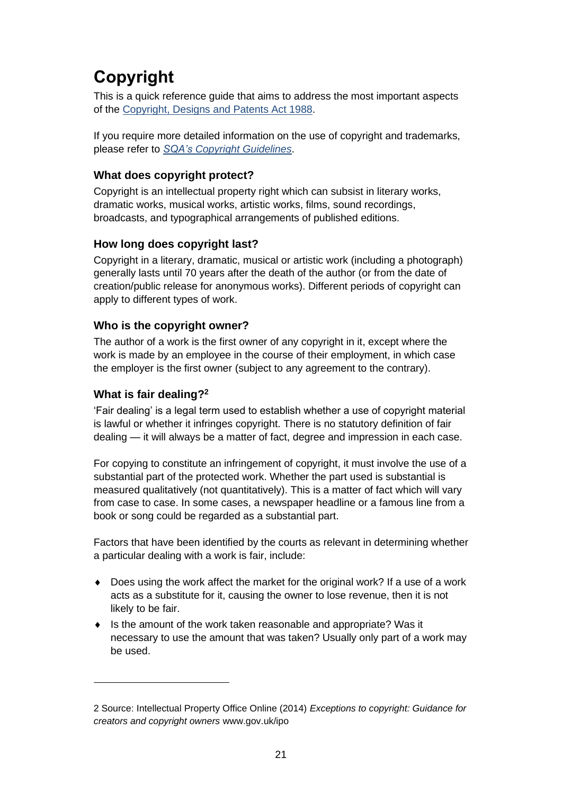# <span id="page-23-0"></span>**Copyright**

This is a quick reference guide that aims to address the most important aspects of the [Copyright, Designs and Patents Act 1988.](http://www.legislation.gov.uk/ukpga/1988/48/contents)

If you require more detailed information on the use of copyright and trademarks, please refer to *SQA's [Copyright Guidelines](https://sqanow.sharepoint.com/sites/intranet/SitePages/Publishing-policies.aspx?web=1)*.

### **What does copyright protect?**

Copyright is an intellectual property right which can subsist in literary works, dramatic works, musical works, artistic works, films, sound recordings, broadcasts, and typographical arrangements of published editions.

### **How long does copyright last?**

Copyright in a literary, dramatic, musical or artistic work (including a photograph) generally lasts until 70 years after the death of the author (or from the date of creation/public release for anonymous works). Different periods of copyright can apply to different types of work.

### **Who is the copyright owner?**

The author of a work is the first owner of any copyright in it, except where the work is made by an employee in the course of their employment, in which case the employer is the first owner (subject to any agreement to the contrary).

### **What is fair dealing?<sup>2</sup>**

'Fair dealing' is a legal term used to establish whether a use of copyright material is lawful or whether it infringes copyright. There is no statutory definition of fair dealing — it will always be a matter of fact, degree and impression in each case.

For copying to constitute an infringement of copyright, it must involve the use of a substantial part of the protected work. Whether the part used is substantial is measured qualitatively (not quantitatively). This is a matter of fact which will vary from case to case. In some cases, a newspaper headline or a famous line from a book or song could be regarded as a substantial part.

Factors that have been identified by the courts as relevant in determining whether a particular dealing with a work is fair, include:

- ◆ Does using the work affect the market for the original work? If a use of a work acts as a substitute for it, causing the owner to lose revenue, then it is not likely to be fair.
- $\bullet$  Is the amount of the work taken reasonable and appropriate? Was it necessary to use the amount that was taken? Usually only part of a work may be used.

<sup>2</sup> Source: Intellectual Property Office Online (2014) *Exceptions to copyright: Guidance for creators and copyright owners* www.gov.uk/ipo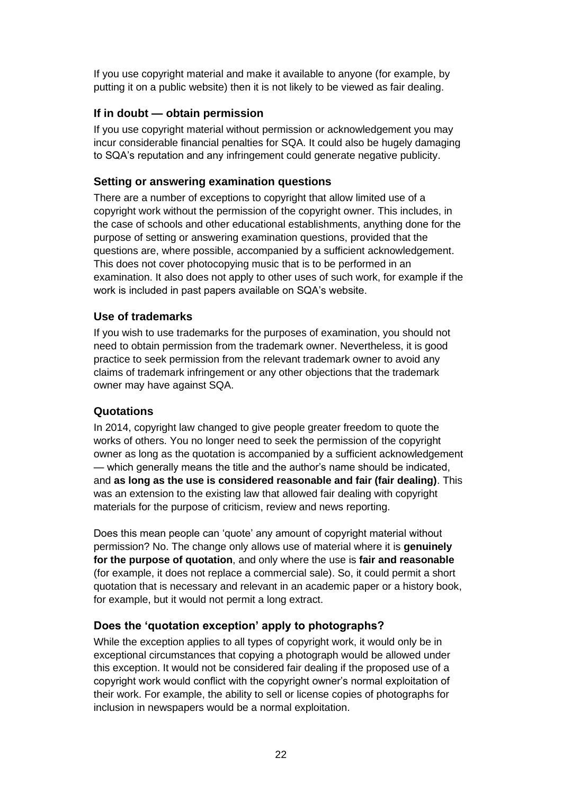If you use copyright material and make it available to anyone (for example, by putting it on a public website) then it is not likely to be viewed as fair dealing.

### **If in doubt — obtain permission**

If you use copyright material without permission or acknowledgement you may incur considerable financial penalties for SQA. It could also be hugely damaging to SQA's reputation and any infringement could generate negative publicity.

### **Setting or answering examination questions**

There are a number of exceptions to copyright that allow limited use of a copyright work without the permission of the copyright owner. This includes, in the case of schools and other educational establishments, anything done for the purpose of setting or answering examination questions, provided that the questions are, where possible, accompanied by a sufficient acknowledgement. This does not cover photocopying music that is to be performed in an examination. It also does not apply to other uses of such work, for example if the work is included in past papers available on SQA's website.

### **Use of trademarks**

If you wish to use trademarks for the purposes of examination, you should not need to obtain permission from the trademark owner. Nevertheless, it is good practice to seek permission from the relevant trademark owner to avoid any claims of trademark infringement or any other objections that the trademark owner may have against SQA.

### **Quotations**

In 2014, copyright law changed to give people greater freedom to quote the works of others. You no longer need to seek the permission of the copyright owner as long as the quotation is accompanied by a sufficient acknowledgement — which generally means the title and the author's name should be indicated, and **as long as the use is considered reasonable and fair (fair dealing)**. This was an extension to the existing law that allowed fair dealing with copyright materials for the purpose of criticism, review and news reporting.

Does this mean people can 'quote' any amount of copyright material without permission? No. The change only allows use of material where it is **genuinely for the purpose of quotation**, and only where the use is **fair and reasonable** (for example, it does not replace a commercial sale). So, it could permit a short quotation that is necessary and relevant in an academic paper or a history book, for example, but it would not permit a long extract.

### **Does the 'quotation exception' apply to photographs?**

While the exception applies to all types of copyright work, it would only be in exceptional circumstances that copying a photograph would be allowed under this exception. It would not be considered fair dealing if the proposed use of a copyright work would conflict with the copyright owner's normal exploitation of their work. For example, the ability to sell or license copies of photographs for inclusion in newspapers would be a normal exploitation.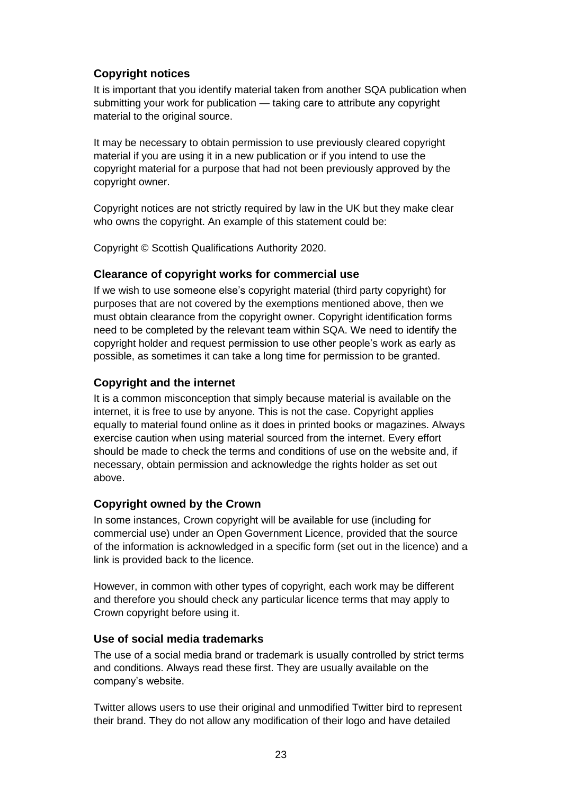### **Copyright notices**

It is important that you identify material taken from another SQA publication when submitting your work for publication — taking care to attribute any copyright material to the original source.

It may be necessary to obtain permission to use previously cleared copyright material if you are using it in a new publication or if you intend to use the copyright material for a purpose that had not been previously approved by the copyright owner.

Copyright notices are not strictly required by law in the UK but they make clear who owns the copyright. An example of this statement could be:

Copyright © Scottish Qualifications Authority 2020.

### **Clearance of copyright works for commercial use**

If we wish to use someone else's copyright material (third party copyright) for purposes that are not covered by the exemptions mentioned above, then we must obtain clearance from the copyright owner. Copyright identification forms need to be completed by the relevant team within SQA. We need to identify the copyright holder and request permission to use other people's work as early as possible, as sometimes it can take a long time for permission to be granted.

### **Copyright and the internet**

It is a common misconception that simply because material is available on the internet, it is free to use by anyone. This is not the case. Copyright applies equally to material found online as it does in printed books or magazines. Always exercise caution when using material sourced from the internet. Every effort should be made to check the terms and conditions of use on the website and, if necessary, obtain permission and acknowledge the rights holder as set out above.

### **Copyright owned by the Crown**

In some instances, Crown copyright will be available for use (including for commercial use) under an Open Government Licence, provided that the source of the information is acknowledged in a specific form (set out in the licence) and a link is provided back to the licence.

However, in common with other types of copyright, each work may be different and therefore you should check any particular licence terms that may apply to Crown copyright before using it.

### **Use of social media trademarks**

The use of a social media brand or trademark is usually controlled by strict terms and conditions. Always read these first. They are usually available on the company's website.

Twitter allows users to use their original and unmodified Twitter bird to represent their brand. They do not allow any modification of their logo and have detailed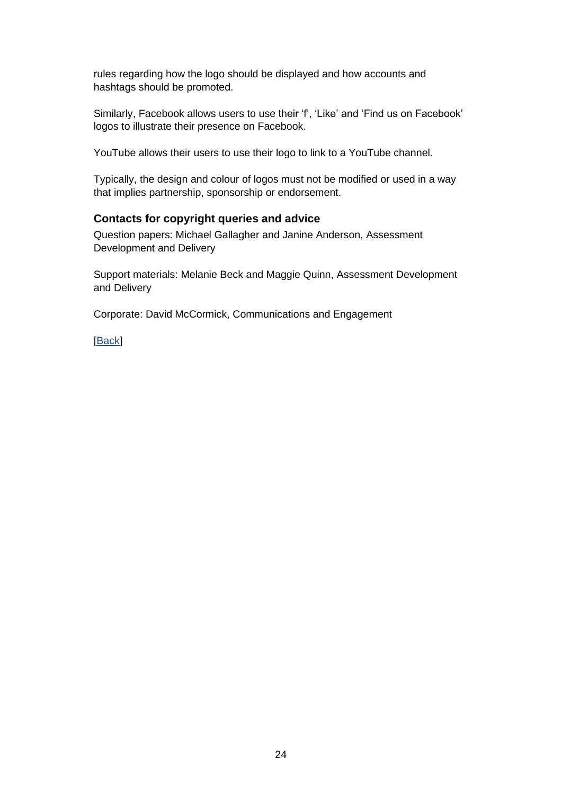rules regarding how the logo should be displayed and how accounts and hashtags should be promoted.

Similarly, Facebook allows users to use their 'f', 'Like' and 'Find us on Facebook' logos to illustrate their presence on Facebook.

YouTube allows their users to use their logo to link to a YouTube channel.

Typically, the design and colour of logos must not be modified or used in a way that implies partnership, sponsorship or endorsement.

### **Contacts for copyright queries and advice**

Question papers: Michael Gallagher and Janine Anderson, Assessment Development and Delivery

Support materials: Melanie Beck and Maggie Quinn, Assessment Development and Delivery

Corporate: David McCormick, Communications and Engagement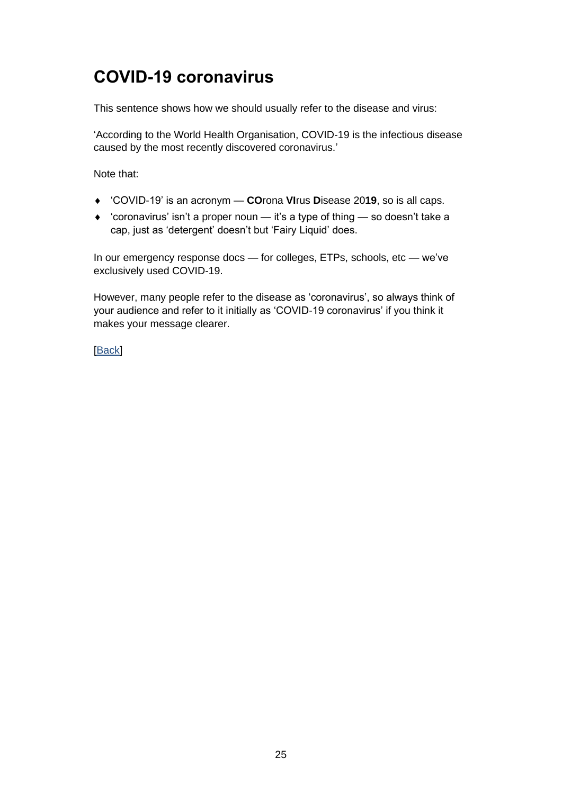## <span id="page-27-0"></span>**COVID-19 coronavirus**

This sentence shows how we should usually refer to the disease and virus:

'According to the World Health Organisation, COVID-19 is the infectious disease caused by the most recently discovered coronavirus.'

Note that:

- 'COVID-19' is an acronym **CO**rona **VI**rus **D**isease 20**19**, so is all caps.
- 'coronavirus' isn't a proper noun it's a type of thing so doesn't take a cap, just as 'detergent' doesn't but 'Fairy Liquid' does.

In our emergency response docs — for colleges, ETPs, schools, etc — we've exclusively used COVID-19.

However, many people refer to the disease as 'coronavirus', so always think of your audience and refer to it initially as 'COVID-19 coronavirus' if you think it makes your message clearer.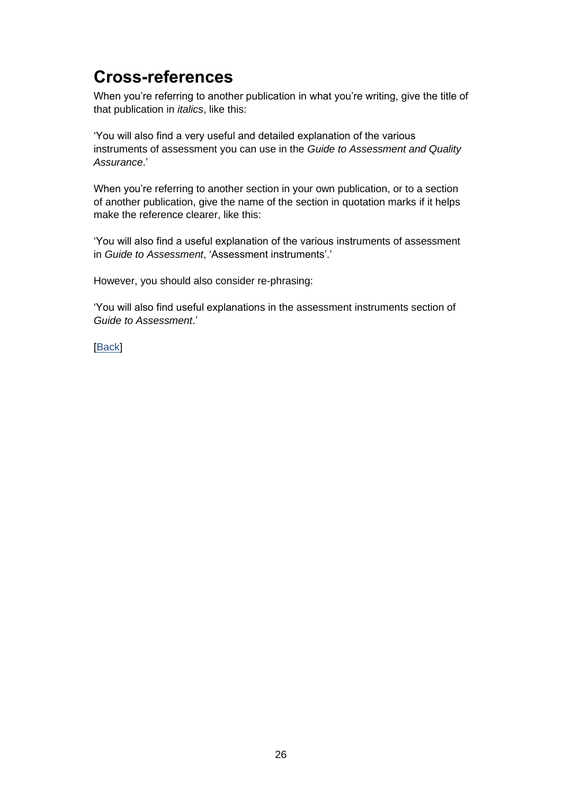## <span id="page-28-0"></span>**Cross-references**

When you're referring to another publication in what you're writing, give the title of that publication in *italics*, like this:

'You will also find a very useful and detailed explanation of the various instruments of assessment you can use in the *Guide to Assessment and Quality Assurance*.'

When you're referring to another section in your own publication, or to a section of another publication, give the name of the section in quotation marks if it helps make the reference clearer, like this:

'You will also find a useful explanation of the various instruments of assessment in *Guide to Assessment*, 'Assessment instruments'.'

However, you should also consider re-phrasing:

'You will also find useful explanations in the assessment instruments section of *Guide to Assessment*.'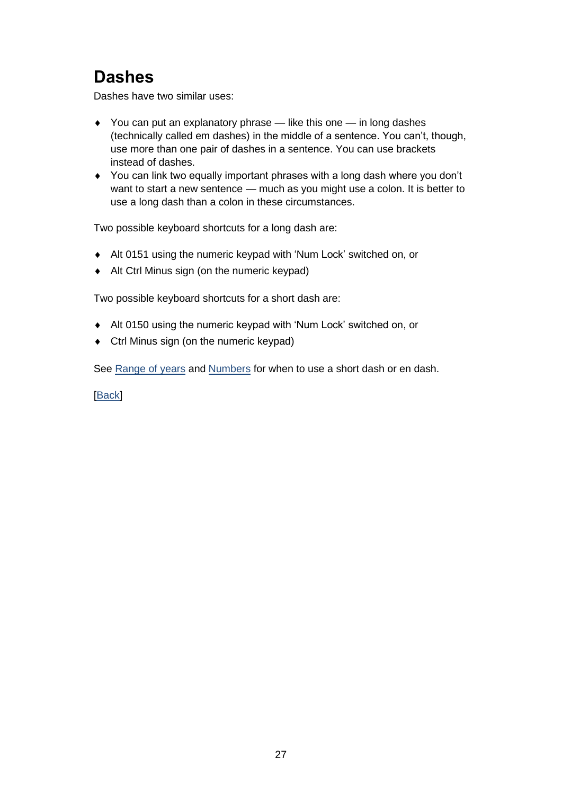## <span id="page-29-0"></span>**Dashes**

Dashes have two similar uses:

- $\rightarrow$  You can put an explanatory phrase like this one in long dashes (technically called em dashes) in the middle of a sentence. You can't, though, use more than one pair of dashes in a sentence. You can use brackets instead of dashes.
- You can link two equally important phrases with a long dash where you don't want to start a new sentence — much as you might use a colon. It is better to use a long dash than a colon in these circumstances.

Two possible keyboard shortcuts for a long dash are:

- Alt 0151 using the numeric keypad with 'Num Lock' switched on, or
- Alt Ctrl Minus sign (on the numeric keypad)

Two possible keyboard shortcuts for a short dash are:

- Alt 0150 using the numeric keypad with 'Num Lock' switched on, or
- Ctrl Minus sign (on the numeric keypad)

See [Range of years](#page-30-1) and [Numbers](#page-51-0) for when to use a short dash or en dash.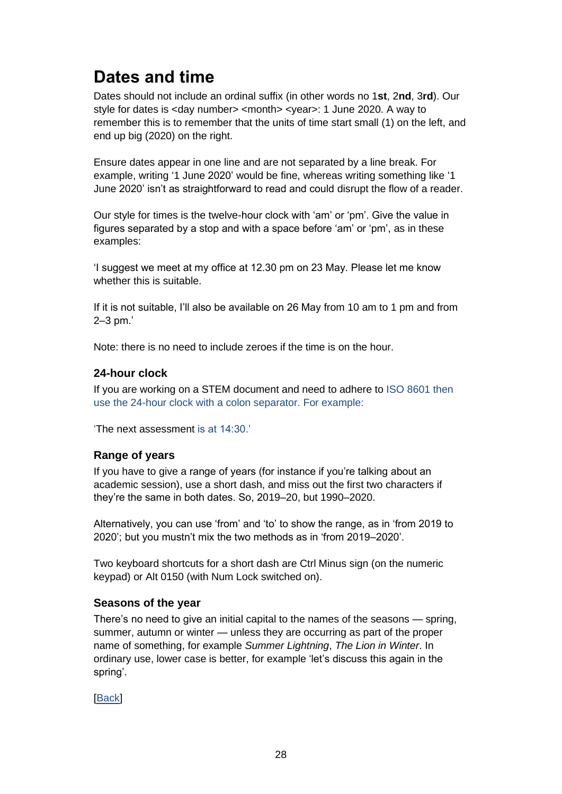# <span id="page-30-0"></span>**Dates and time**

Dates should not include an ordinal suffix (in other words no 1**st**, 2**nd**, 3**rd**). Our style for dates is <day number> <month> <year>: 1 June 2020. A way to remember this is to remember that the units of time start small (1) on the left, and end up big (2020) on the right.

Ensure dates appear in one line and are not separated by a line break. For example, writing '1 June 2020' would be fine, whereas writing something like '1 June 2020' isn't as straightforward to read and could disrupt the flow of a reader.

Our style for times is the twelve-hour clock with 'am' or 'pm'. Give the value in figures separated by a stop and with a space before 'am' or 'pm', as in these examples:

'I suggest we meet at my office at 12.30 pm on 23 May. Please let me know whether this is suitable.

If it is not suitable, I'll also be available on 26 May from 10 am to 1 pm and from 2–3 pm.'

Note: there is no need to include zeroes if the time is on the hour.

### **24-hour clock**

If you are working on a STEM document and need to adhere to ISO 8601 then use the 24-hour clock with a colon separator. For example:

'The next assessment is at 14:30.'

### <span id="page-30-1"></span>**Range of years**

If you have to give a range of years (for instance if you're talking about an academic session), use a short dash, and miss out the first two characters if they're the same in both dates. So, 2019–20, but 1990–2020.

Alternatively, you can use 'from' and 'to' to show the range, as in 'from 2019 to 2020'; but you mustn't mix the two methods as in 'from 2019–2020'.

Two keyboard shortcuts for a short dash are Ctrl Minus sign (on the numeric keypad) or Alt 0150 (with Num Lock switched on).

#### **Seasons of the year**

There's no need to give an initial capital to the names of the seasons — spring, summer, autumn or winter — unless they are occurring as part of the proper name of something, for example *Summer Lightning*, *The Lion in Winter*. In ordinary use, lower case is better, for example 'let's discuss this again in the spring'.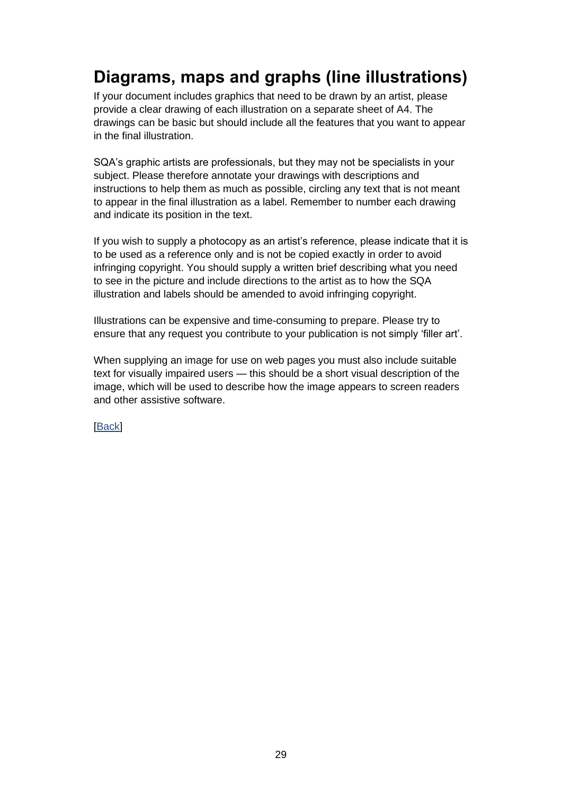# <span id="page-31-0"></span>**Diagrams, maps and graphs (line illustrations)**

If your document includes graphics that need to be drawn by an artist, please provide a clear drawing of each illustration on a separate sheet of A4. The drawings can be basic but should include all the features that you want to appear in the final illustration.

SQA's graphic artists are professionals, but they may not be specialists in your subject. Please therefore annotate your drawings with descriptions and instructions to help them as much as possible, circling any text that is not meant to appear in the final illustration as a label. Remember to number each drawing and indicate its position in the text.

If you wish to supply a photocopy as an artist's reference, please indicate that it is to be used as a reference only and is not be copied exactly in order to avoid infringing copyright. You should supply a written brief describing what you need to see in the picture and include directions to the artist as to how the SQA illustration and labels should be amended to avoid infringing copyright.

Illustrations can be expensive and time-consuming to prepare. Please try to ensure that any request you contribute to your publication is not simply 'filler art'.

When supplying an image for use on web pages you must also include suitable text for visually impaired users — this should be a short visual description of the image, which will be used to describe how the image appears to screen readers and other assistive software.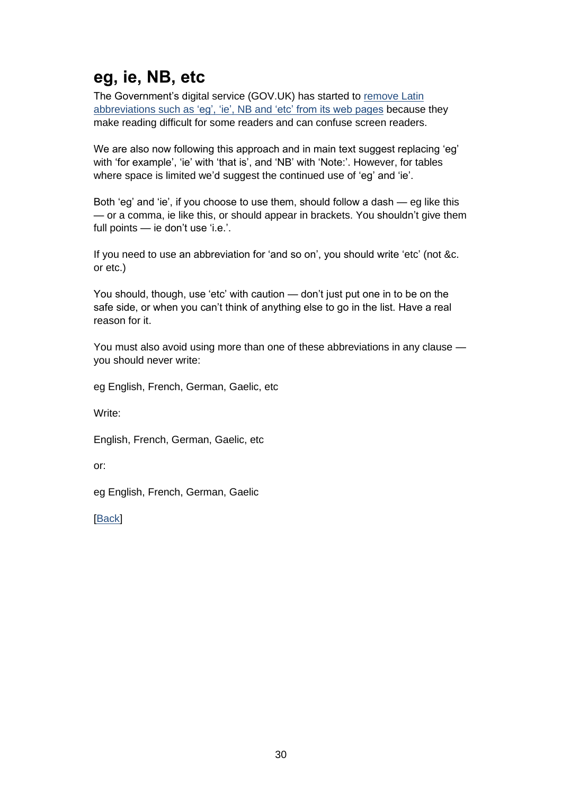# <span id="page-32-0"></span>**eg, ie, NB, etc**

The Government's digital service (GOV.UK) has started to [remove](https://insidegovuk.blog.gov.uk/2016/07/20/changes-to-the-style-guide-no-more-eg-and-ie-etc/) Latin abbreviations such as ['eg', 'ie', NB and 'etc' from its web pages](https://insidegovuk.blog.gov.uk/2016/07/20/changes-to-the-style-guide-no-more-eg-and-ie-etc/) because they make reading difficult for some readers and can confuse screen readers.

We are also now following this approach and in main text suggest replacing 'eg' with 'for example', 'ie' with 'that is', and 'NB' with 'Note:'. However, for tables where space is limited we'd suggest the continued use of 'eg' and 'ie'.

Both 'eg' and 'ie', if you choose to use them, should follow a dash — eg like this — or a comma, ie like this, or should appear in brackets. You shouldn't give them full points — ie don't use 'i.e.'.

If you need to use an abbreviation for 'and so on', you should write 'etc' (not &c. or etc.)

You should, though, use 'etc' with caution — don't just put one in to be on the safe side, or when you can't think of anything else to go in the list. Have a real reason for it.

You must also avoid using more than one of these abbreviations in any clause you should never write:

eg English, French, German, Gaelic, etc

Write:

English, French, German, Gaelic, etc

or:

eg English, French, German, Gaelic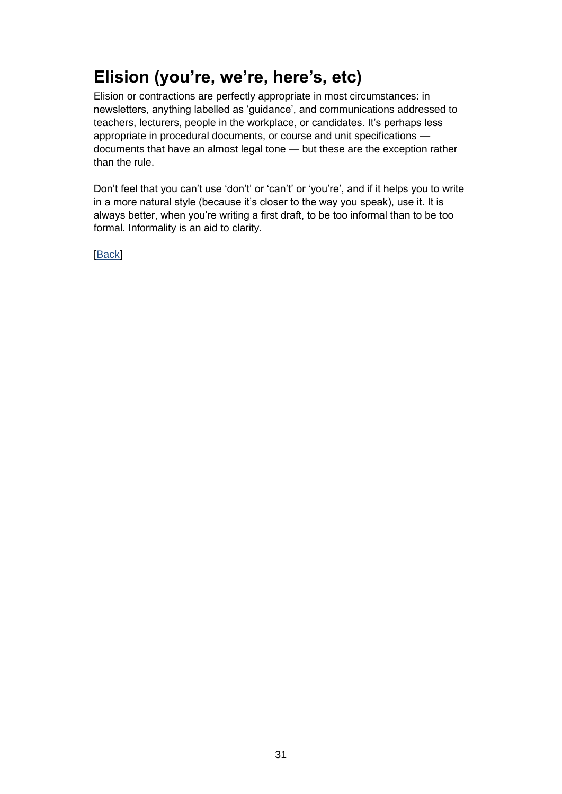# <span id="page-33-0"></span>**Elision (you're, we're, here's, etc)**

Elision or contractions are perfectly appropriate in most circumstances: in newsletters, anything labelled as 'guidance', and communications addressed to teachers, lecturers, people in the workplace, or candidates. It's perhaps less appropriate in procedural documents, or course and unit specifications documents that have an almost legal tone — but these are the exception rather than the rule.

Don't feel that you can't use 'don't' or 'can't' or 'you're', and if it helps you to write in a more natural style (because it's closer to the way you speak), use it. It is always better, when you're writing a first draft, to be too informal than to be too formal. Informality is an aid to clarity.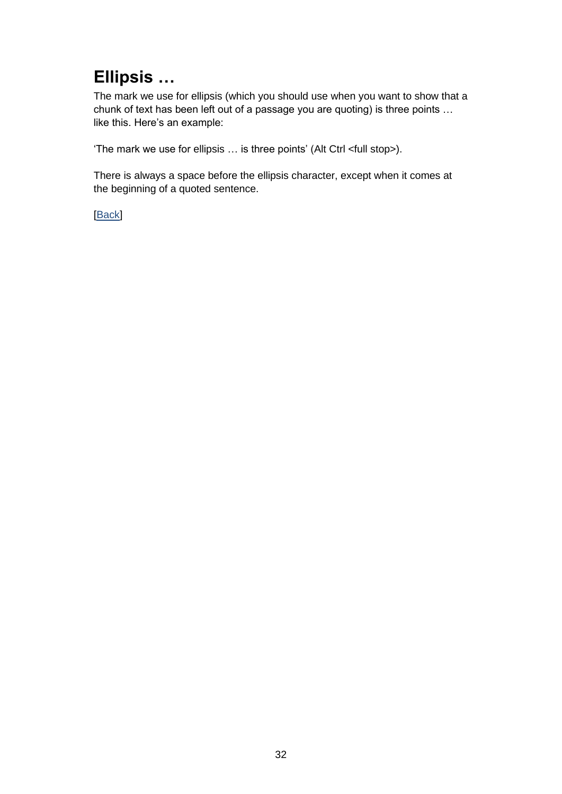# <span id="page-34-0"></span>**Ellipsis …**

The mark we use for ellipsis (which you should use when you want to show that a chunk of text has been left out of a passage you are quoting) is three points … like this. Here's an example:

'The mark we use for ellipsis … is three points' (Alt Ctrl <full stop>).

There is always a space before the ellipsis character, except when it comes at the beginning of a quoted sentence.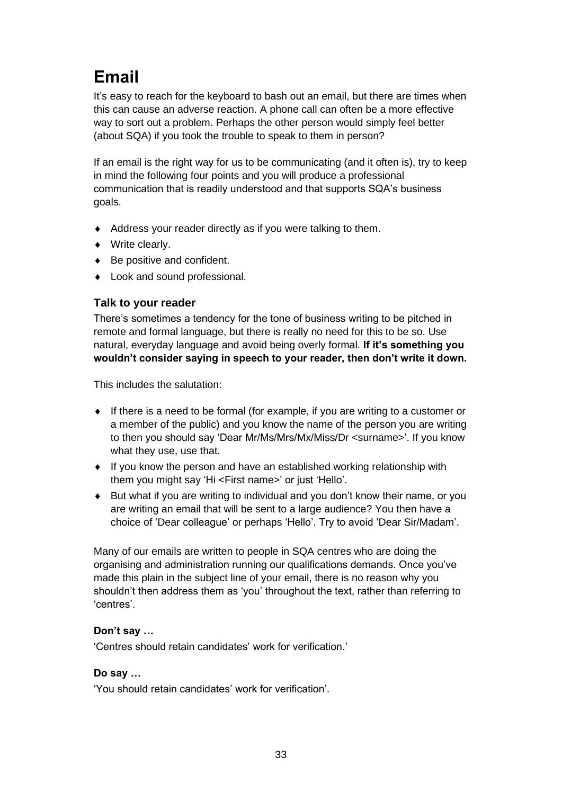# <span id="page-35-0"></span>**Email**

It's easy to reach for the keyboard to bash out an email, but there are times when this can cause an adverse reaction. A phone call can often be a more effective way to sort out a problem. Perhaps the other person would simply feel better (about SQA) if you took the trouble to speak to them in person?

If an email is the right way for us to be communicating (and it often is), try to keep in mind the following four points and you will produce a professional communication that is readily understood and that supports SQA's business goals.

- Address your reader directly as if you were talking to them.
- ◆ Write clearly.
- ◆ Be positive and confident.
- Look and sound professional.

### **Talk to your reader**

There's sometimes a tendency for the tone of business writing to be pitched in remote and formal language, but there is really no need for this to be so. Use natural, everyday language and avoid being overly formal. **If it's something you wouldn't consider saying in speech to your reader, then don't write it down.**

This includes the salutation:

- If there is a need to be formal (for example, if you are writing to a customer or a member of the public) and you know the name of the person you are writing to then you should say 'Dear Mr/Ms/Mrs/Mx/Miss/Dr <surname>'. If you know what they use, use that.
- If you know the person and have an established working relationship with them you might say 'Hi <First name>' or just 'Hello'.
- But what if you are writing to individual and you don't know their name, or you are writing an email that will be sent to a large audience? You then have a choice of 'Dear colleague' or perhaps 'Hello'. Try to avoid 'Dear Sir/Madam'.

Many of our emails are written to people in SQA centres who are doing the organising and administration running our qualifications demands. Once you've made this plain in the subject line of your email, there is no reason why you shouldn't then address them as 'you' throughout the text, rather than referring to 'centres'.

### **Don't say …**

'Centres should retain candidates' work for verification.'

### **Do say …**

'You should retain candidates' work for verification'.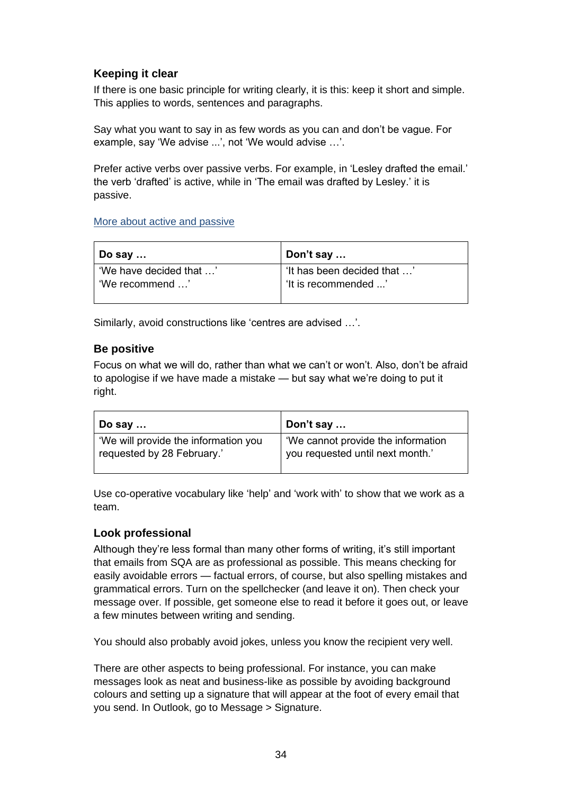### **Keeping it clear**

If there is one basic principle for writing clearly, it is this: keep it short and simple. This applies to words, sentences and paragraphs.

Say what you want to say in as few words as you can and don't be vague. For example, say 'We advise ...', not 'We would advise …'.

Prefer active verbs over passive verbs. For example, in 'Lesley drafted the email.' the verb 'drafted' is active, while in 'The email was drafted by Lesley.' it is passive.

#### [More about active and passive](#page-56-0)

| Do say …                | Don't say                   |
|-------------------------|-----------------------------|
| 'We have decided that ' | 'It has been decided that ' |
| 'We recommend '         | 'It is recommended '        |
|                         |                             |

Similarly, avoid constructions like 'centres are advised …'.

#### **Be positive**

Focus on what we will do, rather than what we can't or won't. Also, don't be afraid to apologise if we have made a mistake — but say what we're doing to put it right.

| ∣ Do say …                           | Don't say                          |
|--------------------------------------|------------------------------------|
| 'We will provide the information you | 'We cannot provide the information |
| requested by 28 February.'           | you requested until next month.'   |

Use co-operative vocabulary like 'help' and 'work with' to show that we work as a team.

#### **Look professional**

Although they're less formal than many other forms of writing, it's still important that emails from SQA are as professional as possible. This means checking for easily avoidable errors — factual errors, of course, but also spelling mistakes and grammatical errors. Turn on the spellchecker (and leave it on). Then check your message over. If possible, get someone else to read it before it goes out, or leave a few minutes between writing and sending.

You should also probably avoid jokes, unless you know the recipient very well.

There are other aspects to being professional. For instance, you can make messages look as neat and business-like as possible by avoiding background colours and setting up a signature that will appear at the foot of every email that you send. In Outlook, go to Message > Signature.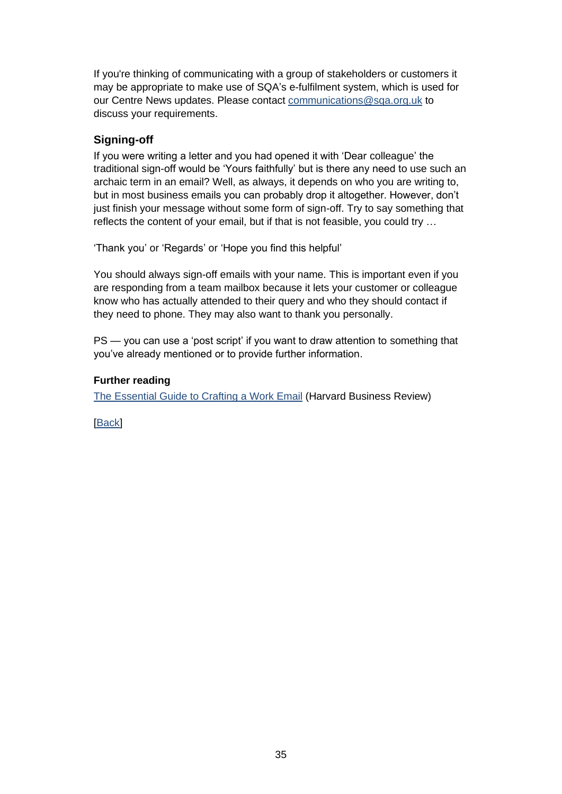If you're thinking of communicating with a group of stakeholders or customers it may be appropriate to make use of SQA's e-fulfilment system, which is used for our Centre News updates. Please contact [communications@sqa.org.uk](mailto:communications@sqa.org.uk) to discuss your requirements.

### **Signing-off**

If you were writing a letter and you had opened it with 'Dear colleague' the traditional sign-off would be 'Yours faithfully' but is there any need to use such an archaic term in an email? Well, as always, it depends on who you are writing to, but in most business emails you can probably drop it altogether. However, don't just finish your message without some form of sign-off. Try to say something that reflects the content of your email, but if that is not feasible, you could try …

'Thank you' or 'Regards' or 'Hope you find this helpful'

You should always sign-off emails with your name. This is important even if you are responding from a team mailbox because it lets your customer or colleague know who has actually attended to their query and who they should contact if they need to phone. They may also want to thank you personally.

PS — you can use a 'post script' if you want to draw attention to something that you've already mentioned or to provide further information.

#### **Further reading**

[The Essential Guide to Crafting a Work Email](https://hbr.org/2015/07/the-essential-guide-to-crafting-a-work-email&cm_sp=Article-_-Links-_-End%20of%20Page%20Recirculation) (Harvard Business Review)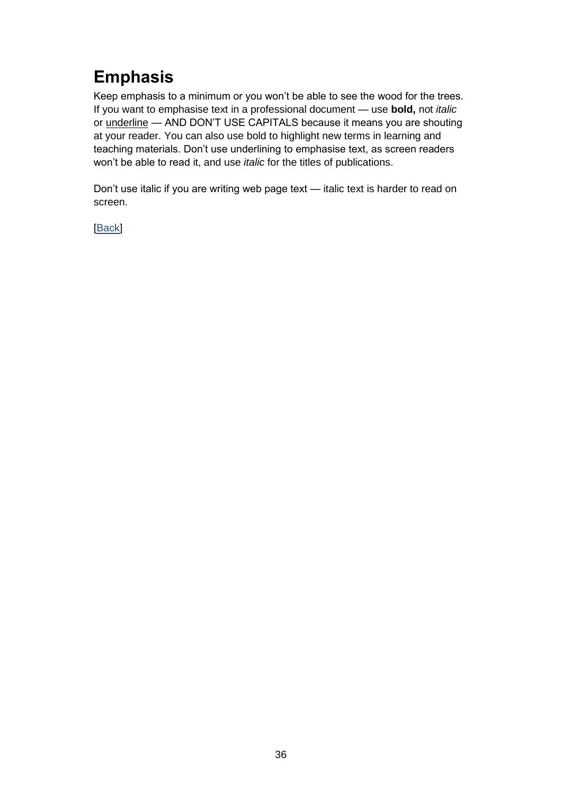## **Emphasis**

Keep emphasis to a minimum or you won't be able to see the wood for the trees. If you want to emphasise text in a professional document — use **bold,** not *italic* or underline — AND DON'T USE CAPITALS because it means you are shouting at your reader. You can also use bold to highlight new terms in learning and teaching materials. Don't use underlining to emphasise text, as screen readers won't be able to read it, and use *italic* for the titles of publications.

Don't use italic if you are writing web page text — italic text is harder to read on screen.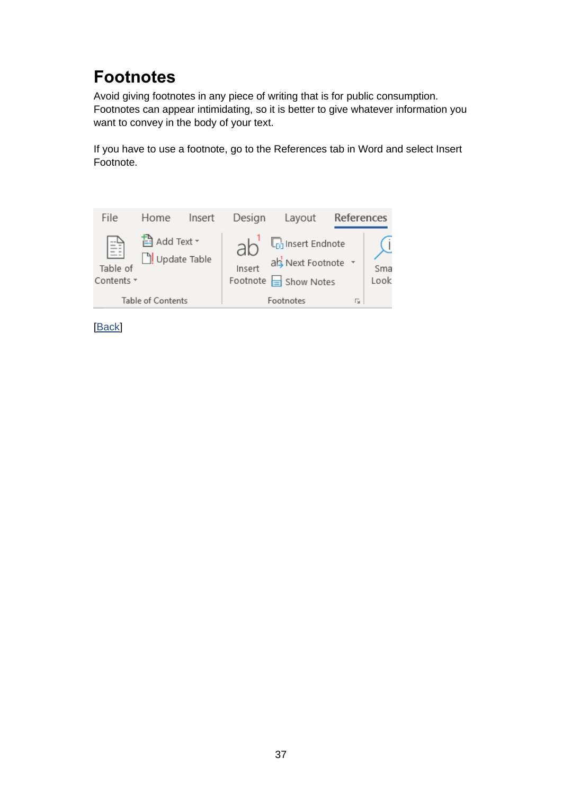## **Footnotes**

Avoid giving footnotes in any piece of writing that is for public consumption. Footnotes can appear intimidating, so it is better to give whatever information you want to convey in the body of your text.

If you have to use a footnote, go to the References tab in Word and select Insert Footnote.

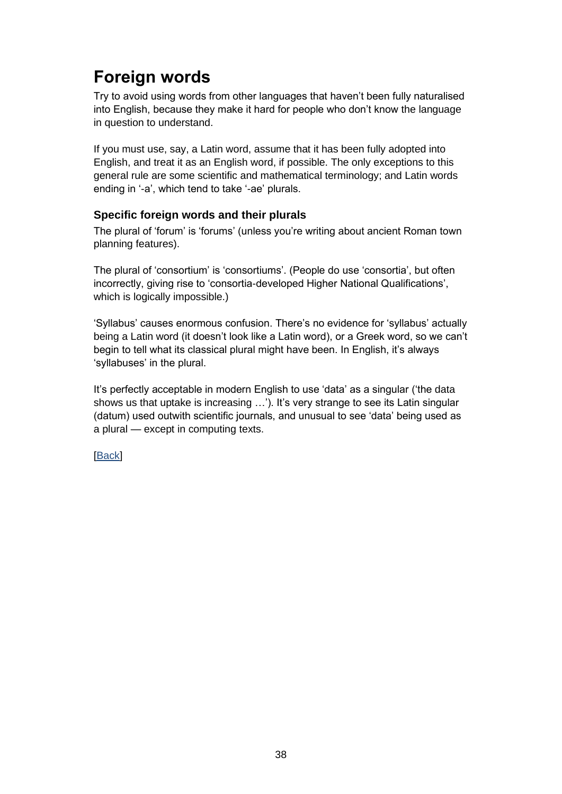# **Foreign words**

Try to avoid using words from other languages that haven't been fully naturalised into English, because they make it hard for people who don't know the language in question to understand.

If you must use, say, a Latin word, assume that it has been fully adopted into English, and treat it as an English word, if possible. The only exceptions to this general rule are some scientific and mathematical terminology; and Latin words ending in '-a', which tend to take '-ae' plurals.

### **Specific foreign words and their plurals**

The plural of 'forum' is 'forums' (unless you're writing about ancient Roman town planning features).

The plural of 'consortium' is 'consortiums'. (People do use 'consortia', but often incorrectly, giving rise to 'consortia-developed Higher National Qualifications', which is logically impossible.)

'Syllabus' causes enormous confusion. There's no evidence for 'syllabus' actually being a Latin word (it doesn't look like a Latin word), or a Greek word, so we can't begin to tell what its classical plural might have been. In English, it's always 'syllabuses' in the plural.

It's perfectly acceptable in modern English to use 'data' as a singular ('the data shows us that uptake is increasing …'). It's very strange to see its Latin singular (datum) used outwith scientific journals, and unusual to see 'data' being used as a plural — except in computing texts.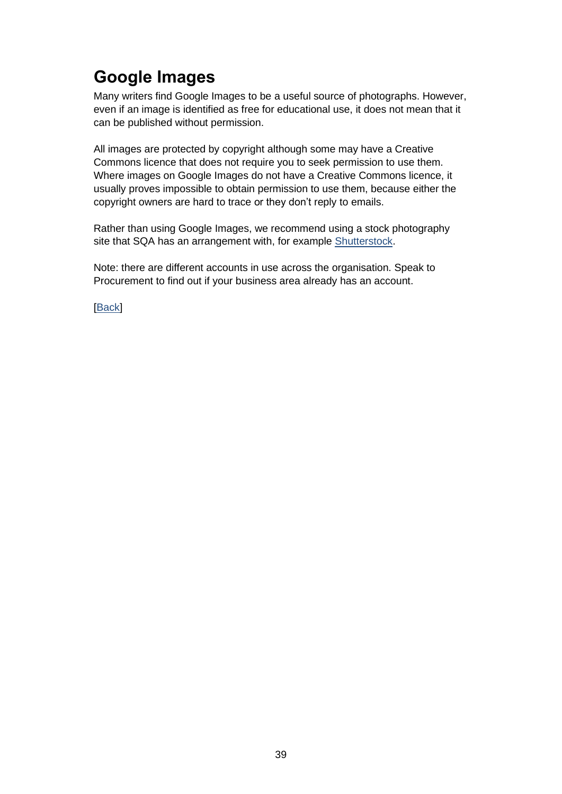# **Google Images**

Many writers find Google Images to be a useful source of photographs. However, even if an image is identified as free for educational use, it does not mean that it can be published without permission.

All images are protected by copyright although some may have a Creative Commons licence that does not require you to seek permission to use them. Where images on Google Images do not have a Creative Commons licence, it usually proves impossible to obtain permission to use them, because either the copyright owners are hard to trace or they don't reply to emails.

Rather than using Google Images, we recommend using a stock photography site that SQA has an arrangement with, for example [Shutterstock.](http://www.shutterstock.com/)

Note: there are different accounts in use across the organisation. Speak to Procurement to find out if your business area already has an account.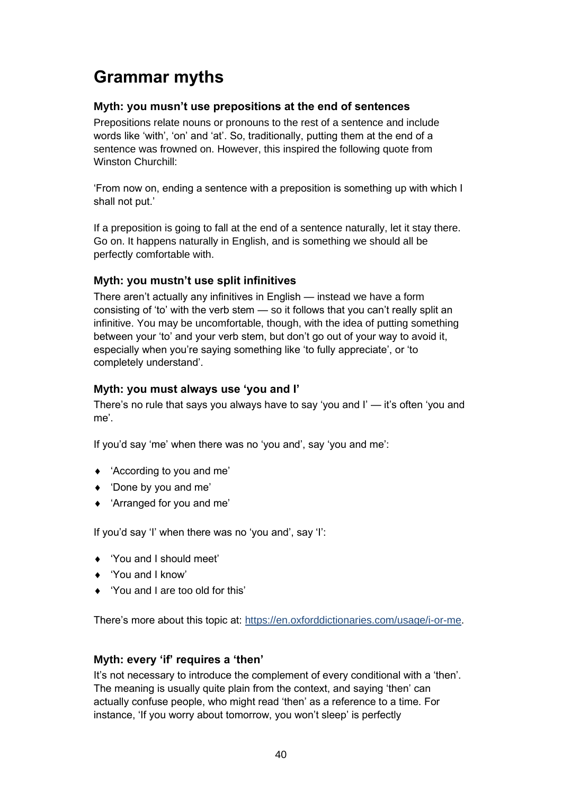## **Grammar myths**

### **Myth: you musn't use prepositions at the end of sentences**

Prepositions relate nouns or pronouns to the rest of a sentence and include words like 'with', 'on' and 'at'. So, traditionally, putting them at the end of a sentence was frowned on. However, this inspired the following quote from Winston Churchill:

'From now on, ending a sentence with a preposition is something up with which I shall not put.'

If a preposition is going to fall at the end of a sentence naturally, let it stay there. Go on. It happens naturally in English, and is something we should all be perfectly comfortable with.

### **Myth: you mustn't use split infinitives**

There aren't actually any infinitives in English — instead we have a form consisting of 'to' with the verb stem — so it follows that you can't really split an infinitive. You may be uncomfortable, though, with the idea of putting something between your 'to' and your verb stem, but don't go out of your way to avoid it, especially when you're saying something like 'to fully appreciate', or 'to completely understand'.

#### **Myth: you must always use 'you and I'**

There's no rule that says you always have to say 'you and I' — it's often 'you and me'.

If you'd say 'me' when there was no 'you and', say 'you and me':

- 'According to you and me'
- 'Done by you and me'
- 'Arranged for you and me'

If you'd say 'I' when there was no 'you and', say 'I':

- ◆ 'You and I should meet'
- 'You and I know'
- ◆ 'You and I are too old for this'

There's more about this topic at: [https://en.oxforddictionaries.com/usage/i-or-me.](https://en.oxforddictionaries.com/usage/i-or-me)

### **Myth: every 'if' requires a 'then'**

It's not necessary to introduce the complement of every conditional with a 'then'. The meaning is usually quite plain from the context, and saying 'then' can actually confuse people, who might read 'then' as a reference to a time. For instance, 'If you worry about tomorrow, you won't sleep' is perfectly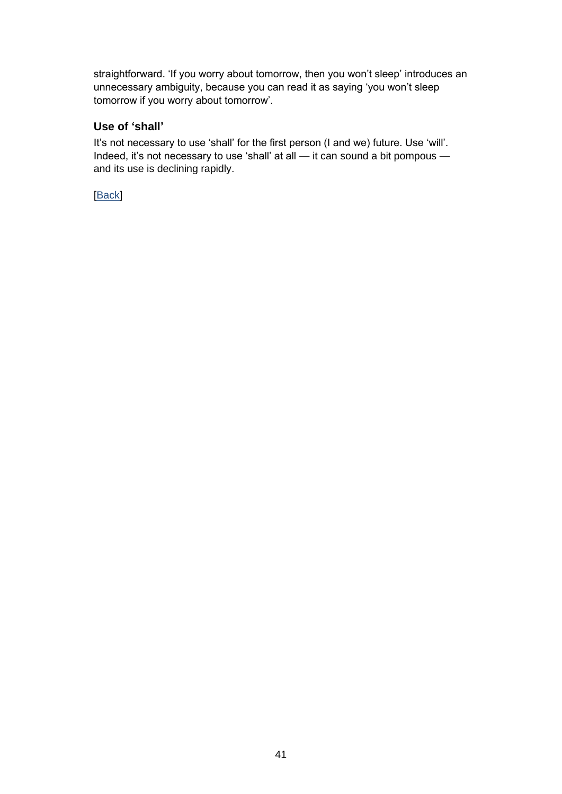straightforward. 'If you worry about tomorrow, then you won't sleep' introduces an unnecessary ambiguity, because you can read it as saying 'you won't sleep tomorrow if you worry about tomorrow'.

#### **Use of 'shall'**

It's not necessary to use 'shall' for the first person (I and we) future. Use 'will'. Indeed, it's not necessary to use 'shall' at all — it can sound a bit pompous and its use is declining rapidly.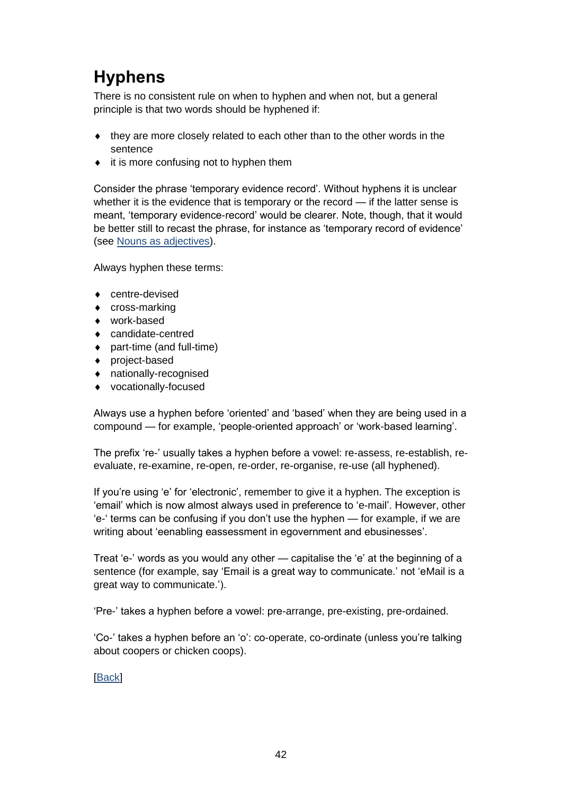# **Hyphens**

There is no consistent rule on when to hyphen and when not, but a general principle is that two words should be hyphened if:

- they are more closely related to each other than to the other words in the sentence
- $\bullet$  it is more confusing not to hyphen them

Consider the phrase 'temporary evidence record'. Without hyphens it is unclear whether it is the evidence that is temporary or the record — if the latter sense is meant, 'temporary evidence-record' would be clearer. Note, though, that it would be better still to recast the phrase, for instance as 'temporary record of evidence' (see [Nouns as adjectives\)](#page-50-0).

Always hyphen these terms:

- centre-devised
- ◆ cross-marking
- work-based
- candidate-centred
- part-time (and full-time)
- project-based
- nationally-recognised
- vocationally-focused

Always use a hyphen before 'oriented' and 'based' when they are being used in a compound — for example, 'people-oriented approach' or 'work-based learning'.

The prefix 're-' usually takes a hyphen before a vowel: re-assess, re-establish, reevaluate, re-examine, re-open, re-order, re-organise, re-use (all hyphened).

If you're using 'e' for 'electronic', remember to give it a hyphen. The exception is 'email' which is now almost always used in preference to 'e-mail'. However, other 'e-' terms can be confusing if you don't use the hyphen — for example, if we are writing about 'eenabling eassessment in egovernment and ebusinesses'.

Treat 'e-' words as you would any other — capitalise the 'e' at the beginning of a sentence (for example, say 'Email is a great way to communicate.' not 'eMail is a great way to communicate.').

'Pre-' takes a hyphen before a vowel: pre-arrange, pre-existing, pre-ordained.

'Co-' takes a hyphen before an 'o': co-operate, co-ordinate (unless you're talking about coopers or chicken coops).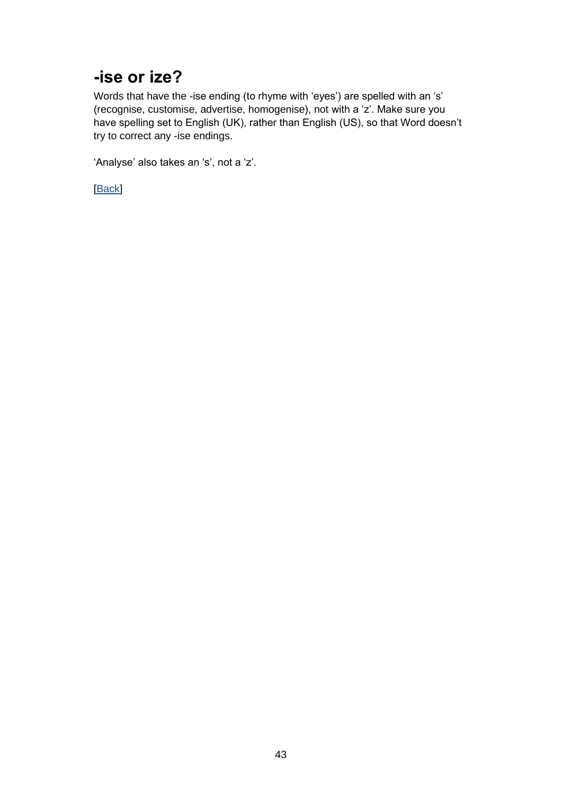### **-ise or ize?**

Words that have the -ise ending (to rhyme with 'eyes') are spelled with an 's' (recognise, customise, advertise, homogenise), not with a 'z'. Make sure you have spelling set to English (UK), rather than English (US), so that Word doesn't try to correct any -ise endings.

'Analyse' also takes an 's', not a 'z'.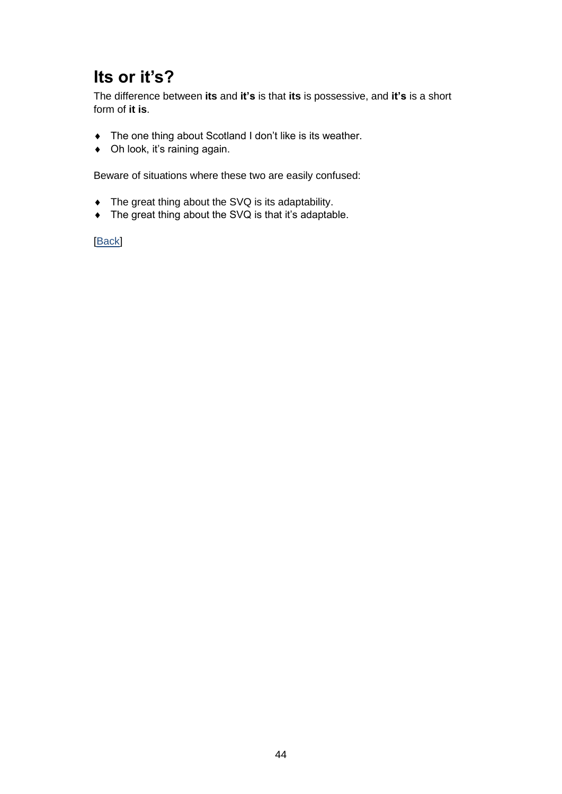## **Its or it's?**

The difference between **its** and **it's** is that **its** is possessive, and **it's** is a short form of **it is**.

- The one thing about Scotland I don't like is its weather.
- ◆ Oh look, it's raining again.

Beware of situations where these two are easily confused:

- The great thing about the SVQ is its adaptability.
- ◆ The great thing about the SVQ is that it's adaptable.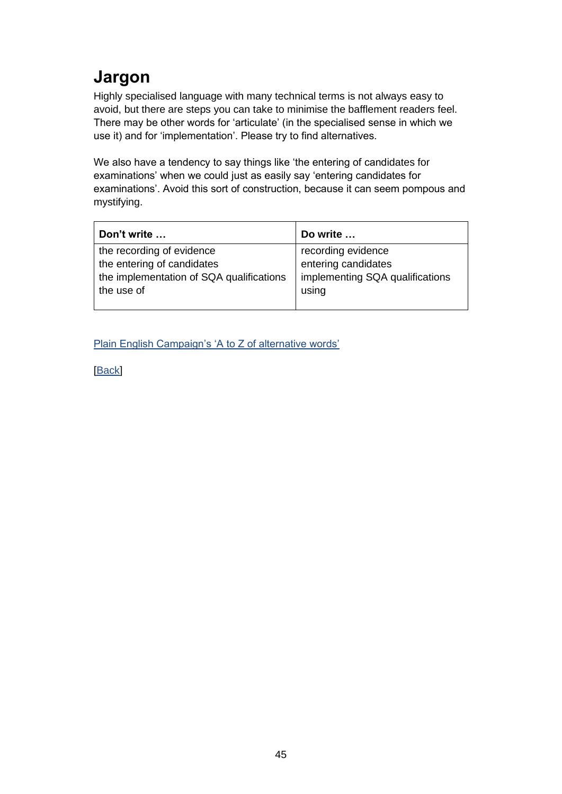# **Jargon**

Highly specialised language with many technical terms is not always easy to avoid, but there are steps you can take to minimise the bafflement readers feel. There may be other words for 'articulate' (in the specialised sense in which we use it) and for 'implementation'. Please try to find alternatives.

We also have a tendency to say things like 'the entering of candidates for examinations' when we could just as easily say 'entering candidates for examinations'. Avoid this sort of construction, because it can seem pompous and mystifying.

| Don't write                              | Do write                        |
|------------------------------------------|---------------------------------|
| the recording of evidence                | recording evidence              |
| the entering of candidates               | entering candidates             |
| the implementation of SQA qualifications | implementing SQA qualifications |
| the use of                               | using                           |
|                                          |                                 |

[Plain English Campaign's 'A to Z of alternative words'](http://www.plainenglish.co.uk/files/alternative.pdf)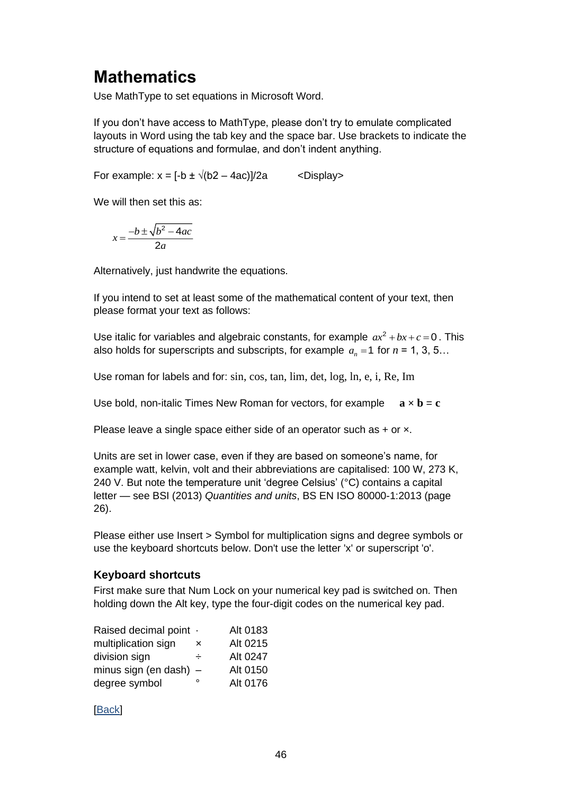### **Mathematics**

Use MathType to set equations in Microsoft Word.

If you don't have access to MathType, please don't try to emulate complicated layouts in Word using the tab key and the space bar. Use brackets to indicate the structure of equations and formulae, and don't indent anything.

For example:  $x = [-b \pm \sqrt{(b2 - 4ac)}]/2a$  < Display>

We will then set this as:

$$
x = \frac{-b \pm \sqrt{b^2 - 4ac}}{2a}
$$

Alternatively, just handwrite the equations.

If you intend to set at least some of the mathematical content of your text, then please format your text as follows:

Use italic for variables and algebraic constants, for example  $ax^2 + bx + c = 0$ . This also holds for superscripts and subscripts, for example  $a_n = 1$  for  $n = 1, 3, 5...$ 

Use roman for labels and for: sin, cos, tan, lim, det, log, ln, e, i, Re, Im

Use bold, non-italic Times New Roman for vectors, for example  $\mathbf{a} \times \mathbf{b} = \mathbf{c}$ 

Please leave a single space either side of an operator such as + or x.

Units are set in lower case, even if they are based on someone's name, for example watt, kelvin, volt and their abbreviations are capitalised: 100 W, 273 K, 240 V. But note the temperature unit 'degree Celsius' (°C) contains a capital letter — see BSI (2013) *Quantities and units*, BS EN ISO 80000-1:2013 (page 26).

Please either use Insert > Symbol for multiplication signs and degree symbols or use the keyboard shortcuts below. Don't use the letter 'x' or superscript 'o'.

#### **Keyboard shortcuts**

First make sure that Num Lock on your numerical key pad is switched on. Then holding down the Alt key, type the four-digit codes on the numerical key pad.

| Raised decimal point .   |   | Alt 0183 |
|--------------------------|---|----------|
| multiplication sign      | × | Alt 0215 |
| division sign            | ÷ | Alt 0247 |
| minus sign (en dash) $-$ |   | Alt 0150 |
| degree symbol            | ٥ | Alt 0176 |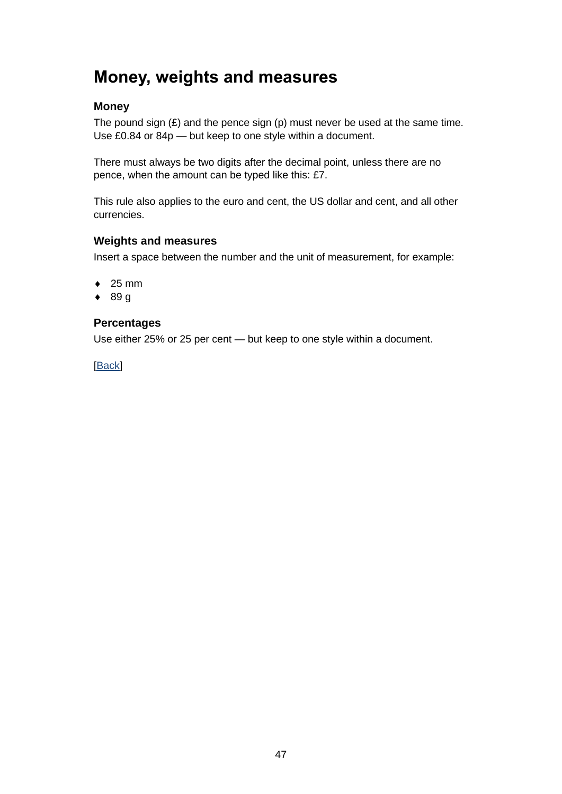### **Money, weights and measures**

### **Money**

The pound sign  $(E)$  and the pence sign  $(p)$  must never be used at the same time. Use £0.84 or 84p — but keep to one style within a document.

There must always be two digits after the decimal point, unless there are no pence, when the amount can be typed like this: £7.

This rule also applies to the euro and cent, the US dollar and cent, and all other currencies.

#### **Weights and measures**

Insert a space between the number and the unit of measurement, for example:

- $\div$  25 mm
- $\bullet$  89 g

#### **Percentages**

Use either 25% or 25 per cent — but keep to one style within a document.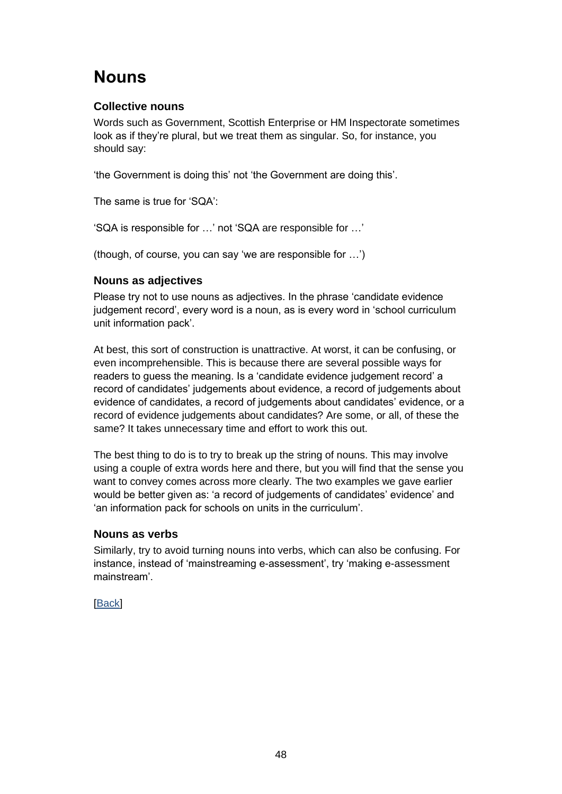## **Nouns**

### **Collective nouns**

Words such as Government, Scottish Enterprise or HM Inspectorate sometimes look as if they're plural, but we treat them as singular. So, for instance, you should say:

'the Government is doing this' not 'the Government are doing this'.

The same is true for 'SQA':

'SQA is responsible for …' not 'SQA are responsible for …'

(though, of course, you can say 'we are responsible for …')

#### <span id="page-50-0"></span>**Nouns as adjectives**

Please try not to use nouns as adjectives. In the phrase 'candidate evidence judgement record', every word is a noun, as is every word in 'school curriculum unit information pack'.

At best, this sort of construction is unattractive. At worst, it can be confusing, or even incomprehensible. This is because there are several possible ways for readers to guess the meaning. Is a 'candidate evidence judgement record' a record of candidates' judgements about evidence, a record of judgements about evidence of candidates, a record of judgements about candidates' evidence, or a record of evidence judgements about candidates? Are some, or all, of these the same? It takes unnecessary time and effort to work this out.

The best thing to do is to try to break up the string of nouns. This may involve using a couple of extra words here and there, but you will find that the sense you want to convey comes across more clearly. The two examples we gave earlier would be better given as: 'a record of judgements of candidates' evidence' and 'an information pack for schools on units in the curriculum'.

#### **Nouns as verbs**

Similarly, try to avoid turning nouns into verbs, which can also be confusing. For instance, instead of 'mainstreaming e-assessment', try 'making e-assessment mainstream'.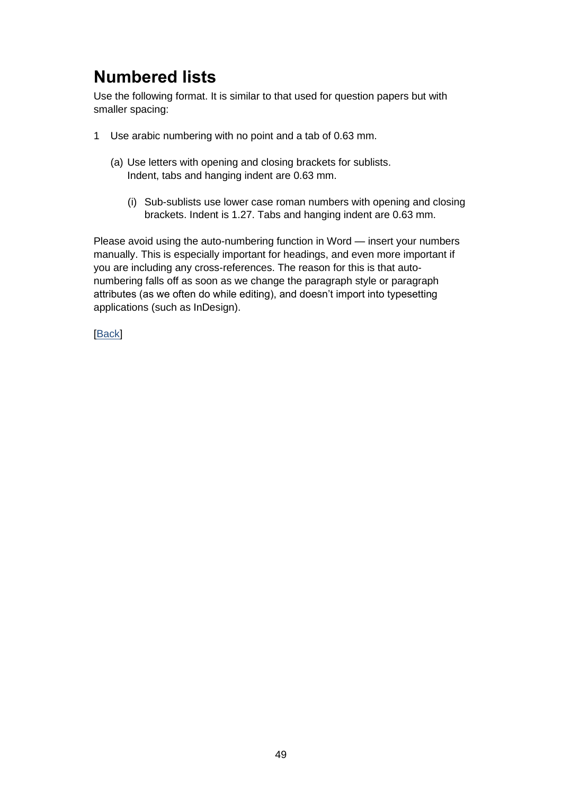## **Numbered lists**

Use the following format. It is similar to that used for question papers but with smaller spacing:

- 1 Use arabic numbering with no point and a tab of 0.63 mm.
	- (a) Use letters with opening and closing brackets for sublists. Indent, tabs and hanging indent are 0.63 mm.
		- (i) Sub-sublists use lower case roman numbers with opening and closing brackets. Indent is 1.27. Tabs and hanging indent are 0.63 mm.

Please avoid using the auto-numbering function in Word — insert your numbers manually. This is especially important for headings, and even more important if you are including any cross-references. The reason for this is that autonumbering falls off as soon as we change the paragraph style or paragraph attributes (as we often do while editing), and doesn't import into typesetting applications (such as InDesign).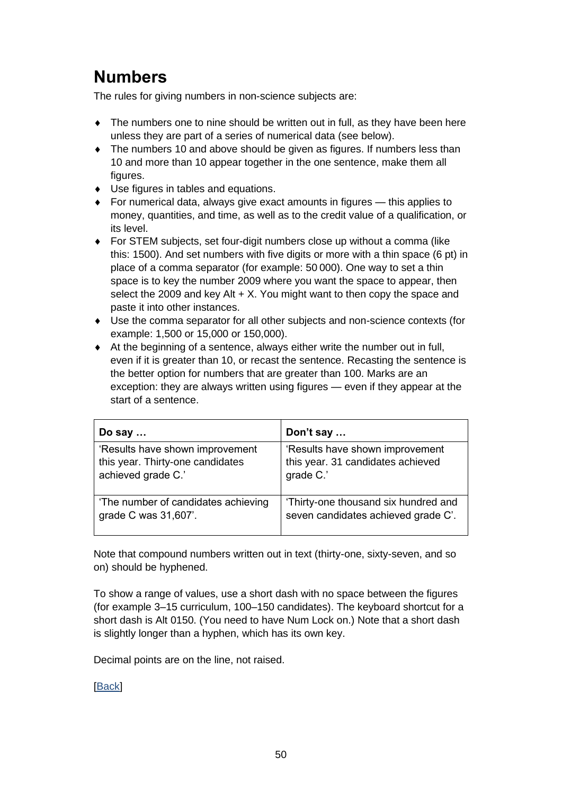## **Numbers**

The rules for giving numbers in non-science subjects are:

- The numbers one to nine should be written out in full, as they have been here unless they are part of a series of numerical data (see below).
- The numbers 10 and above should be given as figures. If numbers less than 10 and more than 10 appear together in the one sentence, make them all figures.
- ◆ Use figures in tables and equations.
- For numerical data, always give exact amounts in figures this applies to money, quantities, and time, as well as to the credit value of a qualification, or its level.
- For STEM subjects, set four-digit numbers close up without a comma (like this: 1500). And set numbers with five digits or more with a thin space (6 pt) in place of a comma separator (for example: 50 000). One way to set a thin space is to key the number 2009 where you want the space to appear, then select the 2009 and key Alt  $+ X$ . You might want to then copy the space and paste it into other instances.
- Use the comma separator for all other subjects and non-science contexts (for example: 1,500 or 15,000 or 150,000).
- At the beginning of a sentence, always either write the number out in full, even if it is greater than 10, or recast the sentence. Recasting the sentence is the better option for numbers that are greater than 100. Marks are an exception: they are always written using figures — even if they appear at the start of a sentence.

| Do say $\dots$                      | Don't say                            |
|-------------------------------------|--------------------------------------|
| 'Results have shown improvement     | 'Results have shown improvement      |
| this year. Thirty-one candidates    | this year. 31 candidates achieved    |
| achieved grade C.'                  | grade C.'                            |
| 'The number of candidates achieving | 'Thirty-one thousand six hundred and |
| grade C was 31,607'.                | seven candidates achieved grade C'.  |

Note that compound numbers written out in text (thirty-one, sixty-seven, and so on) should be hyphened.

To show a range of values, use a short dash with no space between the figures (for example 3–15 curriculum, 100–150 candidates). The keyboard shortcut for a short dash is Alt 0150. (You need to have Num Lock on.) Note that a short dash is slightly longer than a hyphen, which has its own key.

Decimal points are on the line, not raised.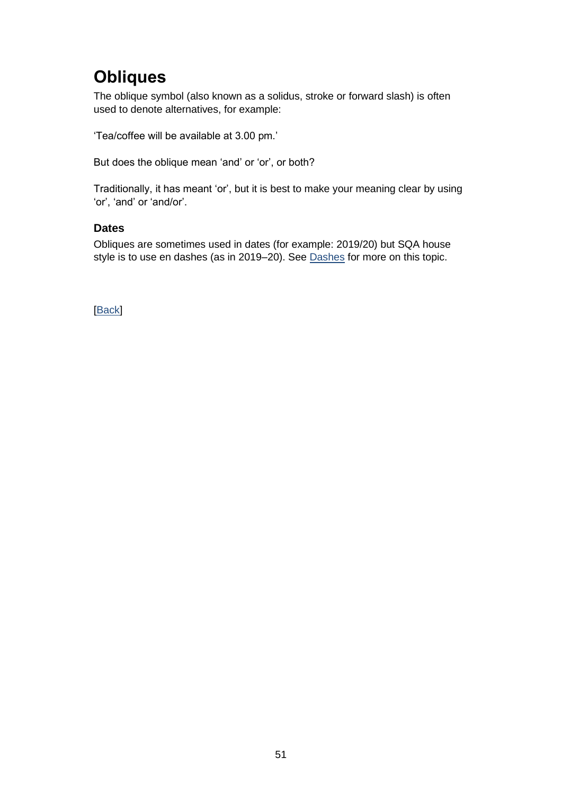## **Obliques**

The oblique symbol (also known as a solidus, stroke or forward slash) is often used to denote alternatives, for example:

'Tea/coffee will be available at 3.00 pm.'

But does the oblique mean 'and' or 'or', or both?

Traditionally, it has meant 'or', but it is best to make your meaning clear by using 'or', 'and' or 'and/or'.

#### **Dates**

Obliques are sometimes used in dates (for example: 2019/20) but SQA house style is to use en dashes (as in 2019–20). See [Dashes](#page-29-0) for more on this topic.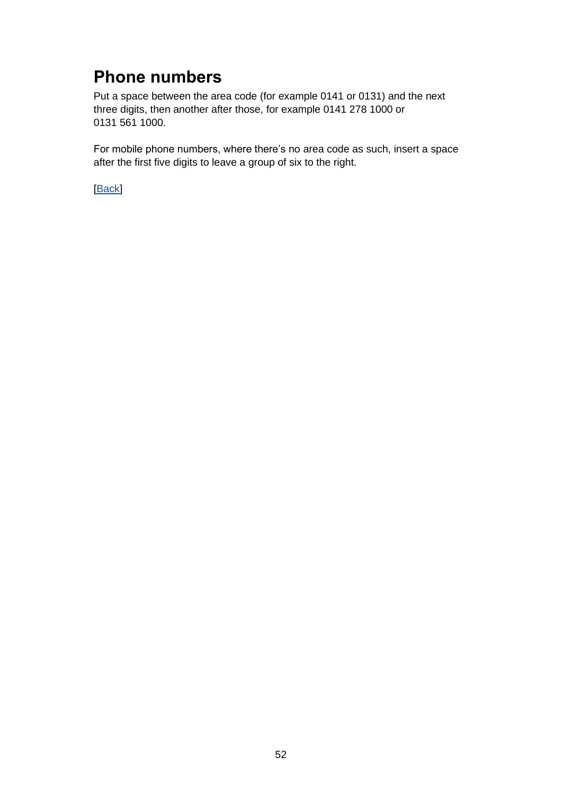## **Phone numbers**

Put a space between the area code (for example 0141 or 0131) and the next three digits, then another after those, for example 0141 278 1000 or 0131 561 1000.

For mobile phone numbers, where there's no area code as such, insert a space after the first five digits to leave a group of six to the right.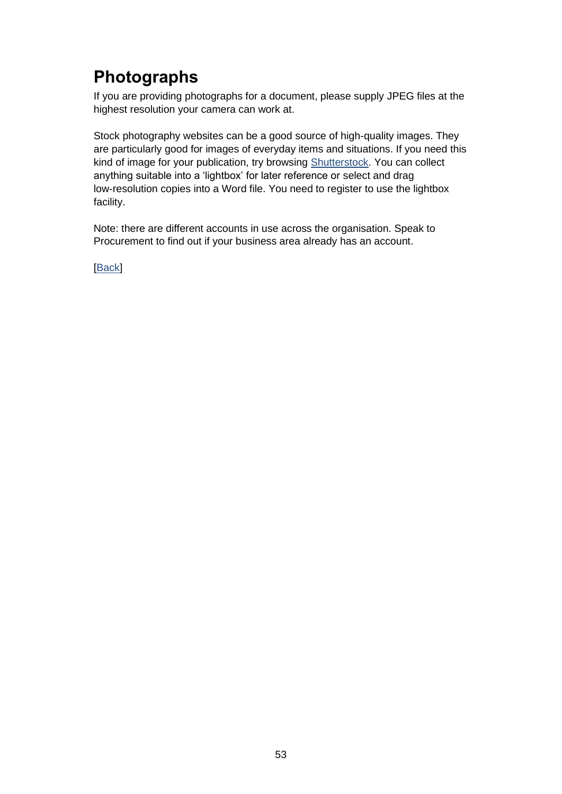# **Photographs**

If you are providing photographs for a document, please supply JPEG files at the highest resolution your camera can work at.

Stock photography websites can be a good source of high-quality images. They are particularly good for images of everyday items and situations. If you need this kind of image for your publication, try browsing [Shutterstock.](http://www.shutterstock.com/) You can collect anything suitable into a 'lightbox' for later reference or select and drag low-resolution copies into a Word file. You need to register to use the lightbox facility.

Note: there are different accounts in use across the organisation. Speak to Procurement to find out if your business area already has an account.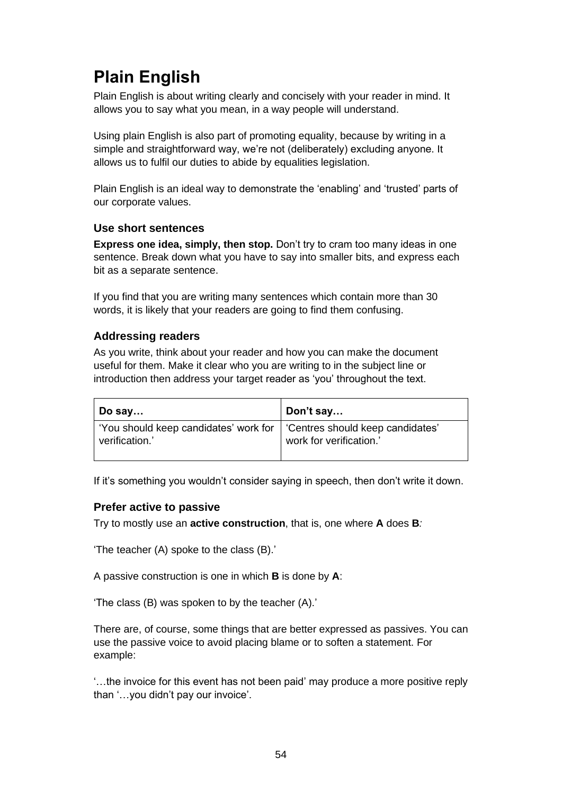# <span id="page-56-0"></span>**Plain English**

Plain English is about writing clearly and concisely with your reader in mind. It allows you to say what you mean, in a way people will understand.

Using plain English is also part of promoting equality, because by writing in a simple and straightforward way, we're not (deliberately) excluding anyone. It allows us to fulfil our duties to abide by equalities legislation.

Plain English is an ideal way to demonstrate the 'enabling' and 'trusted' parts of our corporate values.

#### **Use short sentences**

**Express one idea, simply, then stop.** Don't try to cram too many ideas in one sentence. Break down what you have to say into smaller bits, and express each bit as a separate sentence.

If you find that you are writing many sentences which contain more than 30 words, it is likely that your readers are going to find them confusing.

#### **Addressing readers**

As you write, think about your reader and how you can make the document useful for them. Make it clear who you are writing to in the subject line or introduction then address your target reader as 'you' throughout the text.

| $\vert$ Do say                                                                             | Don't say               |
|--------------------------------------------------------------------------------------------|-------------------------|
| 'You should keep candidates' work for   'Centres should keep candidates'<br>verification.' | work for verification.' |

If it's something you wouldn't consider saying in speech, then don't write it down.

#### **Prefer active to passive**

Try to mostly use an **active construction**, that is, one where **A** does **B***:*

'The teacher (A) spoke to the class (B).'

A passive construction is one in which **B** is done by **A**:

'The class (B) was spoken to by the teacher (A).'

There are, of course, some things that are better expressed as passives. You can use the passive voice to avoid placing blame or to soften a statement. For example:

'…the invoice for this event has not been paid' may produce a more positive reply than '…you didn't pay our invoice'.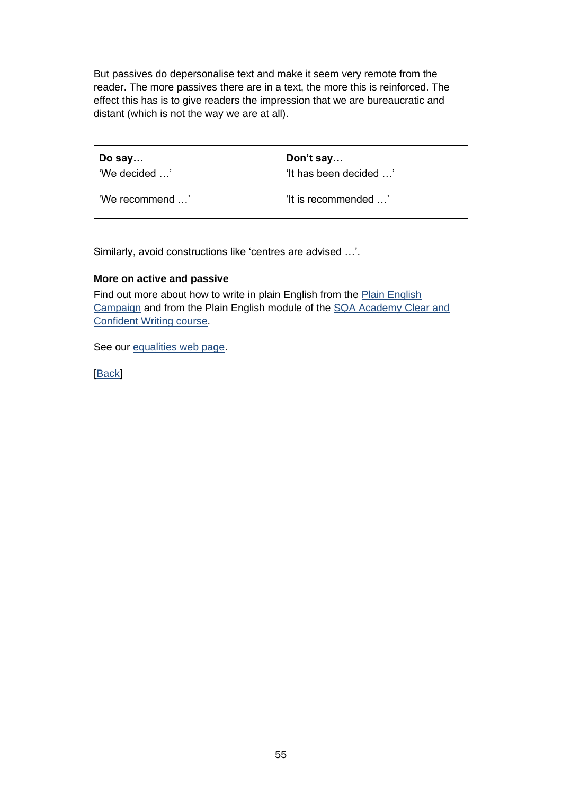But passives do depersonalise text and make it seem very remote from the reader. The more passives there are in a text, the more this is reinforced. The effect this has is to give readers the impression that we are bureaucratic and distant (which is not the way we are at all).

| Do say          | Don't say              |
|-----------------|------------------------|
| 'We decided '   | 'It has been decided ' |
| 'We recommend ' | 'It is recommended '   |

Similarly, avoid constructions like 'centres are advised …'.

#### **More on active and passive**

Find out more about how to write in plain English from the Plain English [Campaign](http://www.plainenglish.co.uk/how-to-write-in-plain-english.html) and from the Plain English module of the [SQA Academy Clear and](https://www.sqaacademy.org.uk/course/view.php?id=703)  [Confident Writing course.](https://www.sqaacademy.org.uk/course/view.php?id=703)

See our [equalities web page.](https://www.sqa.org.uk/sqa/25339.html)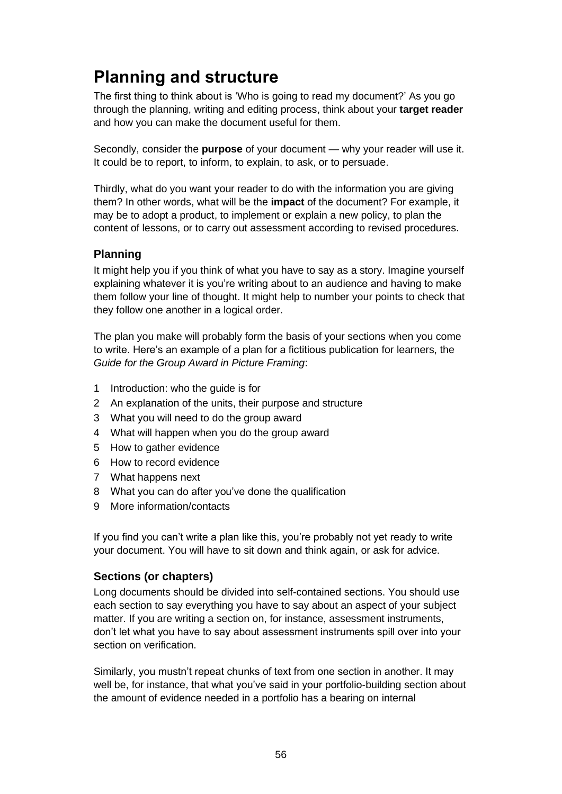# **Planning and structure**

The first thing to think about is 'Who is going to read my document?' As you go through the planning, writing and editing process, think about your **target reader** and how you can make the document useful for them.

Secondly, consider the **purpose** of your document — why your reader will use it. It could be to report, to inform, to explain, to ask, or to persuade.

Thirdly, what do you want your reader to do with the information you are giving them? In other words, what will be the **impact** of the document? For example, it may be to adopt a product, to implement or explain a new policy, to plan the content of lessons, or to carry out assessment according to revised procedures.

### **Planning**

It might help you if you think of what you have to say as a story. Imagine yourself explaining whatever it is you're writing about to an audience and having to make them follow your line of thought. It might help to number your points to check that they follow one another in a logical order.

The plan you make will probably form the basis of your sections when you come to write. Here's an example of a plan for a fictitious publication for learners, the *Guide for the Group Award in Picture Framing*:

- 1 Introduction: who the guide is for
- 2 An explanation of the units, their purpose and structure
- 3 What you will need to do the group award
- 4 What will happen when you do the group award
- 5 How to gather evidence
- 6 How to record evidence
- 7 What happens next
- 8 What you can do after you've done the qualification
- 9 More information/contacts

If you find you can't write a plan like this, you're probably not yet ready to write your document. You will have to sit down and think again, or ask for advice.

#### **Sections (or chapters)**

Long documents should be divided into self-contained sections. You should use each section to say everything you have to say about an aspect of your subject matter. If you are writing a section on, for instance, assessment instruments, don't let what you have to say about assessment instruments spill over into your section on verification.

Similarly, you mustn't repeat chunks of text from one section in another. It may well be, for instance, that what you've said in your portfolio-building section about the amount of evidence needed in a portfolio has a bearing on internal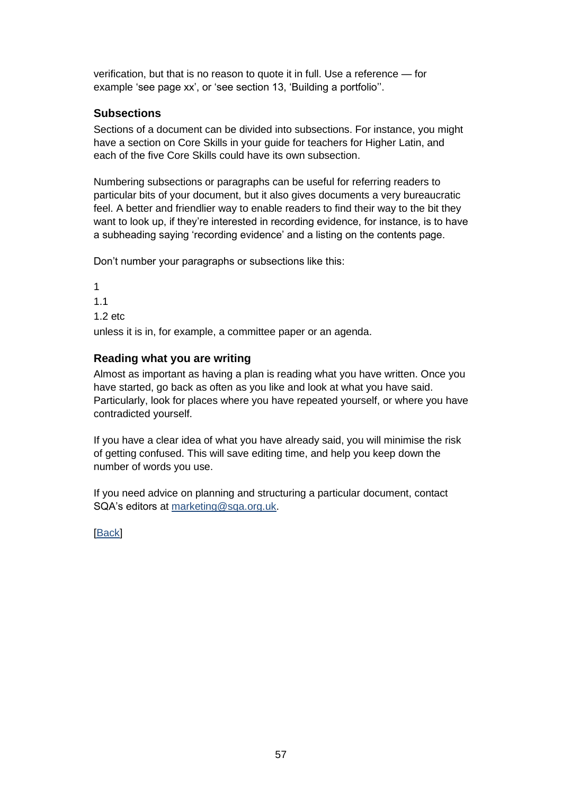verification, but that is no reason to quote it in full. Use a reference — for example 'see page xx', or 'see section 13, 'Building a portfolio''.

### **Subsections**

Sections of a document can be divided into subsections. For instance, you might have a section on Core Skills in your guide for teachers for Higher Latin, and each of the five Core Skills could have its own subsection.

Numbering subsections or paragraphs can be useful for referring readers to particular bits of your document, but it also gives documents a very bureaucratic feel. A better and friendlier way to enable readers to find their way to the bit they want to look up, if they're interested in recording evidence, for instance, is to have a subheading saying 'recording evidence' and a listing on the contents page.

Don't number your paragraphs or subsections like this:

1 1.1 1.2 etc unless it is in, for example, a committee paper or an agenda.

### **Reading what you are writing**

Almost as important as having a plan is reading what you have written. Once you have started, go back as often as you like and look at what you have said. Particularly, look for places where you have repeated yourself, or where you have contradicted yourself.

If you have a clear idea of what you have already said, you will minimise the risk of getting confused. This will save editing time, and help you keep down the number of words you use.

If you need advice on planning and structuring a particular document, contact SQA's editors at [marketing@sqa.org.uk.](mailto:marketing@sqa.org.uk)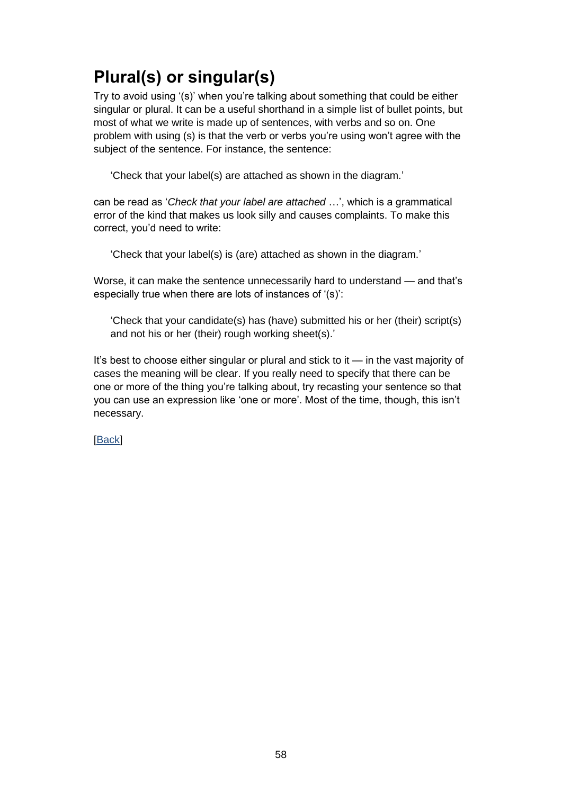# **Plural(s) or singular(s)**

Try to avoid using '(s)' when you're talking about something that could be either singular or plural. It can be a useful shorthand in a simple list of bullet points, but most of what we write is made up of sentences, with verbs and so on. One problem with using (s) is that the verb or verbs you're using won't agree with the subject of the sentence. For instance, the sentence:

'Check that your label(s) are attached as shown in the diagram.'

can be read as '*Check that your label are attached* …', which is a grammatical error of the kind that makes us look silly and causes complaints. To make this correct, you'd need to write:

'Check that your label(s) is (are) attached as shown in the diagram.'

Worse, it can make the sentence unnecessarily hard to understand — and that's especially true when there are lots of instances of '(s)':

'Check that your candidate(s) has (have) submitted his or her (their) script(s) and not his or her (their) rough working sheet(s).'

It's best to choose either singular or plural and stick to it — in the vast majority of cases the meaning will be clear. If you really need to specify that there can be one or more of the thing you're talking about, try recasting your sentence so that you can use an expression like 'one or more'. Most of the time, though, this isn't necessary.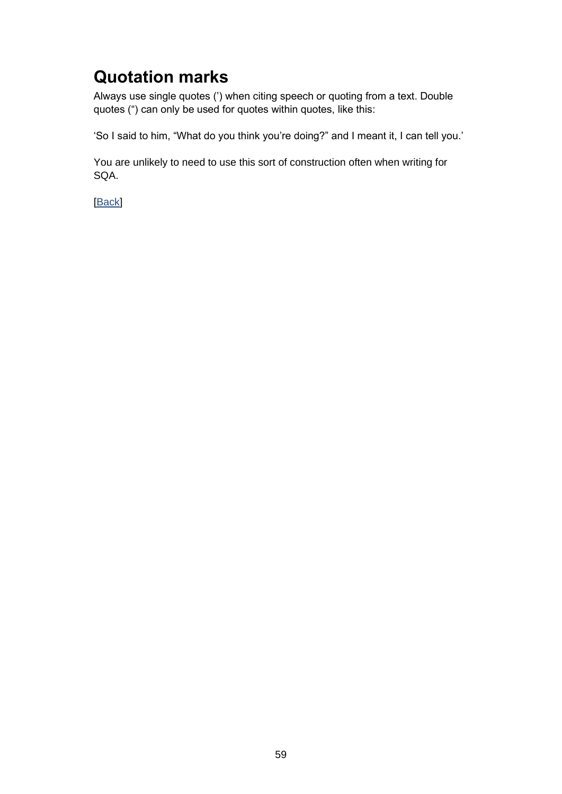## **Quotation marks**

Always use single quotes (') when citing speech or quoting from a text. Double quotes (") can only be used for quotes within quotes, like this:

'So I said to him, "What do you think you're doing?" and I meant it, I can tell you.'

You are unlikely to need to use this sort of construction often when writing for SQA.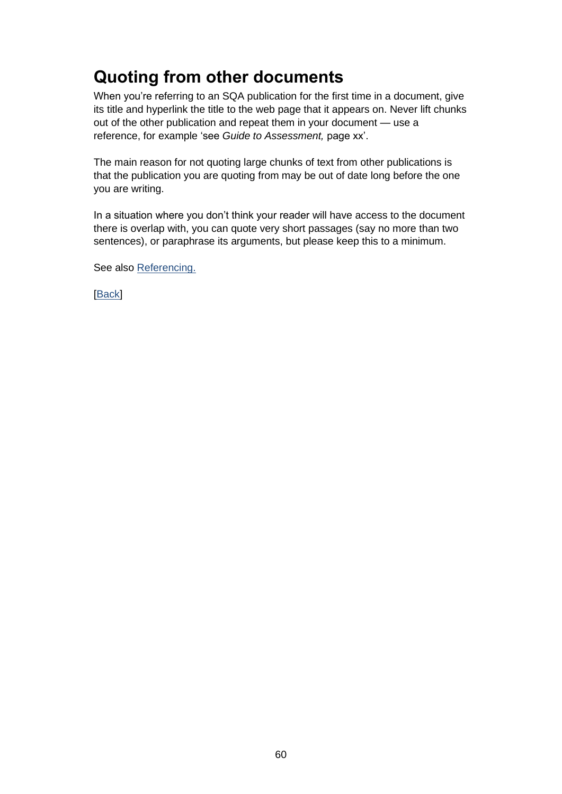# **Quoting from other documents**

When you're referring to an SQA publication for the first time in a document, give its title and hyperlink the title to the web page that it appears on. Never lift chunks out of the other publication and repeat them in your document — use a reference, for example 'see *Guide to Assessment,* page xx'.

The main reason for not quoting large chunks of text from other publications is that the publication you are quoting from may be out of date long before the one you are writing.

In a situation where you don't think your reader will have access to the document there is overlap with, you can quote very short passages (say no more than two sentences), or paraphrase its arguments, but please keep this to a minimum.

See also [Referencing.](#page-63-0)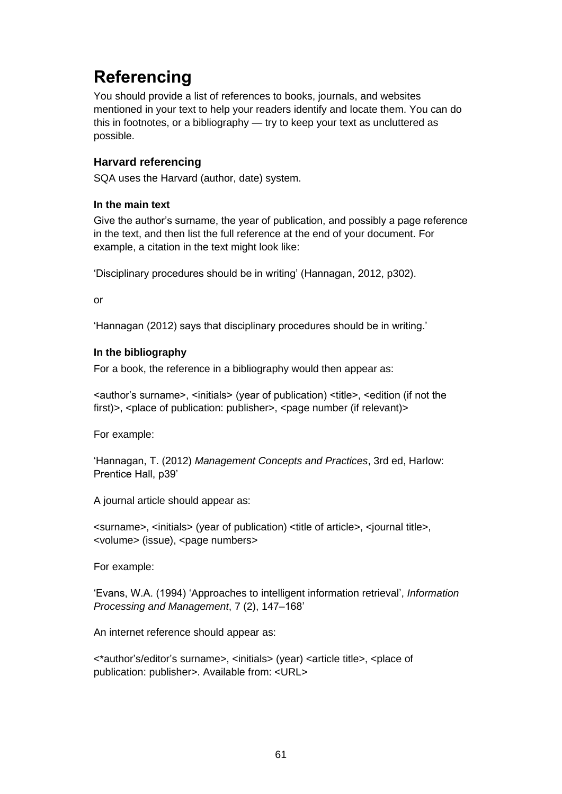# <span id="page-63-0"></span>**Referencing**

You should provide a list of references to books, journals, and websites mentioned in your text to help your readers identify and locate them. You can do this in footnotes, or a bibliography — try to keep your text as uncluttered as possible.

### **Harvard referencing**

SQA uses the Harvard (author, date) system.

#### **In the main text**

Give the author's surname, the year of publication, and possibly a page reference in the text, and then list the full reference at the end of your document. For example, a citation in the text might look like:

'Disciplinary procedures should be in writing' (Hannagan, 2012, p302).

or

'Hannagan (2012) says that disciplinary procedures should be in writing.'

#### **In the bibliography**

For a book, the reference in a bibliography would then appear as:

<author's surname>, <initials> (year of publication) <title>, <edition (if not the first)>,  $\langle$   $\rangle$   $\langle$   $\rangle$   $\langle$   $\rangle$   $\langle$   $\rangle$   $\langle$   $\rangle$   $\langle$   $\rangle$   $\langle$   $\rangle$   $\langle$   $\rangle$   $\langle$   $\rangle$   $\langle$   $\rangle$   $\langle$   $\rangle$   $\langle$   $\rangle$   $\langle$   $\rangle$   $\langle$   $\rangle$   $\langle$   $\rangle$   $\langle$   $\rangle$   $\langle$   $\rangle$   $\langle$   $\rangle$   $\langle$   $\rangle$   $\langle$   $\rangle$   $\langle$   $\rangle$   $\$ 

For example:

'Hannagan, T. (2012) *Management Concepts and Practices*, 3rd ed, Harlow: Prentice Hall, p39'

A journal article should appear as:

<surname>, <initials> (year of publication) <title of article>, <journal title>, <volume> (issue), <page numbers>

For example:

'Evans, W.A. (1994) 'Approaches to intelligent information retrieval', *Information Processing and Management*, 7 (2), 147–168'

An internet reference should appear as:

<\*author's/editor's surname>, <initials> (year) <article title>, <place of publication: publisher>. Available from: <URL>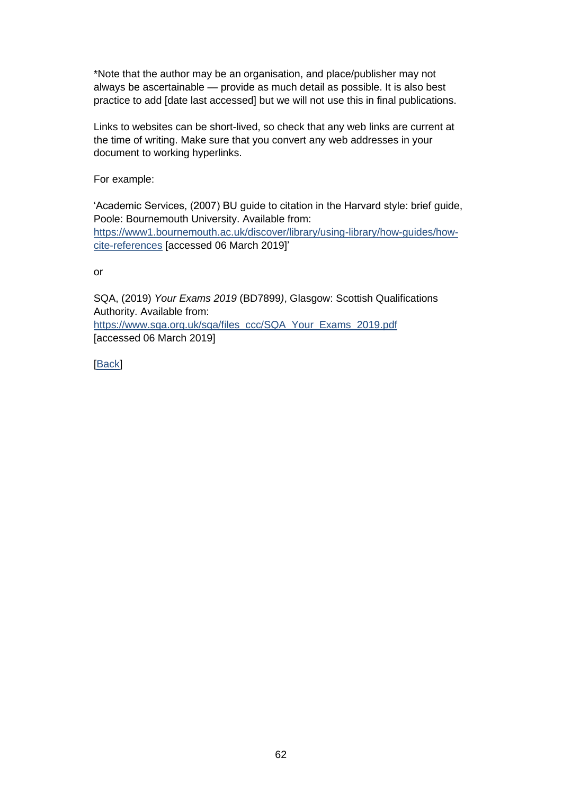\*Note that the author may be an organisation, and place/publisher may not always be ascertainable — provide as much detail as possible. It is also best practice to add [date last accessed] but we will not use this in final publications.

Links to websites can be short-lived, so check that any web links are current at the time of writing. Make sure that you convert any web addresses in your document to working hyperlinks.

For example:

'Academic Services, (2007) BU guide to citation in the Harvard style: brief guide, Poole: Bournemouth University. Available from: [https://www1.bournemouth.ac.uk/discover/library/using-library/how-guides/how](https://www1.bournemouth.ac.uk/discover/library/using-library/how-guides/how-cite-references)[cite-references](https://www1.bournemouth.ac.uk/discover/library/using-library/how-guides/how-cite-references) [accessed 06 March 2019]'

or

SQA, (2019) *Your Exams 2019* (BD7899*)*, Glasgow: Scottish Qualifications Authority. Available from: [https://www.sqa.org.uk/sqa/files\\_ccc/SQA\\_Your\\_Exams\\_2019.pdf](https://www.sqa.org.uk/sqa/files_ccc/SQA_Your_Exams_2019.pdf) [accessed 06 March 2019]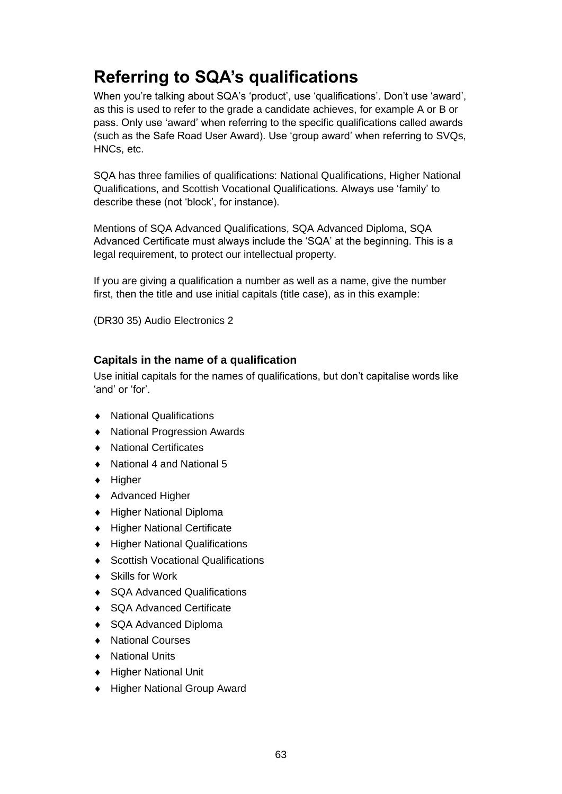## **Referring to SQA's qualifications**

When you're talking about SQA's 'product', use 'qualifications'. Don't use 'award', as this is used to refer to the grade a candidate achieves, for example A or B or pass. Only use 'award' when referring to the specific qualifications called awards (such as the Safe Road User Award). Use 'group award' when referring to SVQs, HNCs, etc.

SQA has three families of qualifications: National Qualifications, Higher National Qualifications, and Scottish Vocational Qualifications. Always use 'family' to describe these (not 'block', for instance).

Mentions of SQA Advanced Qualifications, SQA Advanced Diploma, SQA Advanced Certificate must always include the 'SQA' at the beginning. This is a legal requirement, to protect our intellectual property.

If you are giving a qualification a number as well as a name, give the number first, then the title and use initial capitals (title case), as in this example:

(DR30 35) Audio Electronics 2

#### **Capitals in the name of a qualification**

Use initial capitals for the names of qualifications, but don't capitalise words like 'and' or 'for'.

- ◆ National Qualifications
- National Progression Awards
- National Certificates
- ◆ National 4 and National 5
- $\triangleleft$  Higher
- ◆ Advanced Higher
- Higher National Diploma
- Higher National Certificate
- ◆ Higher National Qualifications
- ◆ Scottish Vocational Qualifications
- ◆ Skills for Work
- ◆ SQA Advanced Qualifications
- ◆ SQA Advanced Certificate
- ◆ SQA Advanced Diploma
- ◆ National Courses
- National Units
- Higher National Unit
- ◆ Higher National Group Award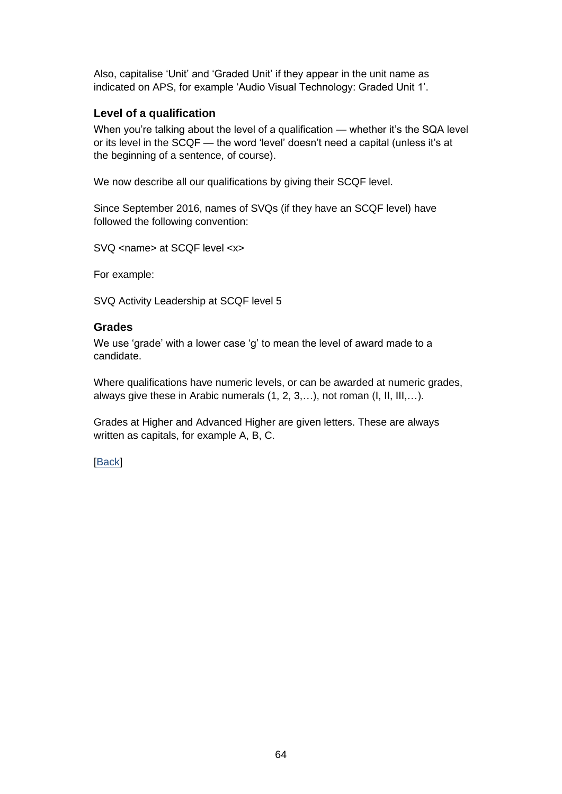Also, capitalise 'Unit' and 'Graded Unit' if they appear in the unit name as indicated on APS, for example 'Audio Visual Technology: Graded Unit 1'.

### **Level of a qualification**

When you're talking about the level of a qualification — whether it's the SQA level or its level in the SCQF — the word 'level' doesn't need a capital (unless it's at the beginning of a sentence, of course).

We now describe all our qualifications by giving their SCQF level.

Since September 2016, names of SVQs (if they have an SCQF level) have followed the following convention:

SVQ <name> at SCQF level <x>

For example:

SVQ Activity Leadership at SCQF level 5

#### **Grades**

We use 'grade' with a lower case 'g' to mean the level of award made to a candidate.

Where qualifications have numeric levels, or can be awarded at numeric grades, always give these in Arabic numerals (1, 2, 3,…), not roman (I, II, III,…).

Grades at Higher and Advanced Higher are given letters. These are always written as capitals, for example A, B, C.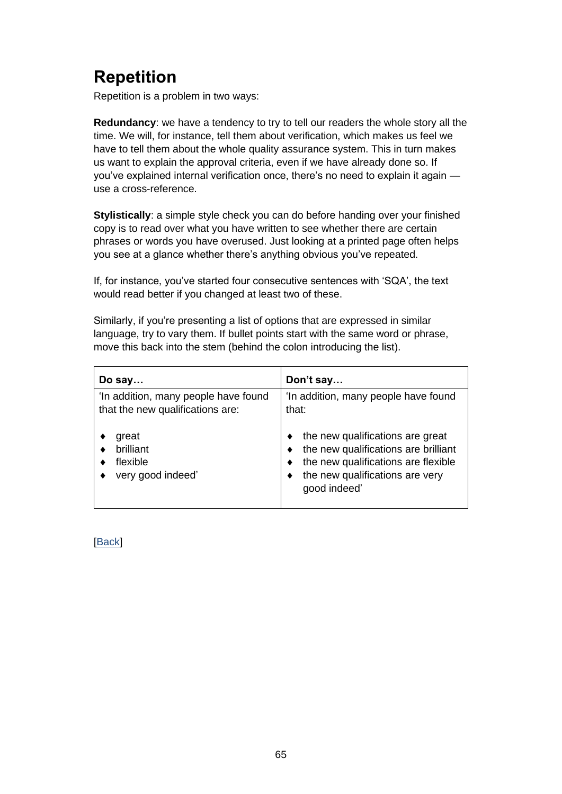# **Repetition**

Repetition is a problem in two ways:

**Redundancy**: we have a tendency to try to tell our readers the whole story all the time. We will, for instance, tell them about verification, which makes us feel we have to tell them about the whole quality assurance system. This in turn makes us want to explain the approval criteria, even if we have already done so. If you've explained internal verification once, there's no need to explain it again use a cross-reference.

**Stylistically**: a simple style check you can do before handing over your finished copy is to read over what you have written to see whether there are certain phrases or words you have overused. Just looking at a printed page often helps you see at a glance whether there's anything obvious you've repeated.

If, for instance, you've started four consecutive sentences with 'SQA', the text would read better if you changed at least two of these.

Similarly, if you're presenting a list of options that are expressed in similar language, try to vary them. If bullet points start with the same word or phrase, move this back into the stem (behind the colon introducing the list).

| Do say                                                                   | Don't say                                                                                                                                                          |
|--------------------------------------------------------------------------|--------------------------------------------------------------------------------------------------------------------------------------------------------------------|
| 'In addition, many people have found<br>that the new qualifications are: | 'In addition, many people have found<br>that:                                                                                                                      |
| great<br>brilliant<br>flexible<br>very good indeed'                      | the new qualifications are great<br>the new qualifications are brilliant<br>the new qualifications are flexible<br>the new qualifications are very<br>good indeed' |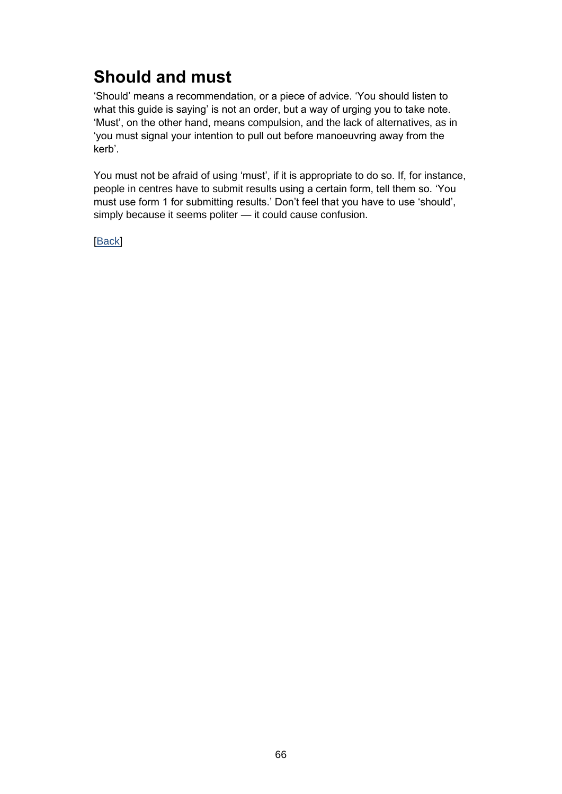## **Should and must**

'Should' means a recommendation, or a piece of advice. 'You should listen to what this guide is saying' is not an order, but a way of urging you to take note. 'Must', on the other hand, means compulsion, and the lack of alternatives, as in 'you must signal your intention to pull out before manoeuvring away from the kerb'.

You must not be afraid of using 'must', if it is appropriate to do so. If, for instance, people in centres have to submit results using a certain form, tell them so. 'You must use form 1 for submitting results.' Don't feel that you have to use 'should', simply because it seems politer — it could cause confusion.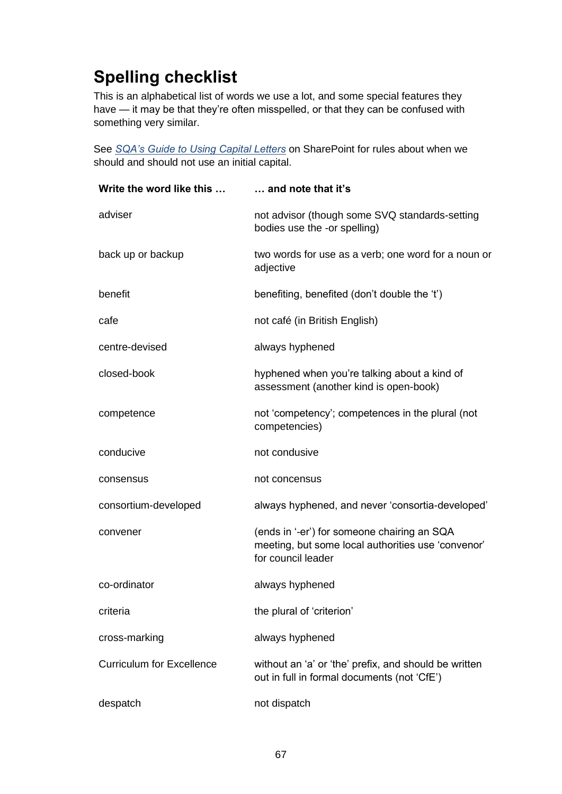# **Spelling checklist**

This is an alphabetical list of words we use a lot, and some special features they have — it may be that they're often misspelled, or that they can be confused with something very similar.

See *[SQA's Guide to Using Capital Letters](https://sqanow.sharepoint.com/sites/connections/Publishing%20and%20writing/Documents/SQA_Guide_to_Using_Capital_Letters.pdf)* on SharePoint for rules about when we should and should not use an initial capital.

| Write the word like this         | and note that it's                                                                                                      |
|----------------------------------|-------------------------------------------------------------------------------------------------------------------------|
| adviser                          | not advisor (though some SVQ standards-setting<br>bodies use the -or spelling)                                          |
| back up or backup                | two words for use as a verb; one word for a noun or<br>adjective                                                        |
| benefit                          | benefiting, benefited (don't double the 't')                                                                            |
| cafe                             | not café (in British English)                                                                                           |
| centre-devised                   | always hyphened                                                                                                         |
| closed-book                      | hyphened when you're talking about a kind of<br>assessment (another kind is open-book)                                  |
| competence                       | not 'competency'; competences in the plural (not<br>competencies)                                                       |
| conducive                        | not condusive                                                                                                           |
| consensus                        | not concensus                                                                                                           |
| consortium-developed             | always hyphened, and never 'consortia-developed'                                                                        |
| convener                         | (ends in '-er') for someone chairing an SQA<br>meeting, but some local authorities use 'convenor'<br>for council leader |
| co-ordinator                     | always hyphened                                                                                                         |
| criteria                         | the plural of 'criterion'                                                                                               |
| cross-marking                    | always hyphened                                                                                                         |
| <b>Curriculum for Excellence</b> | without an 'a' or 'the' prefix, and should be written<br>out in full in formal documents (not 'CfE')                    |
| despatch                         | not dispatch                                                                                                            |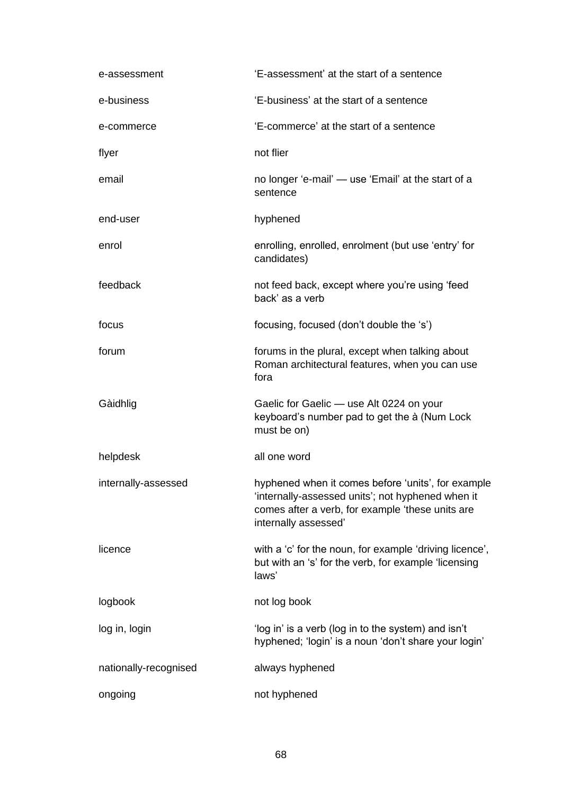| e-assessment          | 'E-assessment' at the start of a sentence                                                                                                                                           |
|-----------------------|-------------------------------------------------------------------------------------------------------------------------------------------------------------------------------------|
| e-business            | 'E-business' at the start of a sentence                                                                                                                                             |
| e-commerce            | 'E-commerce' at the start of a sentence                                                                                                                                             |
| flyer                 | not flier                                                                                                                                                                           |
| email                 | no longer 'e-mail' — use 'Email' at the start of a<br>sentence                                                                                                                      |
| end-user              | hyphened                                                                                                                                                                            |
| enrol                 | enrolling, enrolled, enrolment (but use 'entry' for<br>candidates)                                                                                                                  |
| feedback              | not feed back, except where you're using 'feed<br>back' as a verb                                                                                                                   |
| focus                 | focusing, focused (don't double the 's')                                                                                                                                            |
| forum                 | forums in the plural, except when talking about<br>Roman architectural features, when you can use<br>fora                                                                           |
| Gàidhlig              | Gaelic for Gaelic - use Alt 0224 on your<br>keyboard's number pad to get the à (Num Lock<br>must be on)                                                                             |
| helpdesk              | all one word                                                                                                                                                                        |
| internally-assessed   | hyphened when it comes before 'units', for example<br>'internally-assessed units'; not hyphened when it<br>comes after a verb, for example 'these units are<br>internally assessed' |
| licence               | with a 'c' for the noun, for example 'driving licence',<br>but with an 's' for the verb, for example 'licensing<br>laws'                                                            |
| logbook               | not log book                                                                                                                                                                        |
| log in, login         | 'log in' is a verb (log in to the system) and isn't<br>hyphened; 'login' is a noun 'don't share your login'                                                                         |
| nationally-recognised | always hyphened                                                                                                                                                                     |
| ongoing               | not hyphened                                                                                                                                                                        |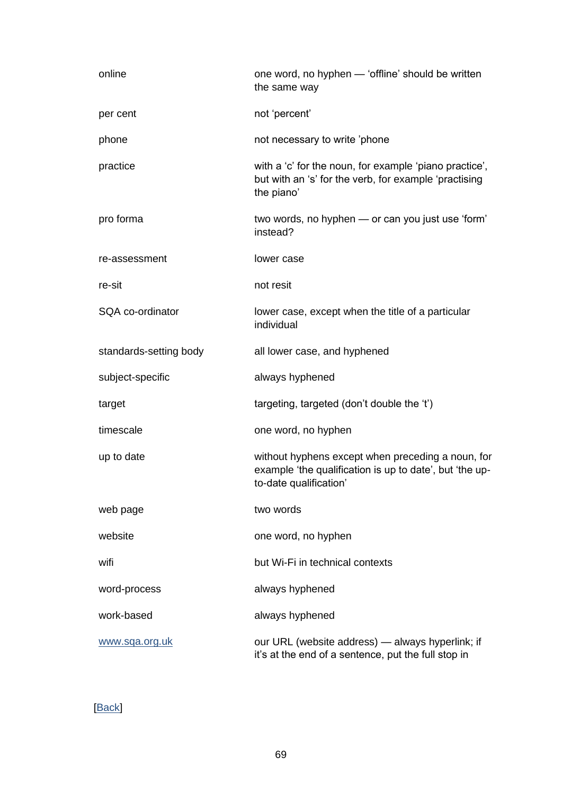| online                 | one word, no hyphen - 'offline' should be written<br>the same way                                                                      |
|------------------------|----------------------------------------------------------------------------------------------------------------------------------------|
| per cent               | not 'percent'                                                                                                                          |
| phone                  | not necessary to write 'phone                                                                                                          |
| practice               | with a 'c' for the noun, for example 'piano practice',<br>but with an 's' for the verb, for example 'practising<br>the piano'          |
| pro forma              | two words, no hyphen - or can you just use 'form'<br>instead?                                                                          |
| re-assessment          | lower case                                                                                                                             |
| re-sit                 | not resit                                                                                                                              |
| SQA co-ordinator       | lower case, except when the title of a particular<br>individual                                                                        |
| standards-setting body | all lower case, and hyphened                                                                                                           |
| subject-specific       | always hyphened                                                                                                                        |
| target                 | targeting, targeted (don't double the 't')                                                                                             |
| timescale              | one word, no hyphen                                                                                                                    |
| up to date             | without hyphens except when preceding a noun, for<br>example 'the qualification is up to date', but 'the up-<br>to-date qualification' |
| web page               | two words                                                                                                                              |
| website                | one word, no hyphen                                                                                                                    |
| wifi                   | but Wi-Fi in technical contexts                                                                                                        |
| word-process           | always hyphened                                                                                                                        |
| work-based             | always hyphened                                                                                                                        |
| www.sqa.org.uk         | our URL (website address) — always hyperlink; if<br>it's at the end of a sentence, put the full stop in                                |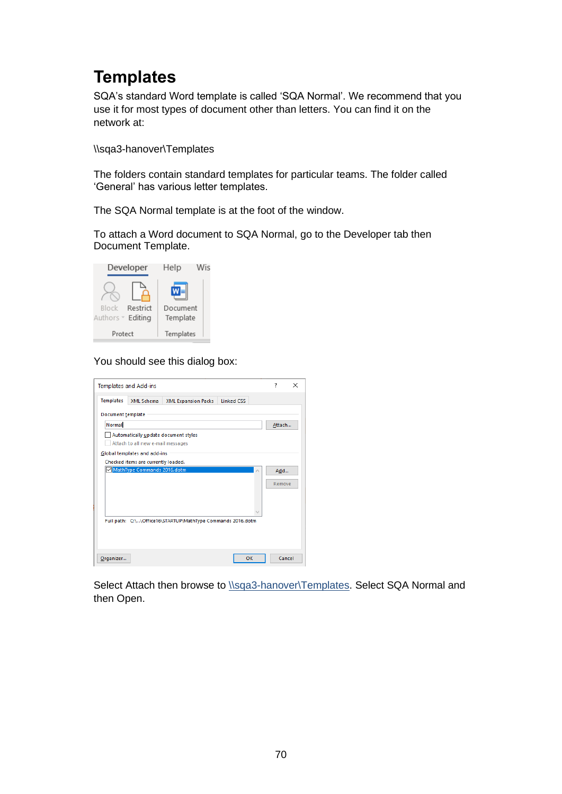## **Templates**

SQA's standard Word template is called 'SQA Normal'. We recommend that you use it for most types of document other than letters. You can find it on the network at:

\\sqa3-hanover\Templates

The folders contain standard templates for particular teams. The folder called 'General' has various letter templates.

The SQA Normal template is at the foot of the window.

To attach a Word document to SQA Normal, go to the Developer tab then Document Template.



#### You should see this dialog box:

| <b>Templates and Add-ins</b>                                |                            |                   |                            | 7      | × |
|-------------------------------------------------------------|----------------------------|-------------------|----------------------------|--------|---|
| <b>Templates</b><br>XML Schema                              | <b>XML Expansion Packs</b> | <b>Linked CSS</b> |                            |        |   |
| Document template                                           |                            |                   |                            |        |   |
| Normal                                                      |                            |                   |                            | Attach |   |
| Automatically update document styles                        |                            |                   |                            |        |   |
| Attach to all new e-mail messages                           |                            |                   |                            |        |   |
| Global templates and add-ins                                |                            |                   |                            |        |   |
| Checked items are currently loaded.                         |                            |                   |                            |        |   |
| MathType Commands 2016.dotm                                 |                            |                   | $\mathcal{L}_{\mathbf{k}}$ | Add    |   |
|                                                             |                            |                   |                            | Remove |   |
|                                                             |                            |                   |                            |        |   |
|                                                             |                            |                   |                            |        |   |
|                                                             |                            |                   |                            |        |   |
| Full path: C:\\Office16\STARTUP\MathType Commands 2016.dotm |                            |                   |                            |        |   |
|                                                             |                            |                   |                            |        |   |
|                                                             |                            |                   |                            |        |   |
|                                                             |                            |                   |                            |        |   |
| Organizer                                                   |                            |                   | OK                         | Cancel |   |

Select Attach then browse to [\\sqa3-hanover\Templates.](file://///sqa3-hanover/Templates) Select SQA Normal and then Open.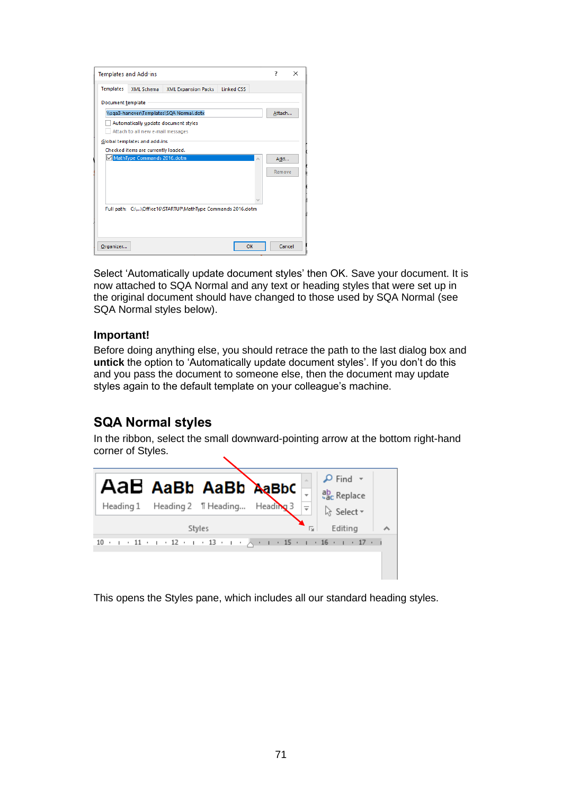| <b>Templates</b>  | <b>XML Schema</b>                   | <b>XML Expansion Packs</b>                                  | <b>Linked CSS</b> |        |        |
|-------------------|-------------------------------------|-------------------------------------------------------------|-------------------|--------|--------|
| Document template |                                     |                                                             |                   |        |        |
|                   |                                     | \\sqa3-hanover\Templates\SQA Normal.dotx                    |                   | Attach |        |
|                   |                                     | Automatically update document styles                        |                   |        |        |
|                   | Attach to all new e-mail messages   |                                                             |                   |        |        |
|                   | Global templates and add-ins        |                                                             |                   |        |        |
|                   | Checked items are currently loaded. |                                                             |                   |        |        |
|                   | MathType Commands 2016.dotm         |                                                             |                   | Add    |        |
|                   |                                     |                                                             |                   | Remove |        |
|                   |                                     |                                                             |                   |        |        |
|                   |                                     |                                                             |                   |        |        |
|                   |                                     |                                                             |                   |        |        |
|                   |                                     | Full path: C:\\Office16\STARTUP\MathType Commands 2016.dotm |                   |        |        |
|                   |                                     |                                                             |                   |        |        |
|                   |                                     |                                                             |                   |        |        |
|                   |                                     |                                                             |                   |        |        |
| Organizer         |                                     |                                                             | OK                |        | Cancel |

Select 'Automatically update document styles' then OK. Save your document. It is now attached to SQA Normal and any text or heading styles that were set up in the original document should have changed to those used by SQA Normal (see SQA Normal styles below).

### **Important!**

Before doing anything else, you should retrace the path to the last dialog box and **untick** the option to 'Automatically update document styles'. If you don't do this and you pass the document to someone else, then the document may update styles again to the default template on your colleague's machine.

### **SQA Normal styles**

In the ribbon, select the small downward-pointing arrow at the bottom right-hand corner of Styles.



This opens the Styles pane, which includes all our standard heading styles.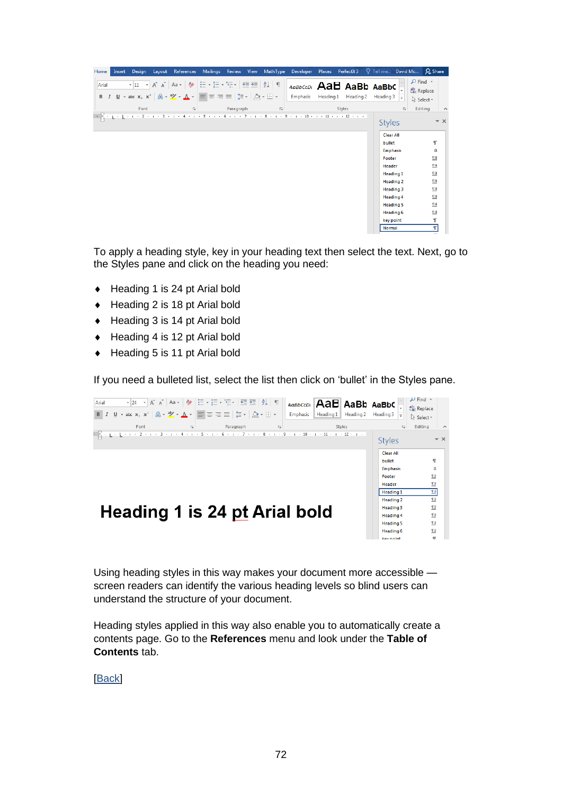| Mailings Review View<br>Design<br>References<br>MathType<br>Developer<br>Places<br>PerfectIt 3<br>Home<br>Layout<br>Insert                                                                                                                                                                                                                                                                                                                                                                                                                                                                                                                                                                                                                                                                                                                                        | Q Tell me David Mc Q Share                                                                                                                                                                                                                                                                                                                                                                                                                                                                                                           |
|-------------------------------------------------------------------------------------------------------------------------------------------------------------------------------------------------------------------------------------------------------------------------------------------------------------------------------------------------------------------------------------------------------------------------------------------------------------------------------------------------------------------------------------------------------------------------------------------------------------------------------------------------------------------------------------------------------------------------------------------------------------------------------------------------------------------------------------------------------------------|--------------------------------------------------------------------------------------------------------------------------------------------------------------------------------------------------------------------------------------------------------------------------------------------------------------------------------------------------------------------------------------------------------------------------------------------------------------------------------------------------------------------------------------|
| $\overline{\mathbf{v}^{\mathstrut}}\,\overline{\mathbf{11}}\,\overline{\mathbf{v}}^{\mathstrut}\,\overline{\mathbf{A}}^{\mathstrut}\,\overline{\mathbf{A}}^{\mathstrut}\,\overline{\mathbf{A}}^{\mathstrut}\,\overline{\mathbf{A}}^{\mathstrut}\,\overline{\mathbf{A}}^{\mathstrut}\,\overline{\mathbf{A}}^{\mathstrut}\,\overline{\mathbf{A}}^{\mathstrut}\,\overline{\mathbf{A}}^{\mathstrut}\,\overline{\mathbf{B}}^{\mathstrut}\,\overline{\mathbf{V}}^{\mathstrut}\,\overline{\mathbf{I}}^{\mathstrut}\,\overline{\mathbf{I}}^{\mathstr$<br>AaBbCcDt AaB AaBb AaBbC<br>Arial<br><b>B</b> $I \perp \perp \cdot$ also $X_2 \times 2$ $\left[\bigwedge \cdot \frac{3}{2} \cdot \bigwedge \cdot \bigwedge \cdot \cdot \right] \equiv \equiv \equiv \equiv \left[\biguplus \cdot \bigwedge \cdot \cdot \cdot \cdot \right]$<br>Emphasis<br>Heading 1<br>Heading 2 | $\rho$ Find $\sim$<br>ab Replace<br>Heading 3 $\vert \frac{1}{x} \vert$<br>ि Select र                                                                                                                                                                                                                                                                                                                                                                                                                                                |
| Font<br>Paragraph<br>Styles<br>$\overline{\mathbb{R}}$<br>$\overline{u}$                                                                                                                                                                                                                                                                                                                                                                                                                                                                                                                                                                                                                                                                                                                                                                                          | Editing<br>辰.<br>$\overline{\phantom{a}}$                                                                                                                                                                                                                                                                                                                                                                                                                                                                                            |
| . X - L - L - L - 2 - L - 3 - L - 4 - L - 5 - L - 6 - L - 7 - L - 8 - L - 9 - L - 10 - L - 11 - L - 12 - L -                                                                                                                                                                                                                                                                                                                                                                                                                                                                                                                                                                                                                                                                                                                                                      | $\overline{\phantom{1}}$ $\times$<br><b>Styles</b><br><b>Clear All</b><br>$\mathbb T$<br>bullet<br>a<br><b>Emphasis</b><br>$\underline{\mathbb{T}}$ a<br>Footer<br>$\Pi$ a<br><b>Header</b><br>$\underline{\mathbb{T}}$ a<br><b>Heading 1</b><br>$\underline{\mathbb{T}}$ a<br><b>Heading 2</b><br>$\underline{\mathbb{T}}$ a<br><b>Heading 3</b><br>$\underline{\mathbb{T}}$ a<br><b>Heading 4</b><br>$\underline{\mathbb{T}}$ a<br><b>Heading 5</b><br>$\underline{\mathbb{T}}$ a<br>Heading 6<br>$\mathbb T$<br>key point<br>$\P$ |

To apply a heading style, key in your heading text then select the text. Next, go to the Styles pane and click on the heading you need:

- ◆ Heading 1 is 24 pt Arial bold
- ◆ Heading 2 is 18 pt Arial bold
- ◆ Heading 3 is 14 pt Arial bold
- $\leftrightarrow$  Heading 4 is 12 pt Arial bold
- ◆ Heading 5 is 11 pt Arial bold

If you need a bulleted list, select the list then click on 'bullet' in the Styles pane.



Using heading styles in this way makes your document more accessible screen readers can identify the various heading levels so blind users can understand the structure of your document.

Heading styles applied in this way also enable you to automatically create a contents page. Go to the **References** menu and look under the **Table of Contents** tab.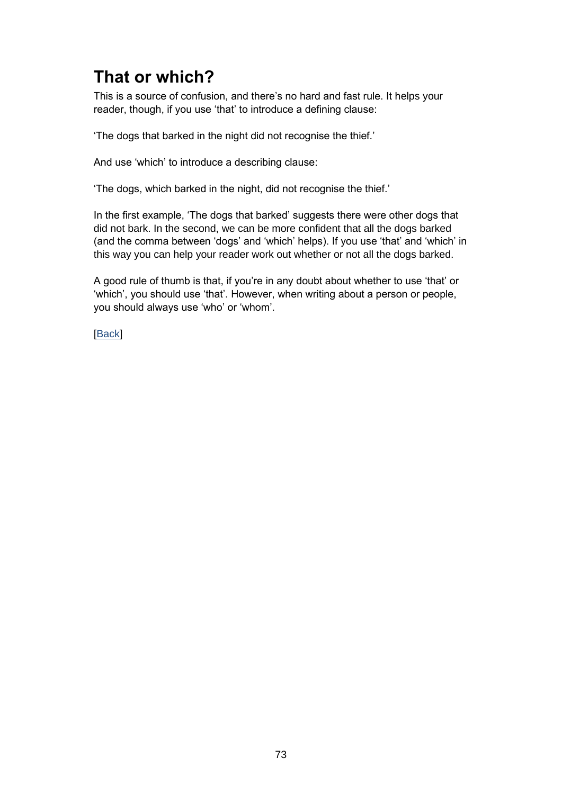## **That or which?**

This is a source of confusion, and there's no hard and fast rule. It helps your reader, though, if you use 'that' to introduce a defining clause:

'The dogs that barked in the night did not recognise the thief.'

And use 'which' to introduce a describing clause:

'The dogs, which barked in the night, did not recognise the thief.'

In the first example, 'The dogs that barked' suggests there were other dogs that did not bark. In the second, we can be more confident that all the dogs barked (and the comma between 'dogs' and 'which' helps). If you use 'that' and 'which' in this way you can help your reader work out whether or not all the dogs barked.

A good rule of thumb is that, if you're in any doubt about whether to use 'that' or 'which', you should use 'that'. However, when writing about a person or people, you should always use 'who' or 'whom'.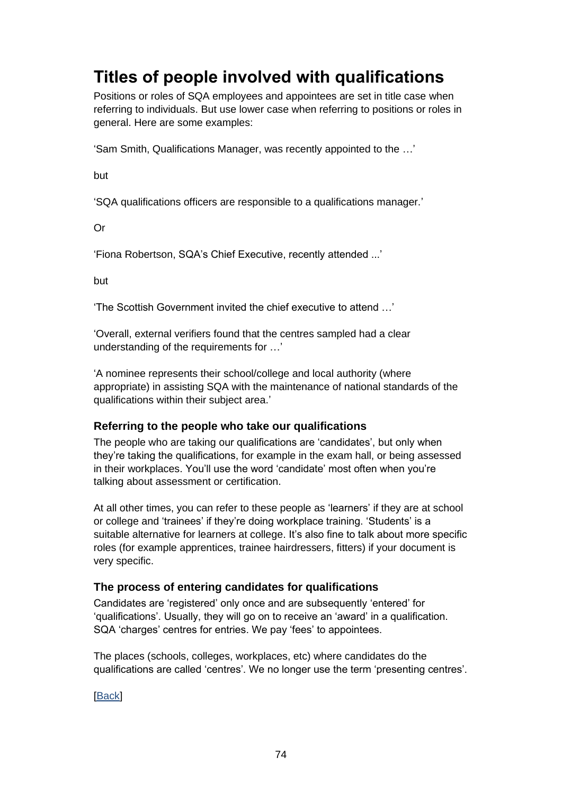## **Titles of people involved with qualifications**

Positions or roles of SQA employees and appointees are set in title case when referring to individuals. But use lower case when referring to positions or roles in general. Here are some examples:

'Sam Smith, Qualifications Manager, was recently appointed to the …'

but

'SQA qualifications officers are responsible to a qualifications manager.'

Or

'Fiona Robertson, SQA's Chief Executive, recently attended ...'

but

'The Scottish Government invited the chief executive to attend …'

'Overall, external verifiers found that the centres sampled had a clear understanding of the requirements for …'

'A nominee represents their school/college and local authority (where appropriate) in assisting SQA with the maintenance of national standards of the qualifications within their subject area.'

### **Referring to the people who take our qualifications**

The people who are taking our qualifications are 'candidates', but only when they're taking the qualifications, for example in the exam hall, or being assessed in their workplaces. You'll use the word 'candidate' most often when you're talking about assessment or certification.

At all other times, you can refer to these people as 'learners' if they are at school or college and 'trainees' if they're doing workplace training. 'Students' is a suitable alternative for learners at college. It's also fine to talk about more specific roles (for example apprentices, trainee hairdressers, fitters) if your document is very specific.

### **The process of entering candidates for qualifications**

Candidates are 'registered' only once and are subsequently 'entered' for 'qualifications'. Usually, they will go on to receive an 'award' in a qualification. SQA 'charges' centres for entries. We pay 'fees' to appointees.

The places (schools, colleges, workplaces, etc) where candidates do the qualifications are called 'centres'. We no longer use the term 'presenting centres'.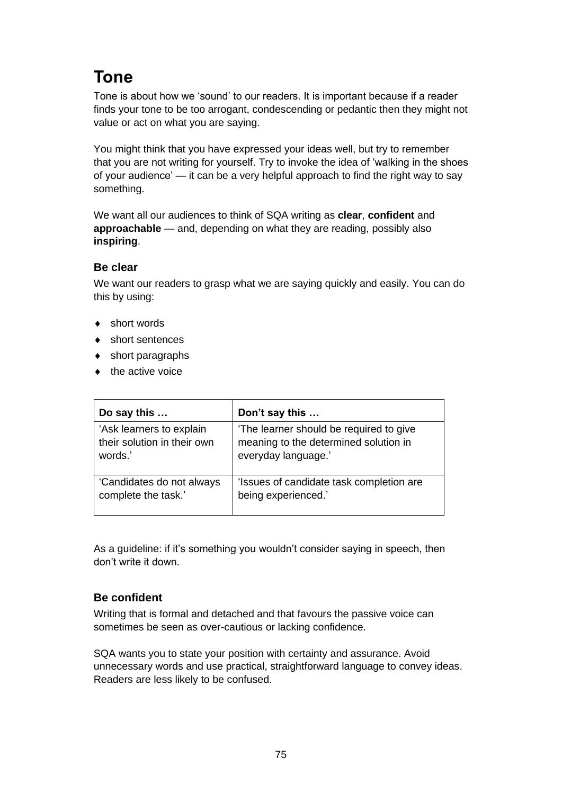## **Tone**

Tone is about how we 'sound' to our readers. It is important because if a reader finds your tone to be too arrogant, condescending or pedantic then they might not value or act on what you are saying.

You might think that you have expressed your ideas well, but try to remember that you are not writing for yourself. Try to invoke the idea of 'walking in the shoes of your audience' — it can be a very helpful approach to find the right way to say something.

We want all our audiences to think of SQA writing as **clear**, **confident** and **approachable** — and, depending on what they are reading, possibly also **inspiring**.

### **Be clear**

We want our readers to grasp what we are saying quickly and easily. You can do this by using:

- ◆ short words
- ◆ short sentences
- short paragraphs
- $\bullet$  the active voice

| Do say this                 | Don't say this                           |
|-----------------------------|------------------------------------------|
| 'Ask learners to explain    | 'The learner should be required to give  |
| their solution in their own | meaning to the determined solution in    |
| words.'                     | everyday language.'                      |
| 'Candidates do not always   | 'Issues of candidate task completion are |
| complete the task.'         | being experienced.'                      |

As a guideline: if it's something you wouldn't consider saying in speech, then don't write it down.

### **Be confident**

Writing that is formal and detached and that favours the passive voice can sometimes be seen as over-cautious or lacking confidence.

SQA wants you to state your position with certainty and assurance. Avoid unnecessary words and use practical, straightforward language to convey ideas. Readers are less likely to be confused.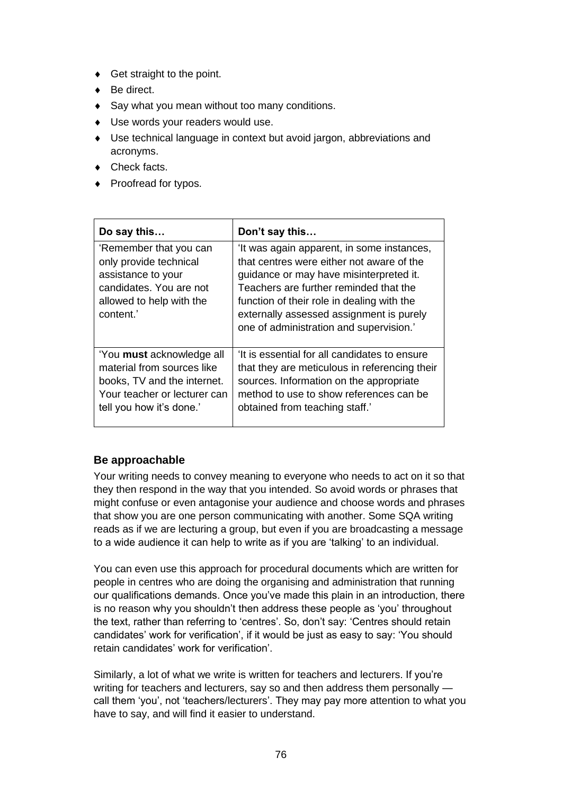- ◆ Get straight to the point.
- ◆ Be direct.
- Say what you mean without too many conditions.
- Use words your readers would use.
- Use technical language in context but avoid jargon, abbreviations and acronyms.
- ◆ Check facts.
- ◆ Proofread for typos.

| Do say this                                                                                                                                        | Don't say this                                                                                                                                                                                                                                                                                                    |
|----------------------------------------------------------------------------------------------------------------------------------------------------|-------------------------------------------------------------------------------------------------------------------------------------------------------------------------------------------------------------------------------------------------------------------------------------------------------------------|
| 'Remember that you can<br>only provide technical<br>assistance to your<br>candidates. You are not<br>allowed to help with the<br>content.'         | 'It was again apparent, in some instances,<br>that centres were either not aware of the<br>guidance or may have misinterpreted it.<br>Teachers are further reminded that the<br>function of their role in dealing with the<br>externally assessed assignment is purely<br>one of administration and supervision.' |
| 'You must acknowledge all<br>material from sources like<br>books, TV and the internet.<br>Your teacher or lecturer can<br>tell you how it's done.' | 'It is essential for all candidates to ensure<br>that they are meticulous in referencing their<br>sources. Information on the appropriate<br>method to use to show references can be<br>obtained from teaching staff.'                                                                                            |

### **Be approachable**

Your writing needs to convey meaning to everyone who needs to act on it so that they then respond in the way that you intended. So avoid words or phrases that might confuse or even antagonise your audience and choose words and phrases that show you are one person communicating with another. Some SQA writing reads as if we are lecturing a group, but even if you are broadcasting a message to a wide audience it can help to write as if you are 'talking' to an individual.

You can even use this approach for procedural documents which are written for people in centres who are doing the organising and administration that running our qualifications demands. Once you've made this plain in an introduction, there is no reason why you shouldn't then address these people as 'you' throughout the text, rather than referring to 'centres'. So, don't say: 'Centres should retain candidates' work for verification', if it would be just as easy to say: 'You should retain candidates' work for verification'.

Similarly, a lot of what we write is written for teachers and lecturers. If you're writing for teachers and lecturers, say so and then address them personally call them 'you', not 'teachers/lecturers'. They may pay more attention to what you have to say, and will find it easier to understand.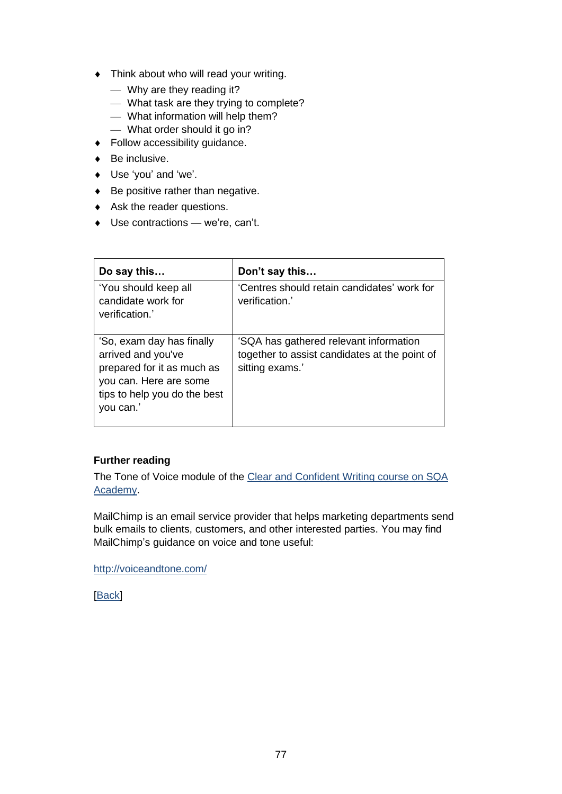- Think about who will read your writing.
	- Why are they reading it?
	- What task are they trying to complete?
	- What information will help them?
	- What order should it go in?
- Follow accessibility guidance.
- ◆ Be inclusive.
- ◆ Use 'vou' and 'we'.
- $\triangleleft$  Be positive rather than negative.
- Ask the reader questions.
- ◆ Use contractions we're, can't.

| Do say this                                                                                                                                          | Don't say this                                                                                             |
|------------------------------------------------------------------------------------------------------------------------------------------------------|------------------------------------------------------------------------------------------------------------|
| 'You should keep all<br>candidate work for<br>verification.'                                                                                         | 'Centres should retain candidates' work for<br>verification.'                                              |
| 'So, exam day has finally<br>arrived and you've<br>prepared for it as much as<br>you can. Here are some<br>tips to help you do the best<br>you can.' | 'SQA has gathered relevant information<br>together to assist candidates at the point of<br>sitting exams.' |

### **Further reading**

The Tone of Voice module of the Clear and Confident Writing course on SQA [Academy.](https://www.sqaacademy.org.uk/course/view.php?id=703)

MailChimp is an email service provider that helps marketing departments send bulk emails to clients, customers, and other interested parties. You may find MailChimp's guidance on voice and tone useful:

<http://voiceandtone.com/>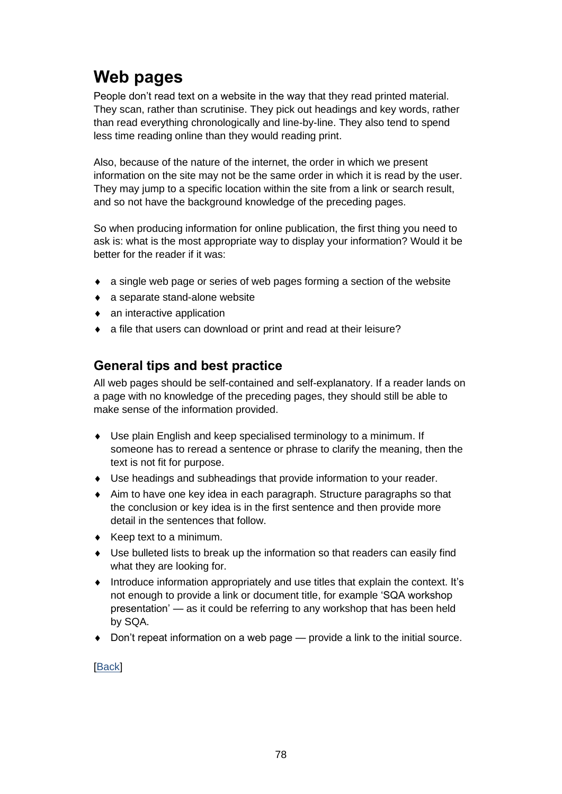## **Web pages**

People don't read text on a website in the way that they read printed material. They scan, rather than scrutinise. They pick out headings and key words, rather than read everything chronologically and line-by-line. They also tend to spend less time reading online than they would reading print.

Also, because of the nature of the internet, the order in which we present information on the site may not be the same order in which it is read by the user. They may jump to a specific location within the site from a link or search result, and so not have the background knowledge of the preceding pages.

So when producing information for online publication, the first thing you need to ask is: what is the most appropriate way to display your information? Would it be better for the reader if it was:

- a single web page or series of web pages forming a section of the website
- a separate stand-alone website
- an interactive application
- a file that users can download or print and read at their leisure?

### **General tips and best practice**

All web pages should be self-contained and self-explanatory. If a reader lands on a page with no knowledge of the preceding pages, they should still be able to make sense of the information provided.

- Use plain English and keep specialised terminology to a minimum. If someone has to reread a sentence or phrase to clarify the meaning, then the text is not fit for purpose.
- Use headings and subheadings that provide information to your reader.
- Aim to have one key idea in each paragraph. Structure paragraphs so that the conclusion or key idea is in the first sentence and then provide more detail in the sentences that follow.
- $\leftarrow$  Keep text to a minimum.
- Use bulleted lists to break up the information so that readers can easily find what they are looking for.
- Introduce information appropriately and use titles that explain the context. It's not enough to provide a link or document title, for example 'SQA workshop presentation' — as it could be referring to any workshop that has been held by SQA.
- Don't repeat information on a web page provide a link to the initial source.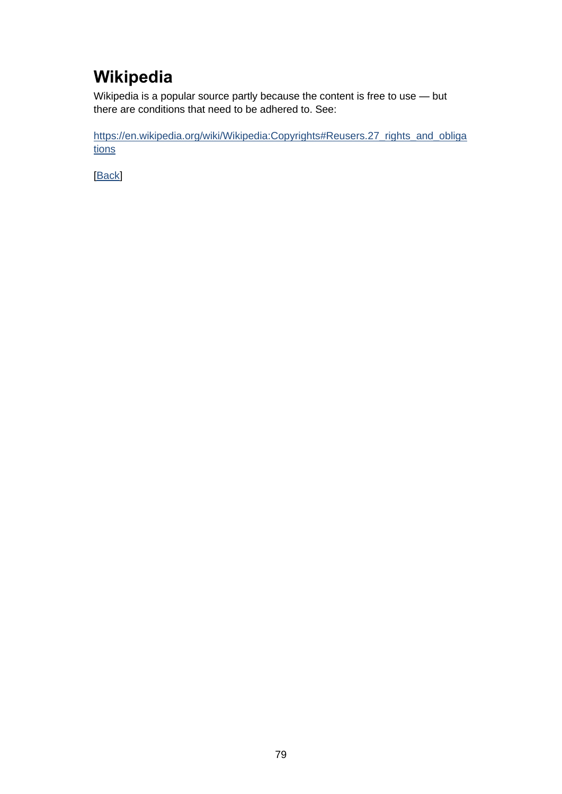# **Wikipedia**

Wikipedia is a popular source partly because the content is free to use — but there are conditions that need to be adhered to. See:

[https://en.wikipedia.org/wiki/Wikipedia:Copyrights#Reusers.27\\_rights\\_and\\_obliga](https://en.wikipedia.org/wiki/Wikipedia:Copyrights%23Reusers.27_rights_and_obligations) [tions](https://en.wikipedia.org/wiki/Wikipedia:Copyrights%23Reusers.27_rights_and_obligations)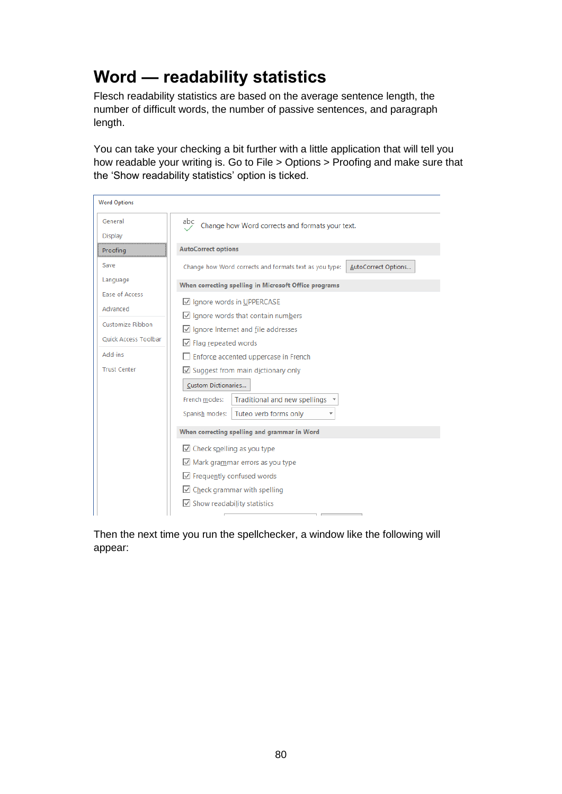## **Word — readability statistics**

Flesch readability statistics are based on the average sentence length, the number of difficult words, the number of passive sentences, and paragraph length.

You can take your checking a bit further with a little application that will tell you how readable your writing is. Go to File > Options > Proofing and make sure that the 'Show readability statistics' option is ticked.

| <b>Word Options</b>         |                                                                               |  |
|-----------------------------|-------------------------------------------------------------------------------|--|
| General                     | abc<br>Change how Word corrects and formats your text.                        |  |
| Display                     |                                                                               |  |
| Proofing                    | <b>AutoCorrect options</b>                                                    |  |
| Save                        | AutoCorrect Options<br>Change how Word corrects and formats text as you type: |  |
| Language                    | When correcting spelling in Microsoft Office programs                         |  |
| Ease of Access              | ☑ Ignore words in UPPERCASE                                                   |  |
| Advanced                    | $\vee$ Ignore words that contain numbers                                      |  |
| Customize Ribbon            | $\vee$ Ignore Internet and file addresses                                     |  |
| <b>Ouick Access Toolbar</b> | $\vee$ Flag repeated words                                                    |  |
| Add-ins                     | Enforce accented uppercase in French                                          |  |
| <b>Trust Center</b>         | $\Box$ Suggest from main dictionary only                                      |  |
|                             | <b>Custom Dictionaries</b>                                                    |  |
|                             | French modes:<br>Traditional and new spellings $\rightarrow$                  |  |
|                             | Tuteo verb forms only<br>Spanish modes:                                       |  |
|                             | When correcting spelling and grammar in Word                                  |  |
|                             | $\vee$ Check spelling as you type                                             |  |
|                             | $\vee$ Mark grammar errors as you type                                        |  |
|                             | $\sqrt{}$ Frequently confused words                                           |  |
|                             | $\Box$ Check grammar with spelling                                            |  |
|                             | $\overline{\cup}$ Show readability statistics                                 |  |
|                             |                                                                               |  |

Then the next time you run the spellchecker, a window like the following will appear: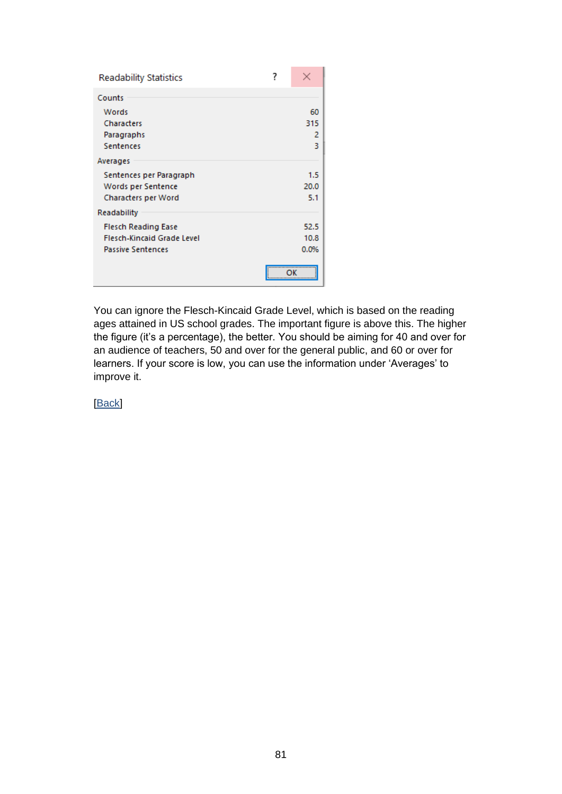| <b>Readability Statistics</b>     |             |
|-----------------------------------|-------------|
| Counts                            |             |
| Words                             | 60          |
| Characters                        | 315         |
| Paragraphs                        | 2           |
| <b>Sentences</b>                  | 3           |
| Averages                          |             |
| Sentences per Paragraph           | 1.5         |
| Words per Sentence                | 20.0        |
| <b>Characters per Word</b>        | 5.1         |
| <b>Readability</b>                |             |
| <b>Flesch Reading Ease</b>        | 52.5        |
| <b>Flesch-Kincaid Grade Level</b> | 10.8        |
| <b>Passive Sentences</b>          | 0.0%        |
|                                   | <del></del> |

You can ignore the Flesch-Kincaid Grade Level, which is based on the reading ages attained in US school grades. The important figure is above this. The higher the figure (it's a percentage), the better. You should be aiming for 40 and over for an audience of teachers, 50 and over for the general public, and 60 or over for learners. If your score is low, you can use the information under 'Averages' to improve it.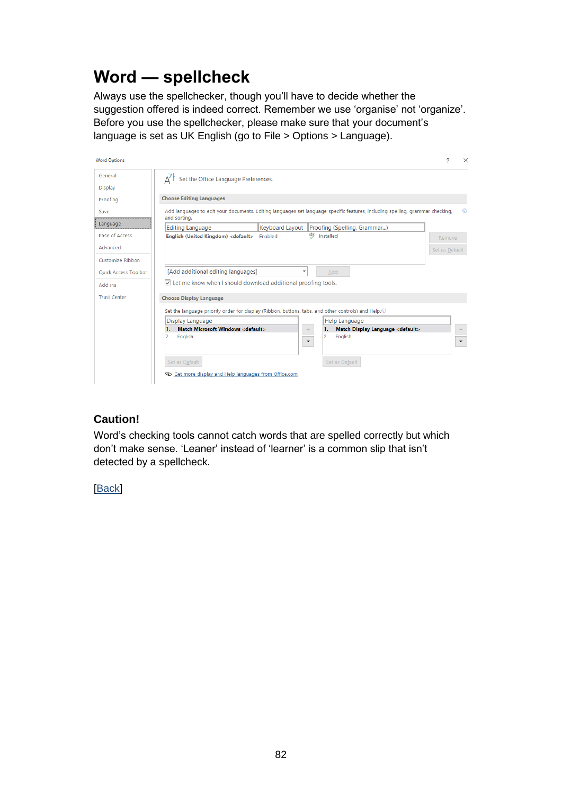## **Word — spellcheck**

Always use the spellchecker, though you'll have to decide whether the suggestion offered is indeed correct. Remember we use 'organise' not 'organize'. Before you use the spellchecker, please make sure that your document's language is set as UK English (go to File > Options > Language).

| <b>Word Options</b>         | 2                                                                                                                                                                | $\times$                 |
|-----------------------------|------------------------------------------------------------------------------------------------------------------------------------------------------------------|--------------------------|
| General                     | Set the Office Language Preferences.                                                                                                                             |                          |
| <b>Display</b>              |                                                                                                                                                                  |                          |
| Proofing                    | <b>Choose Editing Languages</b>                                                                                                                                  |                          |
| Save                        | Add languages to edit your documents. Editing languages set language-specific features, including spelling, grammar checking,<br>and sorting.                    | $\odot$                  |
| Language                    | <b>Keyboard Layout</b><br>Proofing (Spelling, Grammar)<br><b>Editing Language</b>                                                                                |                          |
| <b>Ease of Access</b>       | æ<br>Installed<br>English (United Kingdom) <default><br/>Enabled<br/>Remove</default>                                                                            |                          |
| Advanced                    | Set as Default                                                                                                                                                   |                          |
| Customize Ribbon            |                                                                                                                                                                  |                          |
| <b>Ouick Access Toolbar</b> | [Add additional editing languages]<br>Add<br>٠                                                                                                                   |                          |
| Add-ins                     | $\overline{\vee}$ Let me know when I should download additional proofing tools.                                                                                  |                          |
| <b>Trust Center</b>         | <b>Choose Display Language</b>                                                                                                                                   |                          |
|                             | Set the language priority order for display (Ribbon, buttons, tabs, and other controls) and Help. ®                                                              |                          |
|                             | Display Language<br><b>Help Language</b>                                                                                                                         |                          |
|                             | <b>Match Microsoft Windows <default></default></b><br>Match Display Language <default><br/>1.<br/>1.<br/><math display="inline">\Delta_{\rm{c}}</math></default> |                          |
|                             | English<br>2.<br>2.<br>English<br>$\overline{\phantom{a}}$                                                                                                       | $\overline{\phantom{a}}$ |
|                             | Set as Default<br>Set as Default                                                                                                                                 |                          |
|                             | © Get more display and Help languages from Office.com                                                                                                            |                          |

### **Caution!**

Word's checking tools cannot catch words that are spelled correctly but which don't make sense. 'Leaner' instead of 'learner' is a common slip that isn't detected by a spellcheck.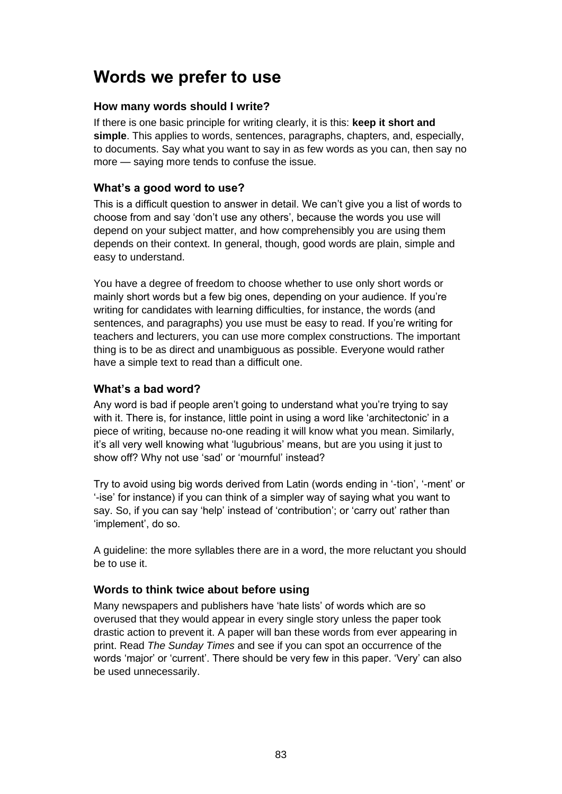### **Words we prefer to use**

### **How many words should I write?**

If there is one basic principle for writing clearly, it is this: **keep it short and simple**. This applies to words, sentences, paragraphs, chapters, and, especially, to documents. Say what you want to say in as few words as you can, then say no more — saying more tends to confuse the issue.

### **What's a good word to use?**

This is a difficult question to answer in detail. We can't give you a list of words to choose from and say 'don't use any others', because the words you use will depend on your subject matter, and how comprehensibly you are using them depends on their context. In general, though, good words are plain, simple and easy to understand.

You have a degree of freedom to choose whether to use only short words or mainly short words but a few big ones, depending on your audience. If you're writing for candidates with learning difficulties, for instance, the words (and sentences, and paragraphs) you use must be easy to read. If you're writing for teachers and lecturers, you can use more complex constructions. The important thing is to be as direct and unambiguous as possible. Everyone would rather have a simple text to read than a difficult one.

### **What's a bad word?**

Any word is bad if people aren't going to understand what you're trying to say with it. There is, for instance, little point in using a word like 'architectonic' in a piece of writing, because no-one reading it will know what you mean. Similarly, it's all very well knowing what 'lugubrious' means, but are you using it just to show off? Why not use 'sad' or 'mournful' instead?

Try to avoid using big words derived from Latin (words ending in '-tion', '-ment' or '-ise' for instance) if you can think of a simpler way of saying what you want to say. So, if you can say 'help' instead of 'contribution'; or 'carry out' rather than 'implement', do so.

A guideline: the more syllables there are in a word, the more reluctant you should be to use it.

### **Words to think twice about before using**

Many newspapers and publishers have 'hate lists' of words which are so overused that they would appear in every single story unless the paper took drastic action to prevent it. A paper will ban these words from ever appearing in print. Read *The Sunday Times* and see if you can spot an occurrence of the words 'major' or 'current'. There should be very few in this paper. 'Very' can also be used unnecessarily.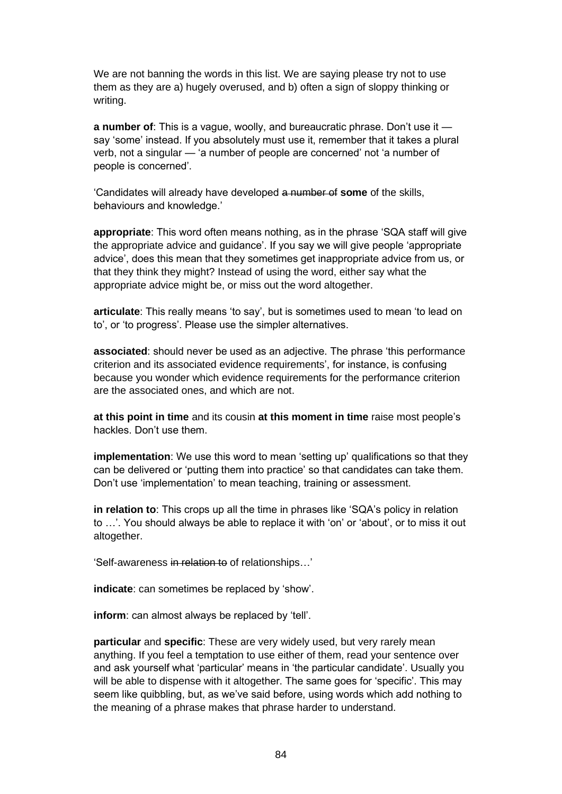We are not banning the words in this list. We are saying please try not to use them as they are a) hugely overused, and b) often a sign of sloppy thinking or writing.

**a number of**: This is a vague, woolly, and bureaucratic phrase. Don't use it say 'some' instead. If you absolutely must use it, remember that it takes a plural verb, not a singular — 'a number of people are concerned' not 'a number of people is concerned'.

'Candidates will already have developed a number of **some** of the skills, behaviours and knowledge.'

**appropriate**: This word often means nothing, as in the phrase 'SQA staff will give the appropriate advice and guidance'. If you say we will give people 'appropriate advice', does this mean that they sometimes get inappropriate advice from us, or that they think they might? Instead of using the word, either say what the appropriate advice might be, or miss out the word altogether.

**articulate**: This really means 'to say', but is sometimes used to mean 'to lead on to', or 'to progress'. Please use the simpler alternatives.

**associated**: should never be used as an adjective. The phrase 'this performance criterion and its associated evidence requirements', for instance, is confusing because you wonder which evidence requirements for the performance criterion are the associated ones, and which are not.

**at this point in time** and its cousin **at this moment in time** raise most people's hackles. Don't use them.

**implementation**: We use this word to mean 'setting up' qualifications so that they can be delivered or 'putting them into practice' so that candidates can take them. Don't use 'implementation' to mean teaching, training or assessment.

**in relation to**: This crops up all the time in phrases like 'SQA's policy in relation to …'. You should always be able to replace it with 'on' or 'about', or to miss it out altogether.

'Self-awareness in relation to of relationships…'

**indicate**: can sometimes be replaced by 'show'.

**inform**: can almost always be replaced by 'tell'.

**particular** and **specific**: These are very widely used, but very rarely mean anything. If you feel a temptation to use either of them, read your sentence over and ask yourself what 'particular' means in 'the particular candidate'. Usually you will be able to dispense with it altogether. The same goes for 'specific'. This may seem like quibbling, but, as we've said before, using words which add nothing to the meaning of a phrase makes that phrase harder to understand.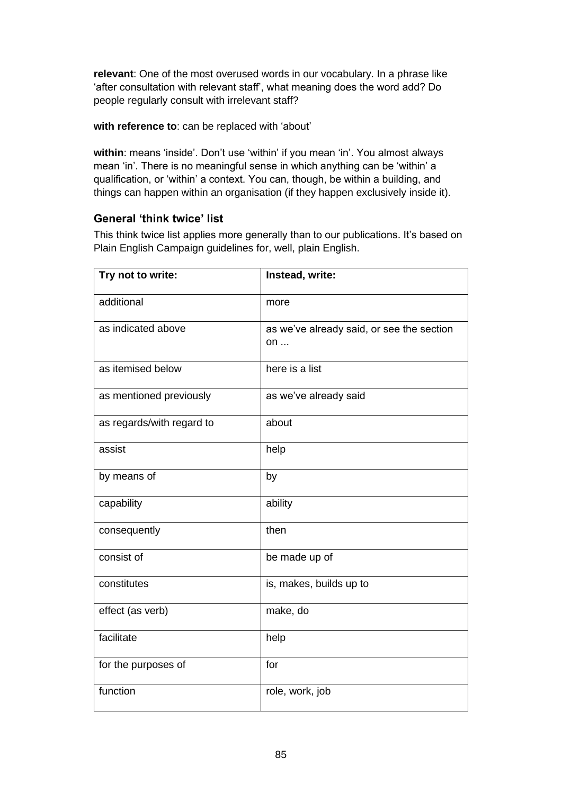**relevant**: One of the most overused words in our vocabulary. In a phrase like 'after consultation with relevant staff', what meaning does the word add? Do people regularly consult with irrelevant staff?

#### **with reference to**: can be replaced with 'about'

within: means 'inside'. Don't use 'within' if you mean 'in'. You almost always mean 'in'. There is no meaningful sense in which anything can be 'within' a qualification, or 'within' a context. You can, though, be within a building, and things can happen within an organisation (if they happen exclusively inside it).

### **General 'think twice' list**

This think twice list applies more generally than to our publications. It's based on Plain English Campaign guidelines for, well, plain English.

| Try not to write:         | Instead, write:                                 |
|---------------------------|-------------------------------------------------|
| additional                | more                                            |
| as indicated above        | as we've already said, or see the section<br>on |
| as itemised below         | here is a list                                  |
| as mentioned previously   | as we've already said                           |
| as regards/with regard to | about                                           |
| assist                    | help                                            |
| by means of               | by                                              |
| capability                | ability                                         |
| consequently              | then                                            |
| consist of                | be made up of                                   |
| constitutes               | is, makes, builds up to                         |
| effect (as verb)          | make, do                                        |
| facilitate                | help                                            |
| for the purposes of       | for                                             |
| function                  | role, work, job                                 |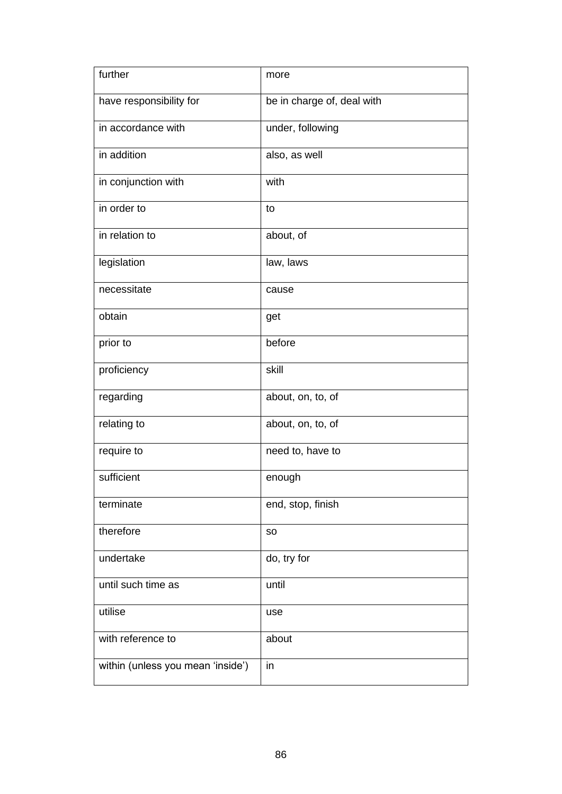| further                           | more                       |
|-----------------------------------|----------------------------|
| have responsibility for           | be in charge of, deal with |
| in accordance with                | under, following           |
| in addition                       | also, as well              |
| in conjunction with               | with                       |
| in order to                       | to                         |
| in relation to                    | about, of                  |
| legislation                       | law, laws                  |
| necessitate                       | cause                      |
| obtain                            | get                        |
| prior to                          | before                     |
| proficiency                       | skill                      |
| regarding                         | about, on, to, of          |
| relating to                       | about, on, to, of          |
| require to                        | need to, have to           |
| sufficient                        | enough                     |
| terminate                         | end, stop, finish          |
| therefore                         | <b>SO</b>                  |
| undertake                         | do, try for                |
| until such time as                | until                      |
| utilise                           | use                        |
| with reference to                 | about                      |
| within (unless you mean 'inside') | in                         |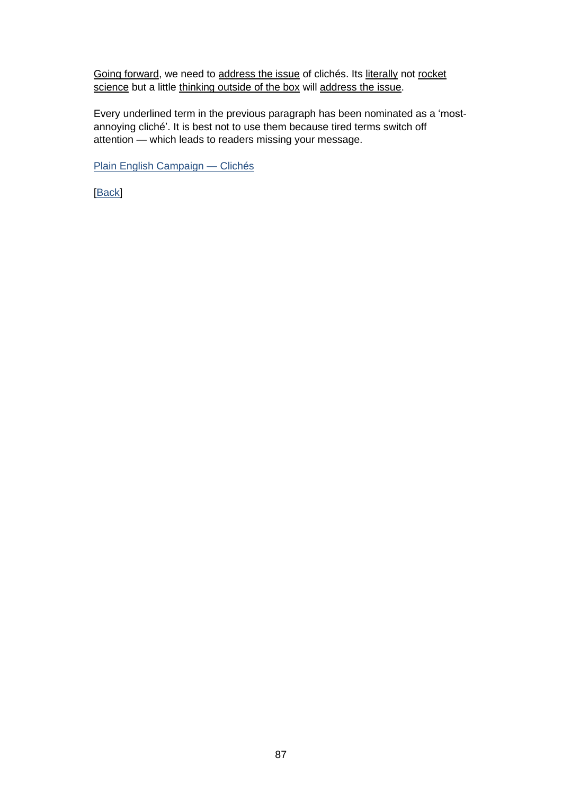Going forward, we need to address the issue of clichés. Its literally not rocket science but a little thinking outside of the box will address the issue.

Every underlined term in the previous paragraph has been nominated as a 'mostannoying cliché'. It is best not to use them because tired terms switch off attention — which leads to readers missing your message.

[Plain English Campaign —](http://www.plainenglish.co.uk/campaigning/examples/cliches.html) Clichés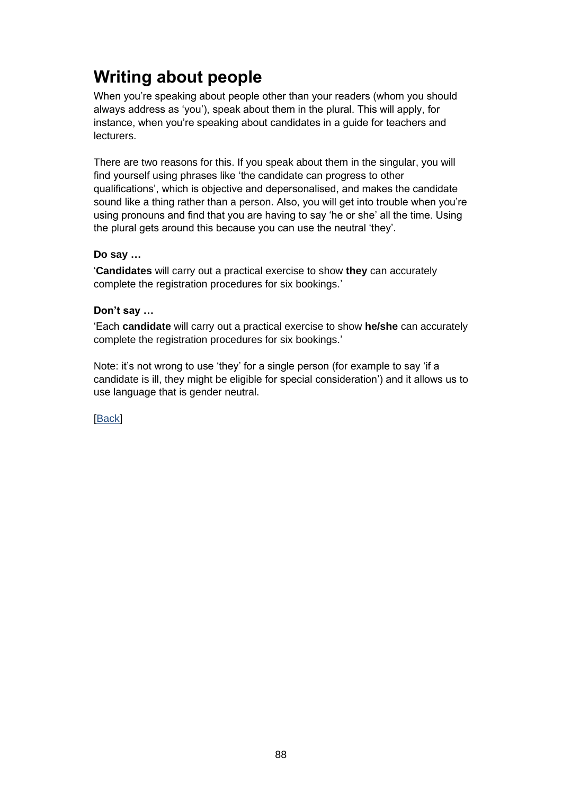# **Writing about people**

When you're speaking about people other than your readers (whom you should always address as 'you'), speak about them in the plural. This will apply, for instance, when you're speaking about candidates in a guide for teachers and lecturers.

There are two reasons for this. If you speak about them in the singular, you will find yourself using phrases like 'the candidate can progress to other qualifications', which is objective and depersonalised, and makes the candidate sound like a thing rather than a person. Also, you will get into trouble when you're using pronouns and find that you are having to say 'he or she' all the time. Using the plural gets around this because you can use the neutral 'they'.

#### **Do say …**

'**Candidates** will carry out a practical exercise to show **they** can accurately complete the registration procedures for six bookings.'

#### **Don't say …**

'Each **candidate** will carry out a practical exercise to show **he/she** can accurately complete the registration procedures for six bookings.'

Note: it's not wrong to use 'they' for a single person (for example to say 'if a candidate is ill, they might be eligible for special consideration') and it allows us to use language that is gender neutral.